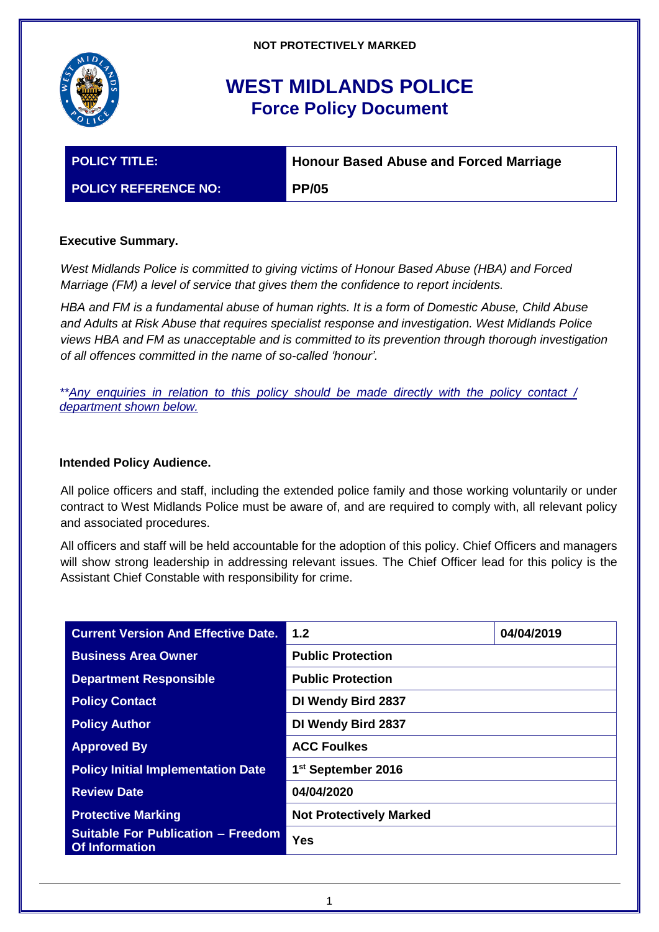

# **WEST MIDLANDS POLICE Force Policy Document**

| <b>POLICY TITLE:</b> | <b>Honour Based Abuse and Forced Marriage</b> |
|----------------------|-----------------------------------------------|
| POLICY REFERENCE NO: | <b>PP/05</b>                                  |

# **Executive Summary.**

*West Midlands Police is committed to giving victims of Honour Based Abuse (HBA) and Forced Marriage (FM) a level of service that gives them the confidence to report incidents.*

*HBA and FM is a fundamental abuse of human rights. It is a form of Domestic Abuse, Child Abuse and Adults at Risk Abuse that requires specialist response and investigation. West Midlands Police views HBA and FM as unacceptable and is committed to its prevention through thorough investigation of all offences committed in the name of so-called 'honour'.*

*\*\*Any enquiries in relation to this policy should be made directly with the policy contact / department shown below.*

#### **Intended Policy Audience.**

All police officers and staff, including the extended police family and those working voluntarily or under contract to West Midlands Police must be aware of, and are required to comply with, all relevant policy and associated procedures.

All officers and staff will be held accountable for the adoption of this policy. Chief Officers and managers will show strong leadership in addressing relevant issues. The Chief Officer lead for this policy is the Assistant Chief Constable with responsibility for crime.

| <b>Current Version And Effective Date.</b>                         | 1.2                            | 04/04/2019 |  |
|--------------------------------------------------------------------|--------------------------------|------------|--|
| <b>Business Area Owner</b>                                         | <b>Public Protection</b>       |            |  |
| <b>Department Responsible</b>                                      | <b>Public Protection</b>       |            |  |
| <b>Policy Contact</b>                                              | DI Wendy Bird 2837             |            |  |
| <b>Policy Author</b>                                               | DI Wendy Bird 2837             |            |  |
| <b>Approved By</b>                                                 | <b>ACC Foulkes</b>             |            |  |
| <b>Policy Initial Implementation Date</b>                          | 1 <sup>st</sup> September 2016 |            |  |
| <b>Review Date</b>                                                 | 04/04/2020                     |            |  |
| <b>Protective Marking</b>                                          | <b>Not Protectively Marked</b> |            |  |
| <b>Suitable For Publication - Freedom</b><br><b>Of Information</b> | <b>Yes</b>                     |            |  |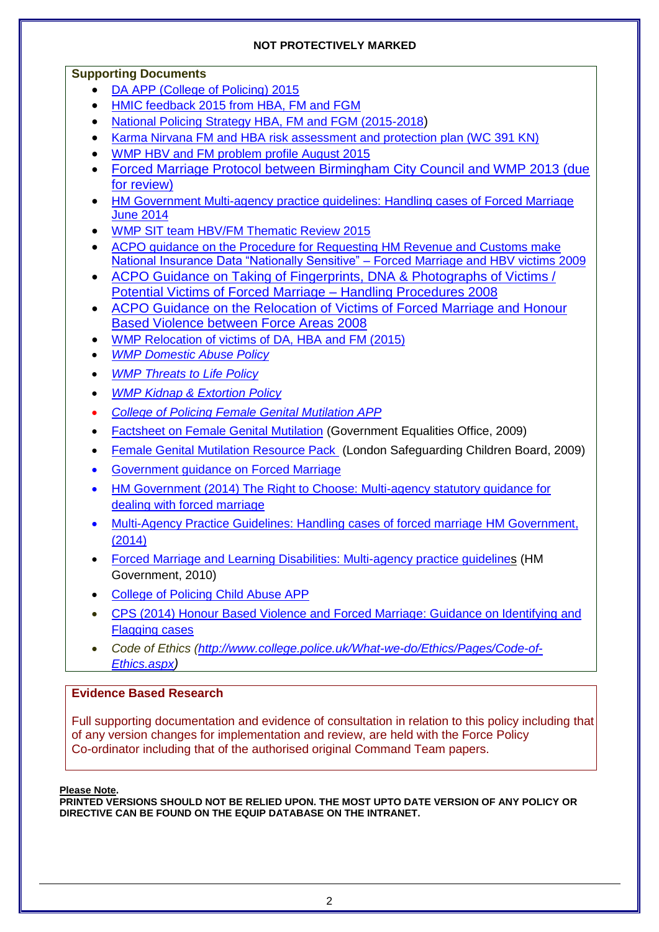# **Supporting Documents**

- [DA APP \(College of Policing\) 2015](https://www.app.college.police.uk/app-content/major-investigation-and-public-protection/domestic-abuse/?s=domestic+abuse)
- [HMIC feedback 2015 from HBA, FM and FGM](https://www.justiceinspectorates.gov.uk/hmic/publications/the-depths-of-dishonour/)
- [National Policing Strategy HBA, FM and FGM \(2015-2018](http://www.npcc.police.uk/Publication/Final%20NPCC%20HBA%20strategy%202015%202018December%202015.pdf))
- [Karma Nirvana FM and HBA risk assessment and protection plan \(WC 391 KN\)](http://apps/standardforms/Forms.aspx?sectioncode=WC)
- [WMP HBV and FM problem profile August 2015](http://foi.west-midlands.police.uk/wp-content/uploads/2014/05/Strategic-Document-2015-1.pdf)
- [Forced Marriage Protocol between Birmingham City Council and WMP 2013 \(due](http://www.lscbbirmingham.org.uk/images/Forced_Marriage_Protocol.pdf)  [for review\)](http://www.lscbbirmingham.org.uk/images/Forced_Marriage_Protocol.pdf)
- HM Government Multi-agency practice quidelines: Handling cases of Forced Marriage [June 2014](https://www.gov.uk/government/uploads/system/uploads/attachment_data/file/322307/HMG_MULTI_AGENCY_PRACTICE_GUIDELINES_v1_180614_FINAL.pdf)
- [WMP SIT team HBV/FM Thematic Review 2015](http://intranet2/hq_departments/public_protection/domestic_abuse1/forced_marriage__hbv/force_publications.aspx)
- [ACPO guidance on the Procedure for Requesting HM Revenue and Customs make](http://intranet2/content/publicprotection/Honour_Based_Violence_and_Forced_Marriage/NI_Number_Process_Nationally_Sensitive_(17-06-08).doc)  [National Insurance Data "Nationally Sensitive" –](http://intranet2/content/publicprotection/Honour_Based_Violence_and_Forced_Marriage/NI_Number_Process_Nationally_Sensitive_(17-06-08).doc) Forced Marriage and HBV victims 2009
- [ACPO Guidance on Taking of Fingerprints, DNA & Photographs of Victims /](http://intranet2/content/publicprotection/Honour_Based_Violence_and_Forced_Marriage/Fingerprints_DNA_Photos_of_Victims_of_FM_(22-09-08).docx)  [Potential Victims of Forced Marriage –](http://intranet2/content/publicprotection/Honour_Based_Violence_and_Forced_Marriage/Fingerprints_DNA_Photos_of_Victims_of_FM_(22-09-08).docx) Handling Procedures 2008
- [ACPO Guidance on the Relocation of Victims of Forced Marriage and Honour](http://intranet2/content/publicprotection/New_Intranet_Docs_2014/Relocation_of_Victims_of_Forced_Marriage_and_HBV_between_Forced_Areas.doc)  [Based Violence between Force Areas 2008](http://intranet2/content/publicprotection/New_Intranet_Docs_2014/Relocation_of_Victims_of_Forced_Marriage_and_HBV_between_Forced_Areas.doc)
- [WMP Relocation of victims of DA, HBA and FM \(2015\)](http://intranet2/content/publicprotection/New_Intranet_Docs_2014/Relocation_of_domestic_abuse_victims_March_2015_(4).pdf)
- *[WMP Domestic Abuse Policy](http://intranet2/content/publicprotection/New_Intranet_Docs_2014/WMP_domestic_abuse_policy.pdf)*
- *[WMP Threats to Life Policy](http://intranet2/lpus/birmingham_west__central_lpu/information__current_ops/threat_to_life_forms.aspx)*
- *[WMP Kidnap & Extortion Policy](http://intranet2/hq_departments/force_contact/force_contact/help/contact_handling/kidnap.aspx)*
- *[College of Policing Female Genital Mutilation APP](https://www.app.college.police.uk/app-content/major-investigation-and-public-protection/female-genital-mutilation/)*
- [Factsheet on Female Genital Mutilation](http://intranet/bcudepts/Crime/PPU/Document%20Library/PPU%20Management%20Documents/Useful%20Guidance/Female%20Genital%20Mutilation%20(FGM)/FGM%20factsheet.pdf) (Government Equalities Office, 2009)
- [Female Genital Mutilation Resource Pack](http://intranet/bcudepts/Crime/PPU/Document%20Library/PPU%20Management%20Documents/Useful%20Guidance/Female%20Genital%20Mutilation%20(FGM)/FGM%20resource%20pack.pdf) (London Safeguarding Children Board, 2009)
- [Government guidance on Forced Marriage](https://www.gov.uk/forced-marriage)
- [HM Government \(2014\) The Right to Choose: Multi-agency statutory guidance for](https://www.gov.uk/government/uploads/system/uploads/attachment_data/file/322310/HMG_Statutory_Guidance_publication_180614_Final.pdf)  [dealing with forced marriage](https://www.gov.uk/government/uploads/system/uploads/attachment_data/file/322310/HMG_Statutory_Guidance_publication_180614_Final.pdf)
- [Multi-Agency Practice Guidelines: Handling cases of forced marriage](https://www.gov.uk/government/uploads/system/uploads/attachment_data/file/322307/HMG_MULTI_AGENCY_PRACTICE_GUIDELINES_v1_180614_FINAL.pdf) HM Government, [\(2014\)](https://www.gov.uk/government/uploads/system/uploads/attachment_data/file/322307/HMG_MULTI_AGENCY_PRACTICE_GUIDELINES_v1_180614_FINAL.pdf)
- [Forced Marriage and Learning Disabilities: Multi-agency practice guidelines](http://intranet/bcudepts/Crime/PPU/Document%20Library/Forced%20Marriages/Forced%20Marriage%20and%20Learning%20Disabilities%20-%20Multi-agency%20Practice%20Guidelines%20(2010%20HM%20Government).pdf) (HM Government, 2010)
- [College of Policing Child Abuse APP](https://www.app.college.police.uk/app-content/major-investigation-and-public-protection/child-abuse/?s=child+abuse)
- CPS (2014) Honour [Based Violence and Forced Marriage: Guidance on Identifying and](http://www.cps.gov.uk/legal/h_to_k/forced_marriage_and_honour_based_violence_cases_guidance_on_flagging_and_identifying_cases/)  [Flagging cases](http://www.cps.gov.uk/legal/h_to_k/forced_marriage_and_honour_based_violence_cases_guidance_on_flagging_and_identifying_cases/)
- *Code of Ethics [\(http://www.college.police.uk/What-we-do/Ethics/Pages/Code-of-](http://www.college.police.uk/What-we-do/Ethics/Pages/Code-of-Ethics.aspx)[Ethics.aspx](http://www.college.police.uk/What-we-do/Ethics/Pages/Code-of-Ethics.aspx))*

# **Evidence Based Research**

Full supporting documentation and evidence of consultation in relation to this policy including that of any version changes for implementation and review, are held with the Force Policy Co-ordinator including that of the authorised original Command Team papers.

#### **Please Note.**

**PRINTED VERSIONS SHOULD NOT BE RELIED UPON. THE MOST UPTO DATE VERSION OF ANY POLICY OR DIRECTIVE CAN BE FOUND ON THE EQUIP DATABASE ON THE INTRANET.**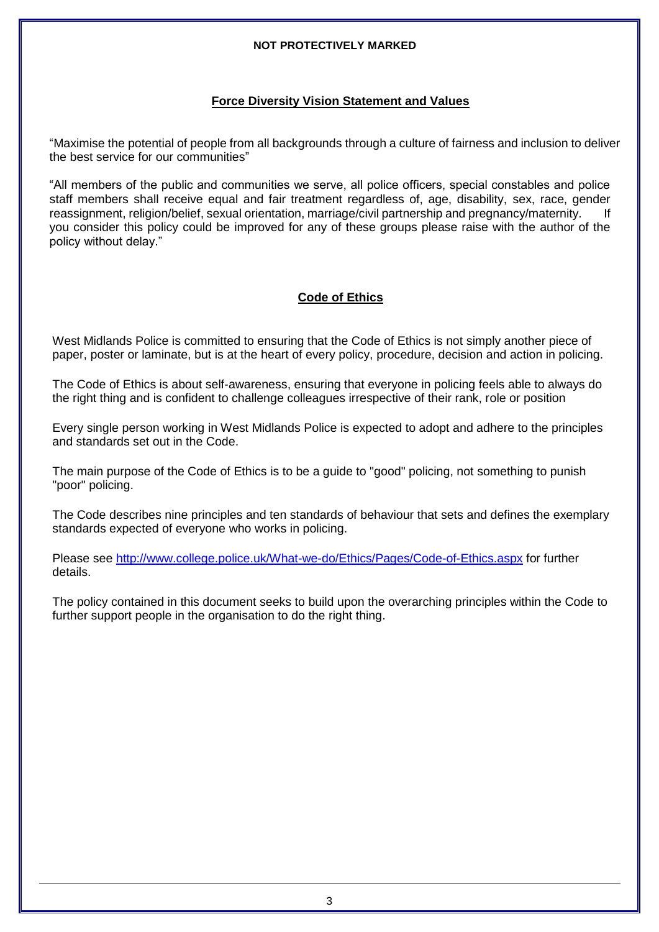# **Force Diversity Vision Statement and Values**

"Maximise the potential of people from all backgrounds through a culture of fairness and inclusion to deliver the best service for our communities"

"All members of the public and communities we serve, all police officers, special constables and police staff members shall receive equal and fair treatment regardless of, age, disability, sex, race, gender reassignment, religion/belief, sexual orientation, marriage/civil partnership and pregnancy/maternity. If you consider this policy could be improved for any of these groups please raise with the author of the policy without delay."

# **Code of Ethics**

West Midlands Police is committed to ensuring that the Code of Ethics is not simply another piece of paper, poster or laminate, but is at the heart of every policy, procedure, decision and action in policing.

The Code of Ethics is about self-awareness, ensuring that everyone in policing feels able to always do the right thing and is confident to challenge colleagues irrespective of their rank, role or position

Every single person working in West Midlands Police is expected to adopt and adhere to the principles and standards set out in the Code.

The main purpose of the Code of Ethics is to be a guide to "good" policing, not something to punish "poor" policing.

The Code describes nine principles and ten standards of behaviour that sets and defines the exemplary standards expected of everyone who works in policing.

Please see<http://www.college.police.uk/What-we-do/Ethics/Pages/Code-of-Ethics.aspx> for further details.

The policy contained in this document seeks to build upon the overarching principles within the Code to further support people in the organisation to do the right thing.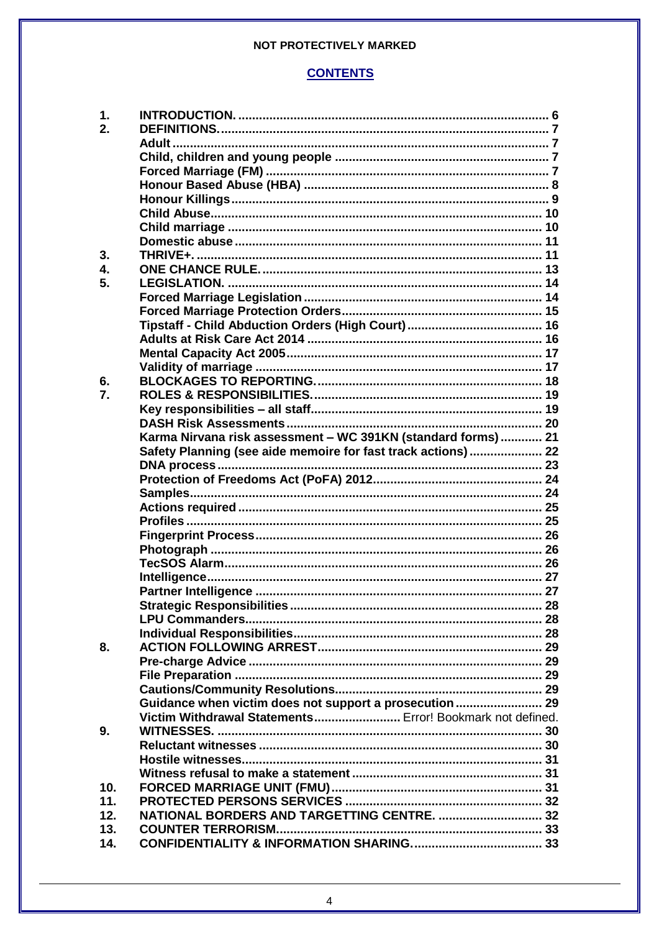# **CONTENTS**

| 1.  |                                                              |  |
|-----|--------------------------------------------------------------|--|
| 2.  |                                                              |  |
|     |                                                              |  |
|     |                                                              |  |
|     |                                                              |  |
|     |                                                              |  |
|     |                                                              |  |
|     |                                                              |  |
|     |                                                              |  |
|     |                                                              |  |
| 3.  |                                                              |  |
| 4.  |                                                              |  |
| 5.  |                                                              |  |
|     |                                                              |  |
|     |                                                              |  |
|     |                                                              |  |
|     |                                                              |  |
|     |                                                              |  |
|     |                                                              |  |
|     |                                                              |  |
| 6.  |                                                              |  |
| 7.  |                                                              |  |
|     |                                                              |  |
|     |                                                              |  |
|     | Karma Nirvana risk assessment - WC 391KN (standard forms) 21 |  |
|     | Safety Planning (see aide memoire for fast track actions) 22 |  |
|     |                                                              |  |
|     |                                                              |  |
|     |                                                              |  |
|     |                                                              |  |
|     |                                                              |  |
|     |                                                              |  |
|     |                                                              |  |
|     |                                                              |  |
|     |                                                              |  |
|     |                                                              |  |
|     |                                                              |  |
|     |                                                              |  |
|     |                                                              |  |
| 8.  |                                                              |  |
|     |                                                              |  |
|     |                                                              |  |
|     |                                                              |  |
|     | Guidance when victim does not support a prosecution 29       |  |
|     | Victim Withdrawal Statements Error! Bookmark not defined.    |  |
| 9.  |                                                              |  |
|     |                                                              |  |
|     |                                                              |  |
|     |                                                              |  |
|     |                                                              |  |
| 10. |                                                              |  |
| 11. |                                                              |  |
| 12. | NATIONAL BORDERS AND TARGETTING CENTRE.  32                  |  |
| 13. |                                                              |  |
| 14. |                                                              |  |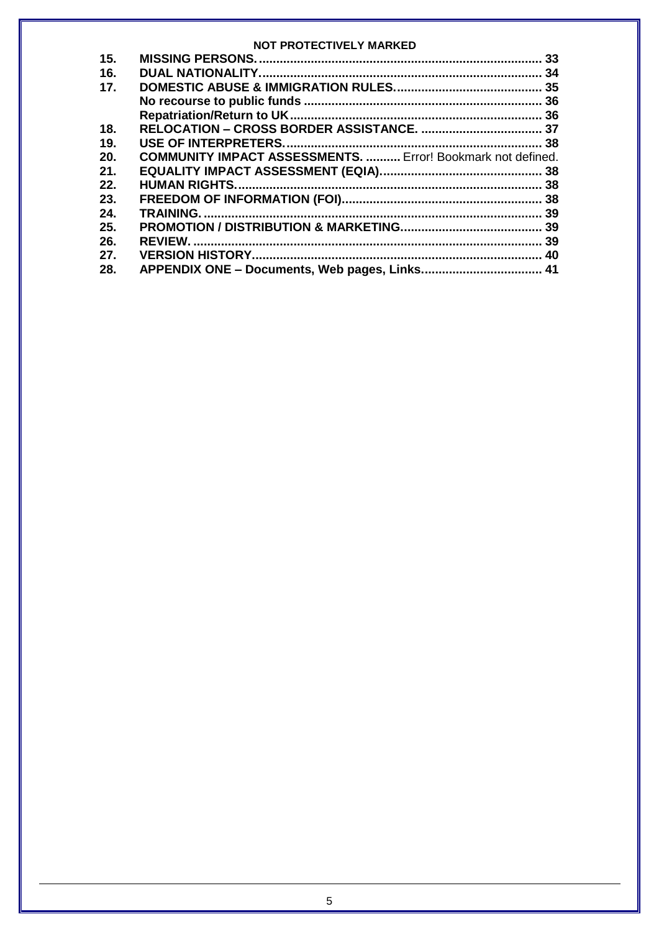| 15. |                                                                    | 33 |
|-----|--------------------------------------------------------------------|----|
| 16. |                                                                    | 34 |
| 17. |                                                                    |    |
|     |                                                                    |    |
|     |                                                                    |    |
| 18. |                                                                    |    |
| 19. |                                                                    |    |
| 20. | <b>COMMUNITY IMPACT ASSESSMENTS.  Error! Bookmark not defined.</b> |    |
| 21. |                                                                    |    |
| 22. |                                                                    |    |
| 23. |                                                                    |    |
| 24. |                                                                    |    |
| 25. |                                                                    |    |
| 26. |                                                                    |    |
| 27. |                                                                    |    |
| 28. |                                                                    |    |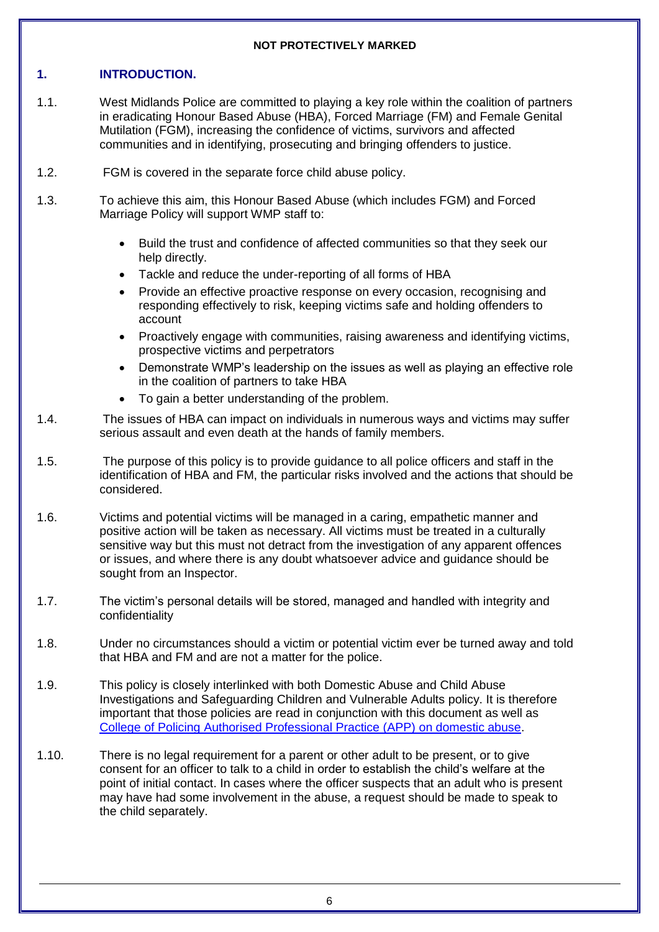# <span id="page-5-0"></span>**1. INTRODUCTION.**

- 1.1. West Midlands Police are committed to playing a key role within the coalition of partners in eradicating Honour Based Abuse (HBA), Forced Marriage (FM) and Female Genital Mutilation (FGM), increasing the confidence of victims, survivors and affected communities and in identifying, prosecuting and bringing offenders to justice.
- 1.2. FGM is covered in the separate force child abuse policy.
- 1.3. To achieve this aim, this Honour Based Abuse (which includes FGM) and Forced Marriage Policy will support WMP staff to:
	- Build the trust and confidence of affected communities so that they seek our help directly.
	- Tackle and reduce the under-reporting of all forms of HBA
	- Provide an effective proactive response on every occasion, recognising and responding effectively to risk, keeping victims safe and holding offenders to account
	- Proactively engage with communities, raising awareness and identifying victims, prospective victims and perpetrators
	- Demonstrate WMP's leadership on the issues as well as playing an effective role in the coalition of partners to take HBA
	- To gain a better understanding of the problem.
- 1.4. The issues of HBA can impact on individuals in numerous ways and victims may suffer serious assault and even death at the hands of family members.
- 1.5. The purpose of this policy is to provide guidance to all police officers and staff in the identification of HBA and FM, the particular risks involved and the actions that should be considered.
- 1.6. Victims and potential victims will be managed in a caring, empathetic manner and positive action will be taken as necessary. All victims must be treated in a culturally sensitive way but this must not detract from the investigation of any apparent offences or issues, and where there is any doubt whatsoever advice and guidance should be sought from an Inspector.
- 1.7. The victim's personal details will be stored, managed and handled with integrity and confidentiality
- 1.8. Under no circumstances should a victim or potential victim ever be turned away and told that HBA and FM and are not a matter for the police.
- 1.9. This policy is closely interlinked with both Domestic Abuse and Child Abuse Investigations and Safeguarding Children and Vulnerable Adults policy. It is therefore important that those policies are read in conjunction with this document as well as [College of Policing Authorised Professional Practice \(APP\) on domestic abuse.](https://www.app.college.police.uk/app-content/major-investigation-and-public-protection/domestic-abuse/?s=domestic+abuse)
- 1.10. There is no legal requirement for a parent or other adult to be present, or to give consent for an officer to talk to a child in order to establish the child's welfare at the point of initial contact. In cases where the officer suspects that an adult who is present may have had some involvement in the abuse, a request should be made to speak to the child separately.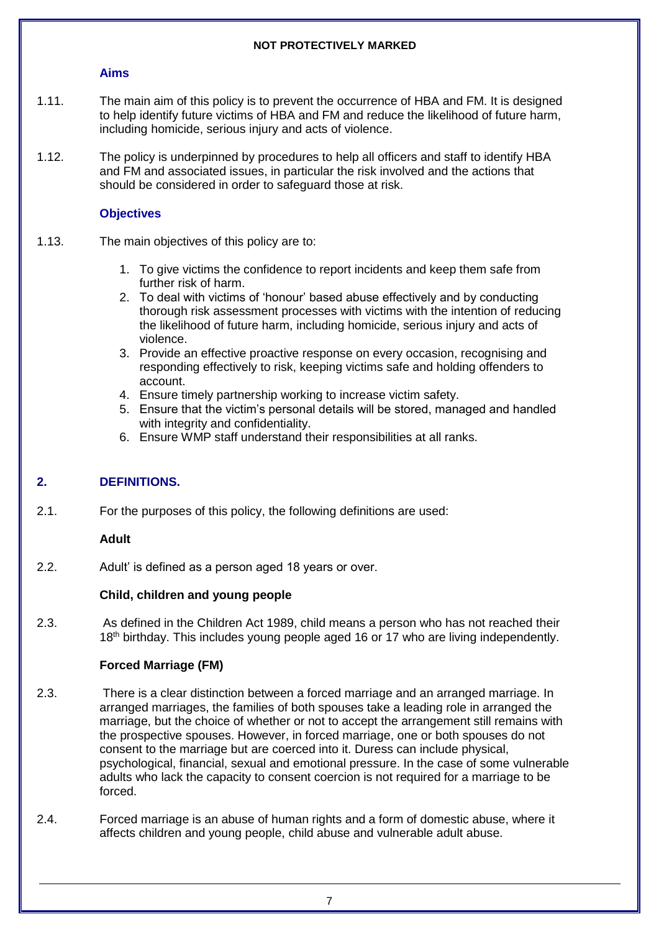# **Aims**

- 1.11. The main aim of this policy is to prevent the occurrence of HBA and FM. It is designed to help identify future victims of HBA and FM and reduce the likelihood of future harm, including homicide, serious injury and acts of violence.
- 1.12. The policy is underpinned by procedures to help all officers and staff to identify HBA and FM and associated issues, in particular the risk involved and the actions that should be considered in order to safeguard those at risk.

# **Objectives**

- 1.13. The main objectives of this policy are to:
	- 1. To give victims the confidence to report incidents and keep them safe from further risk of harm.
	- 2. To deal with victims of 'honour' based abuse effectively and by conducting thorough risk assessment processes with victims with the intention of reducing the likelihood of future harm, including homicide, serious injury and acts of violence.
	- 3. Provide an effective proactive response on every occasion, recognising and responding effectively to risk, keeping victims safe and holding offenders to account.
	- 4. Ensure timely partnership working to increase victim safety.
	- 5. Ensure that the victim's personal details will be stored, managed and handled with integrity and confidentiality.
	- 6. Ensure WMP staff understand their responsibilities at all ranks.

# <span id="page-6-0"></span>**2. DEFINITIONS.**

2.1. For the purposes of this policy, the following definitions are used:

# <span id="page-6-1"></span>**Adult**

2.2. Adult' is defined as a person aged 18 years or over.

# <span id="page-6-2"></span>**Child, children and young people**

2.3. As defined in the Children Act 1989, child means a person who has not reached their 18<sup>th</sup> birthday. This includes young people aged 16 or 17 who are living independently.

# <span id="page-6-3"></span>**Forced Marriage (FM)**

- 2.3. There is a clear distinction between a forced marriage and an arranged marriage. In arranged marriages, the families of both spouses take a leading role in arranged the marriage, but the choice of whether or not to accept the arrangement still remains with the prospective spouses. However, in forced marriage, one or both spouses do not consent to the marriage but are coerced into it. Duress can include physical, psychological, financial, sexual and emotional pressure. In the case of some vulnerable adults who lack the capacity to consent coercion is not required for a marriage to be forced.
- 2.4. Forced marriage is an abuse of human rights and a form of domestic abuse, where it affects children and young people, child abuse and vulnerable adult abuse.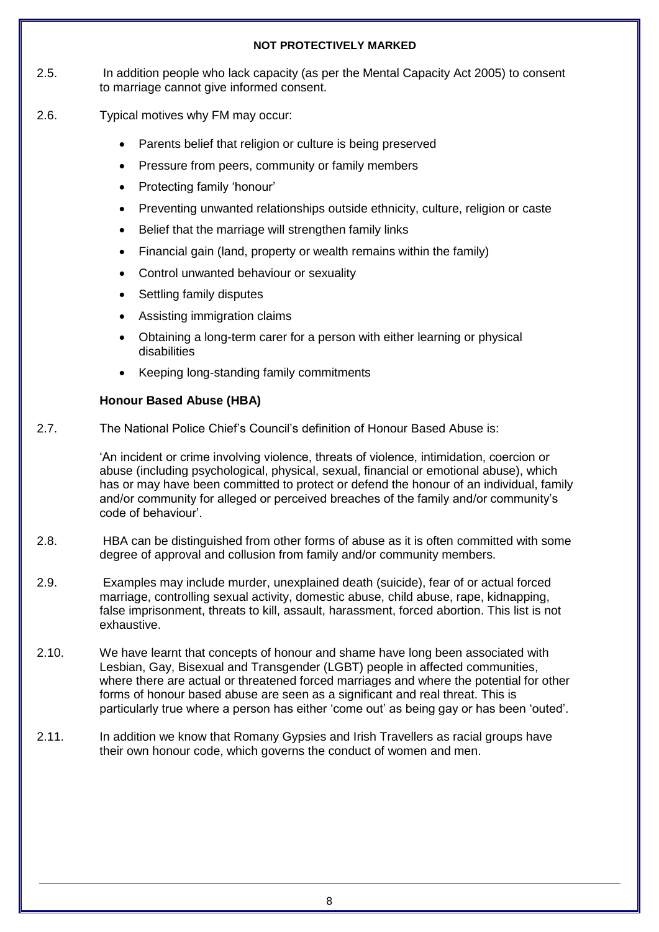- 2.5. In addition people who lack capacity (as per the Mental Capacity Act 2005) to consent to marriage cannot give informed consent.
- 2.6. Typical motives why FM may occur:
	- Parents belief that religion or culture is being preserved
	- Pressure from peers, community or family members
	- Protecting family 'honour'
	- Preventing unwanted relationships outside ethnicity, culture, religion or caste
	- Belief that the marriage will strengthen family links
	- Financial gain (land, property or wealth remains within the family)
	- Control unwanted behaviour or sexuality
	- Settling family disputes
	- Assisting immigration claims
	- Obtaining a long-term carer for a person with either learning or physical disabilities
	- Keeping long-standing family commitments

# <span id="page-7-0"></span>**Honour Based Abuse (HBA)**

2.7. The National Police Chief's Council's definition of Honour Based Abuse is:

'An incident or crime involving violence, threats of violence, intimidation, coercion or abuse (including psychological, physical, sexual, financial or emotional abuse), which has or may have been committed to protect or defend the honour of an individual, family and/or community for alleged or perceived breaches of the family and/or community's code of behaviour'.

- 2.8. HBA can be distinguished from other forms of abuse as it is often committed with some degree of approval and collusion from family and/or community members.
- 2.9. Examples may include murder, unexplained death (suicide), fear of or actual forced marriage, controlling sexual activity, domestic abuse, child abuse, rape, kidnapping, false imprisonment, threats to kill, assault, harassment, forced abortion. This list is not exhaustive.
- 2.10. We have learnt that concepts of honour and shame have long been associated with Lesbian, Gay, Bisexual and Transgender (LGBT) people in affected communities, where there are actual or threatened forced marriages and where the potential for other forms of honour based abuse are seen as a significant and real threat. This is particularly true where a person has either 'come out' as being gay or has been 'outed'.
- 2.11. In addition we know that Romany Gypsies and Irish Travellers as racial groups have their own honour code, which governs the conduct of women and men.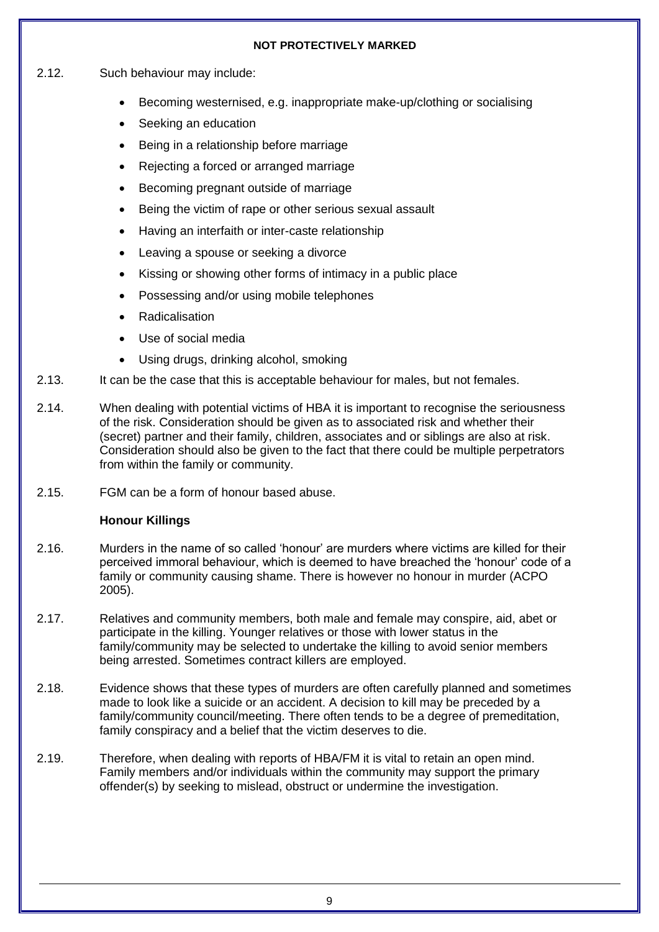- 2.12. Such behaviour may include:
	- Becoming westernised, e.g. inappropriate make-up/clothing or socialising
	- Seeking an education
	- Being in a relationship before marriage
	- Rejecting a forced or arranged marriage
	- Becoming pregnant outside of marriage
	- Being the victim of rape or other serious sexual assault
	- Having an interfaith or inter-caste relationship
	- Leaving a spouse or seeking a divorce
	- Kissing or showing other forms of intimacy in a public place
	- Possessing and/or using mobile telephones
	- Radicalisation
	- Use of social media
	- Using drugs, drinking alcohol, smoking
- 2.13. It can be the case that this is acceptable behaviour for males, but not females,
- 2.14. When dealing with potential victims of HBA it is important to recognise the seriousness of the risk. Consideration should be given as to associated risk and whether their (secret) partner and their family, children, associates and or siblings are also at risk. Consideration should also be given to the fact that there could be multiple perpetrators from within the family or community.
- 2.15. FGM can be a form of honour based abuse.

# <span id="page-8-0"></span>**Honour Killings**

- 2.16. Murders in the name of so called 'honour' are murders where victims are killed for their perceived immoral behaviour, which is deemed to have breached the 'honour' code of a family or community causing shame. There is however no honour in murder (ACPO 2005).
- 2.17. Relatives and community members, both male and female may conspire, aid, abet or participate in the killing. Younger relatives or those with lower status in the family/community may be selected to undertake the killing to avoid senior members being arrested. Sometimes contract killers are employed.
- 2.18. Evidence shows that these types of murders are often carefully planned and sometimes made to look like a suicide or an accident. A decision to kill may be preceded by a family/community council/meeting. There often tends to be a degree of premeditation, family conspiracy and a belief that the victim deserves to die.
- 2.19. Therefore, when dealing with reports of HBA/FM it is vital to retain an open mind. Family members and/or individuals within the community may support the primary offender(s) by seeking to mislead, obstruct or undermine the investigation.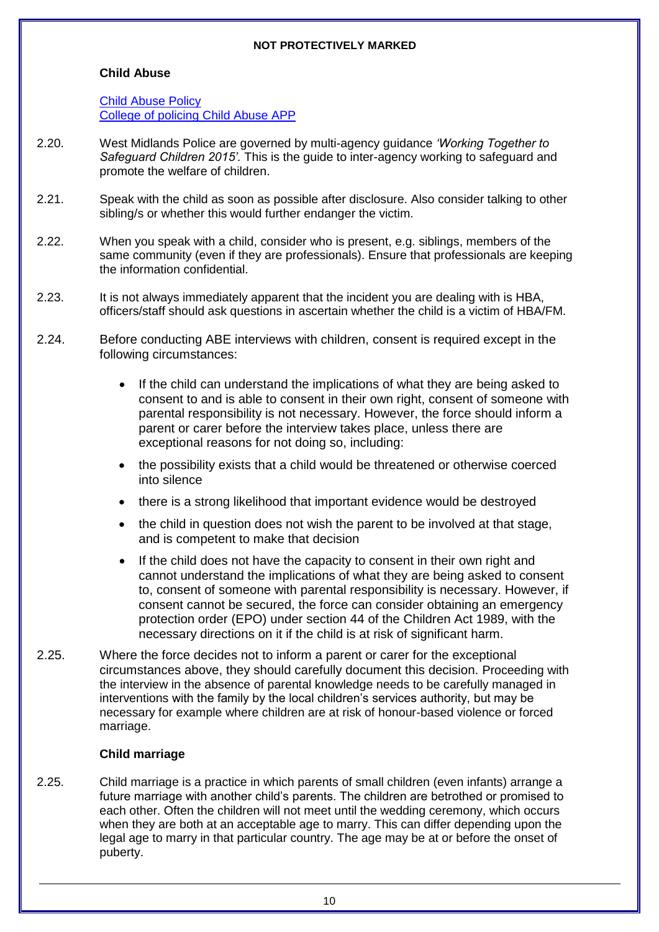# <span id="page-9-0"></span>**Child Abuse**

[Child Abuse Policy](http://intranet2/content/publicprotection/A-Z/Child_Abuse_Policy,_September_2012.pdf) [College of policing Child Abuse APP](https://www.app.college.police.uk/app-content/major-investigation-and-public-protection/child-abuse/?s=child+abuse)

- 2.20. West Midlands Police are governed by multi-agency guidance *'Working Together to Safeguard Children 2015'.* This is the guide to inter-agency working to safeguard and promote the welfare of children.
- 2.21. Speak with the child as soon as possible after disclosure. Also consider talking to other sibling/s or whether this would further endanger the victim.
- 2.22. When you speak with a child, consider who is present, e.g. siblings, members of the same community (even if they are professionals). Ensure that professionals are keeping the information confidential.
- 2.23. It is not always immediately apparent that the incident you are dealing with is HBA, officers/staff should ask questions in ascertain whether the child is a victim of HBA/FM.
- 2.24. Before conducting ABE interviews with children, consent is required except in the following circumstances:
	- If the child can understand the implications of what they are being asked to consent to and is able to consent in their own right, consent of someone with parental responsibility is not necessary. However, the force should inform a parent or carer before the interview takes place, unless there are exceptional reasons for not doing so, including:
	- the possibility exists that a child would be threatened or otherwise coerced into silence
	- there is a strong likelihood that important evidence would be destroyed
	- the child in question does not wish the parent to be involved at that stage, and is competent to make that decision
	- If the child does not have the capacity to consent in their own right and cannot understand the implications of what they are being asked to consent to, consent of someone with parental responsibility is necessary. However, if consent cannot be secured, the force can consider obtaining an emergency protection order (EPO) under [section 44](http://www.legislation.gov.uk/ukpga/1989/41/section/44) of the Children Act 1989, with the necessary directions on it if the child is at risk of significant harm.
- 2.25. Where the force decides not to inform a parent or carer for the exceptional circumstances above, they should carefully document this decision. Proceeding with the interview in the absence of parental knowledge needs to be carefully managed in interventions with the family by the local children's services authority, but may be necessary for example where children are at risk of honour-based violence or forced marriage.

# <span id="page-9-1"></span>**Child marriage**

2.25. Child marriage is a practice in which parents of small children (even infants) arrange a future marriage with another child's parents. The children are betrothed or promised to each other. Often the children will not meet until the wedding ceremony, which occurs when they are both at an acceptable age to marry. This can differ depending upon the legal age to marry in that particular country. The age may be at or before the onset of puberty.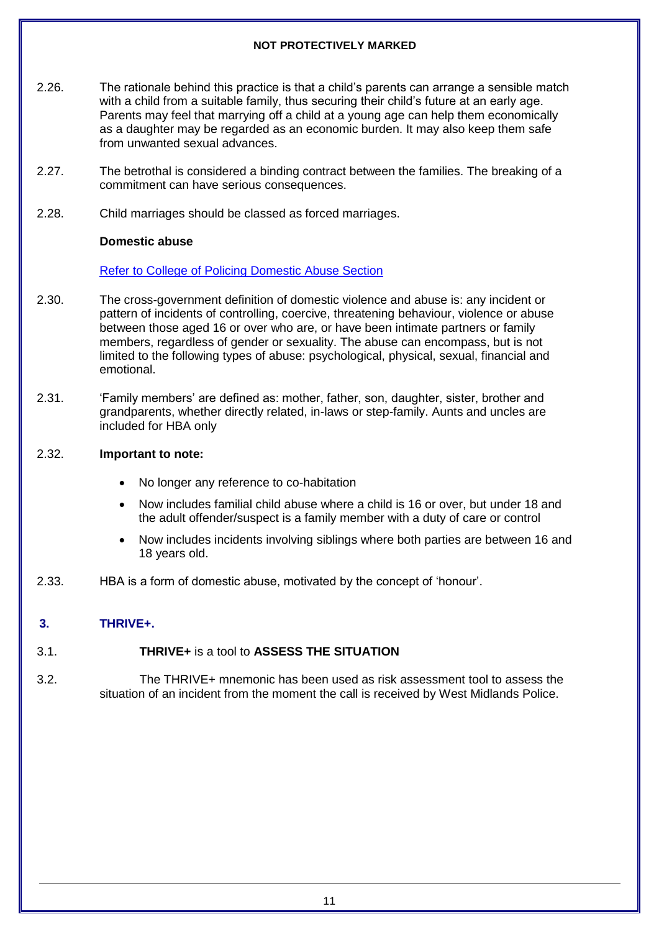- 2.26. The rationale behind this practice is that a child's parents can arrange a sensible match with a child from a suitable family, thus securing their child's future at an early age. Parents may feel that marrying off a child at a young age can help them economically as a daughter may be regarded as an economic burden. It may also keep them safe from unwanted sexual advances.
- 2.27. The betrothal is considered a binding contract between the families. The breaking of a commitment can have serious consequences.
- 2.28. Child marriages should be classed as forced marriages.

# <span id="page-10-0"></span>**Domestic abuse**

#### [Refer to College of Policing Domestic Abuse Section](https://www.app.college.police.uk/app-content/major-investigation-and-public-protection/domestic-abuse/?s=domestic+abuse)

- 2.30. The cross-government definition of domestic violence and abuse is: any incident or pattern of incidents of controlling, coercive, threatening behaviour, violence or abuse between those aged 16 or over who are, or have been intimate partners or family members, regardless of gender or sexuality. The abuse can encompass, but is not limited to the following types of abuse: psychological, physical, sexual, financial and emotional.
- 2.31. 'Family members' are defined as: mother, father, son, daughter, sister, brother and grandparents, whether directly related, in-laws or step-family. Aunts and uncles are included for HBA only

# 2.32. **Important to note:**

- No longer any reference to co-habitation
- Now includes familial child abuse where a child is 16 or over, but under 18 and the adult offender/suspect is a family member with a duty of care or control
- Now includes incidents involving siblings where both parties are between 16 and 18 years old.
- 2.33. HBA is a form of domestic abuse, motivated by the concept of 'honour'.

# <span id="page-10-1"></span>**3. THRIVE+.**

# 3.1. **THRIVE+** is a tool to **ASSESS THE SITUATION**

3.2. The THRIVE+ mnemonic has been used as risk assessment tool to assess the situation of an incident from the moment the call is received by West Midlands Police.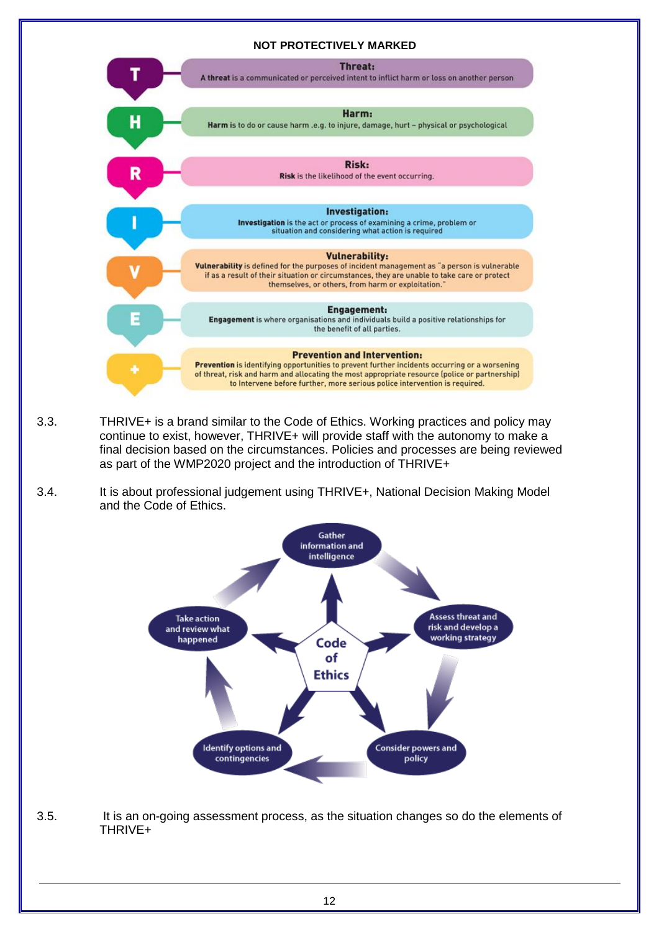

- 3.3. THRIVE+ is a brand similar to the Code of Ethics. Working practices and policy may continue to exist, however, THRIVE+ will provide staff with the autonomy to make a final decision based on the circumstances. Policies and processes are being reviewed as part of the WMP2020 project and the introduction of THRIVE+
- 3.4. It is about professional judgement using THRIVE+, National Decision Making Model and the Code of Ethics.



3.5. It is an on-going assessment process, as the situation changes so do the elements of THRIVE+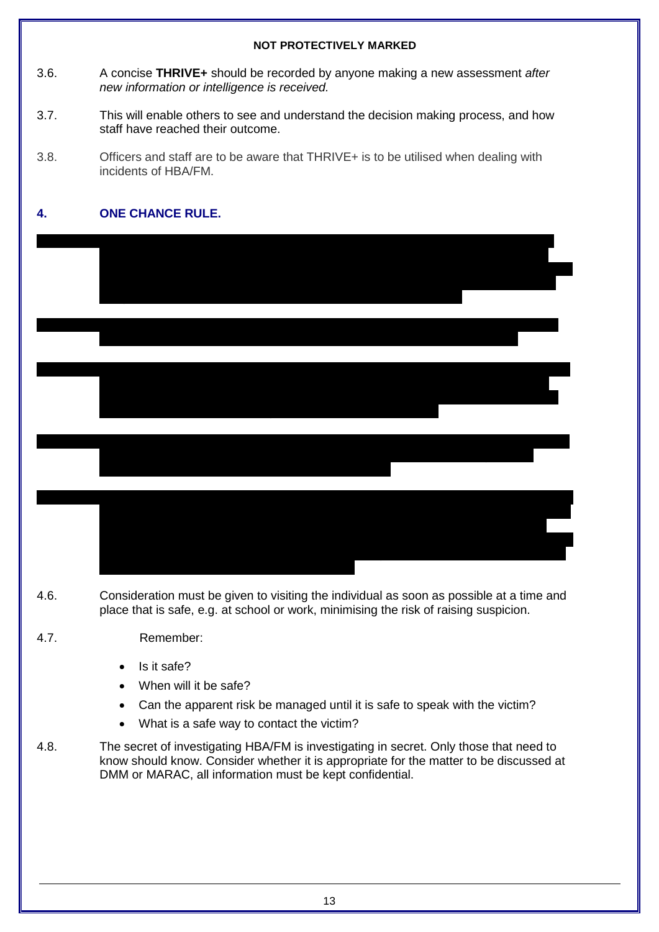<span id="page-12-0"></span>

- 4.6. Consideration must be given to visiting the individual as soon as possible at a time and place that is safe, e.g. at school or work, minimising the risk of raising suspicion.
- 4.7. Remember:
	- Is it safe?
	- When will it be safe?
	- Can the apparent risk be managed until it is safe to speak with the victim?
	- What is a safe way to contact the victim?
- 4.8. The secret of investigating HBA/FM is investigating in secret. Only those that need to know should know. Consider whether it is appropriate for the matter to be discussed at DMM or MARAC, all information must be kept confidential.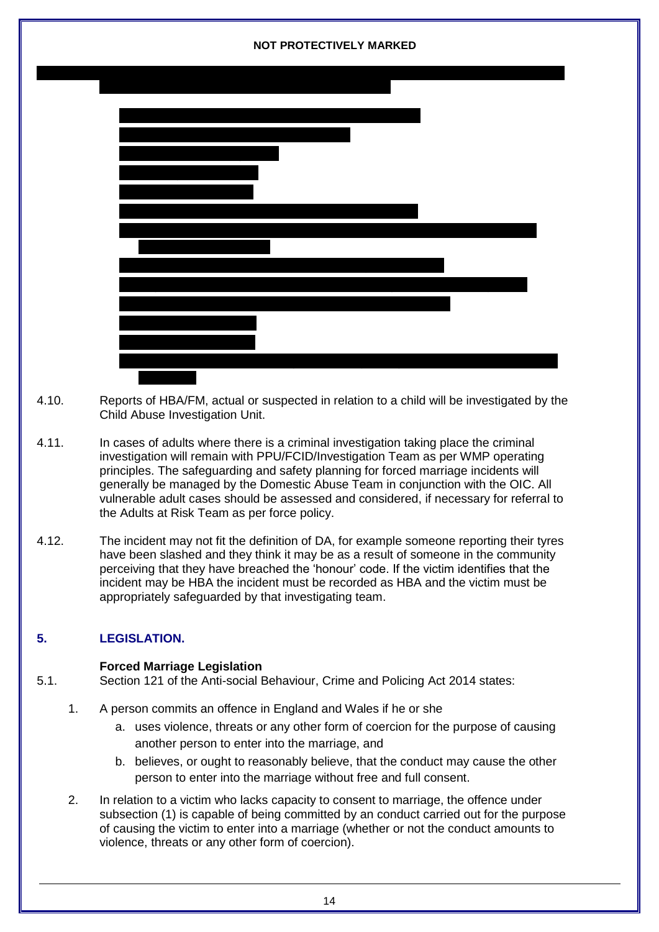

- 4.10. Reports of HBA/FM, actual or suspected in relation to a child will be investigated by the Child Abuse Investigation Unit.
- 4.11. In cases of adults where there is a criminal investigation taking place the criminal investigation will remain with PPU/FCID/Investigation Team as per WMP operating principles. The safeguarding and safety planning for forced marriage incidents will generally be managed by the Domestic Abuse Team in conjunction with the OIC. All vulnerable adult cases should be assessed and considered, if necessary for referral to the Adults at Risk Team as per force policy.
- 4.12. The incident may not fit the definition of DA, for example someone reporting their tyres have been slashed and they think it may be as a result of someone in the community perceiving that they have breached the 'honour' code. If the victim identifies that the incident may be HBA the incident must be recorded as HBA and the victim must be appropriately safeguarded by that investigating team.

# <span id="page-13-0"></span>**5. LEGISLATION.**

# <span id="page-13-1"></span>**Forced Marriage Legislation**

- 5.1. Section 121 of the Anti-social Behaviour, Crime and Policing Act 2014 states:
	- 1. A person commits an offence in England and Wales if he or she
		- a. uses violence, threats or any other form of coercion for the purpose of causing another person to enter into the marriage, and
		- b. believes, or ought to reasonably believe, that the conduct may cause the other person to enter into the marriage without free and full consent.
	- 2. In relation to a victim who lacks capacity to consent to marriage, the offence under subsection (1) is capable of being committed by an conduct carried out for the purpose of causing the victim to enter into a marriage (whether or not the conduct amounts to violence, threats or any other form of coercion).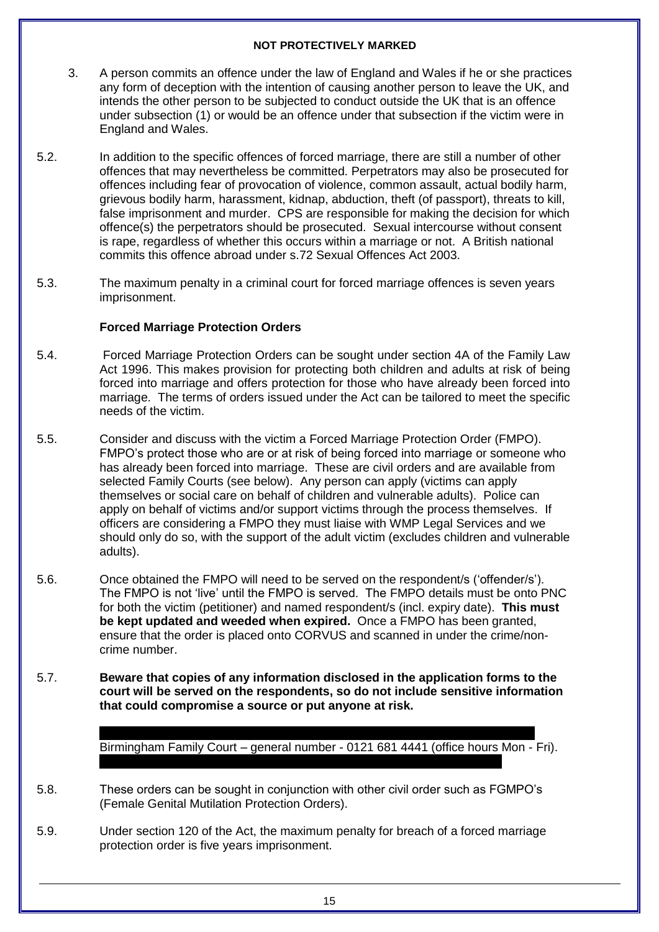- 3. A person commits an offence under the law of England and Wales if he or she practices any form of deception with the intention of causing another person to leave the UK, and intends the other person to be subjected to conduct outside the UK that is an offence under subsection (1) or would be an offence under that subsection if the victim were in England and Wales.
- 5.2. In addition to the specific offences of forced marriage, there are still a number of other offences that may nevertheless be committed. Perpetrators may also be prosecuted for offences including fear of provocation of violence, common assault, actual bodily harm, grievous bodily harm, harassment, kidnap, abduction, theft (of passport), threats to kill, false imprisonment and murder. CPS are responsible for making the decision for which offence(s) the perpetrators should be prosecuted. Sexual intercourse without consent is rape, regardless of whether this occurs within a marriage or not. A British national commits this offence abroad under s.72 Sexual Offences Act 2003.
- 5.3. The maximum penalty in a criminal court for forced marriage offences is seven years imprisonment.

# <span id="page-14-0"></span>**Forced Marriage Protection Orders**

- 5.4. Forced Marriage Protection Orders can be sought under section 4A of the Family Law Act 1996. This makes provision for protecting both children and adults at risk of being forced into marriage and offers protection for those who have already been forced into marriage. The terms of orders issued under the Act can be tailored to meet the specific needs of the victim.
- 5.5. Consider and discuss with the victim a Forced Marriage Protection Order (FMPO). FMPO's protect those who are or at risk of being forced into marriage or someone who has already been forced into marriage. These are civil orders and are available from selected Family Courts (see below). Any person can apply (victims can apply themselves or social care on behalf of children and vulnerable adults). Police can apply on behalf of victims and/or support victims through the process themselves. If officers are considering a FMPO they must liaise with WMP Legal Services and we should only do so, with the support of the adult victim (excludes children and vulnerable adults).
- 5.6. Once obtained the FMPO will need to be served on the respondent/s ('offender/s'). The FMPO is not 'live' until the FMPO is served. The FMPO details must be onto PNC for both the victim (petitioner) and named respondent/s (incl. expiry date). **This must be kept updated and weeded when expired.** Once a FMPO has been granted, ensure that the order is placed onto CORVUS and scanned in under the crime/noncrime number.
- 5.7. **Beware that copies of any information disclosed in the application forms to the court will be served on the respondents, so do not include sensitive information that could compromise a source or put anyone at risk.**

Birmingham Family Court – general number - 0121 681 4441 (office hours Mon - Fri).

- 5.8. These orders can be sought in conjunction with other civil order such as FGMPO's (Female Genital Mutilation Protection Orders).
- 5.9. Under section 120 of the Act, the maximum penalty for breach of a forced marriage protection order is five years imprisonment.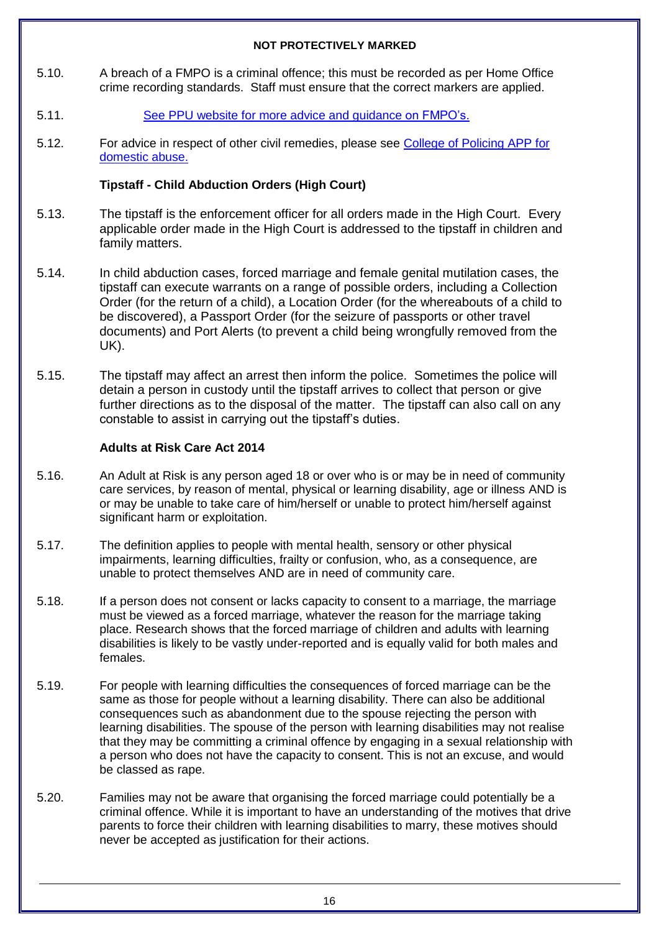- 5.10. A breach of a FMPO is a criminal offence; this must be recorded as per Home Office crime recording standards. Staff must ensure that the correct markers are applied.
- 5.11. [See PPU website for more advice and guidance](http://intranet2/hq_departments/public_protection/domestic_abuse1/forced_marriage__hbv/offence_information.aspx) on FMPO's.
- 5.12. For advice in respect of other civil remedies, please see [College of Policing APP for](https://www.app.college.police.uk/app-content/major-investigation-and-public-protection/domestic-abuse/?s=domestic+abuse)  [domestic abuse.](https://www.app.college.police.uk/app-content/major-investigation-and-public-protection/domestic-abuse/?s=domestic+abuse)

# <span id="page-15-0"></span>**Tipstaff - Child Abduction Orders (High Court)**

- 5.13. The tipstaff is the enforcement officer for all orders made in the High Court. Every applicable order made in the High Court is addressed to the tipstaff in children and family matters.
- 5.14. In child abduction cases, forced marriage and female genital mutilation cases, the tipstaff can execute warrants on a range of possible orders, including a Collection Order (for the return of a child), a Location Order (for the whereabouts of a child to be discovered), a Passport Order (for the seizure of passports or other travel documents) and Port Alerts (to prevent a child being wrongfully removed from the UK).
- 5.15. The tipstaff may affect an arrest then inform the police. Sometimes the police will detain a person in custody until the tipstaff arrives to collect that person or give further directions as to the disposal of the matter. The tipstaff can also call on any constable to assist in carrying out the tipstaff's duties.

# <span id="page-15-1"></span>**Adults at Risk Care Act 2014**

- 5.16. An Adult at Risk is any person aged 18 or over who is or may be in need of community care services, by reason of mental, physical or learning disability, age or illness AND is or may be unable to take care of him/herself or unable to protect him/herself against significant harm or exploitation.
- 5.17. The definition applies to people with mental health, sensory or other physical impairments, learning difficulties, frailty or confusion, who, as a consequence, are unable to protect themselves AND are in need of community care.
- 5.18. If a person does not consent or lacks capacity to consent to a marriage, the marriage must be viewed as a forced marriage, whatever the reason for the marriage taking place. Research shows that the forced marriage of children and adults with learning disabilities is likely to be vastly under-reported and is equally valid for both males and females.
- 5.19. For people with learning difficulties the consequences of forced marriage can be the same as those for people without a learning disability. There can also be additional consequences such as abandonment due to the spouse rejecting the person with learning disabilities. The spouse of the person with learning disabilities may not realise that they may be committing a criminal offence by engaging in a sexual relationship with a person who does not have the capacity to consent. This is not an excuse, and would be classed as rape.
- 5.20. Families may not be aware that organising the forced marriage could potentially be a criminal offence. While it is important to have an understanding of the motives that drive parents to force their children with learning disabilities to marry, these motives should never be accepted as justification for their actions.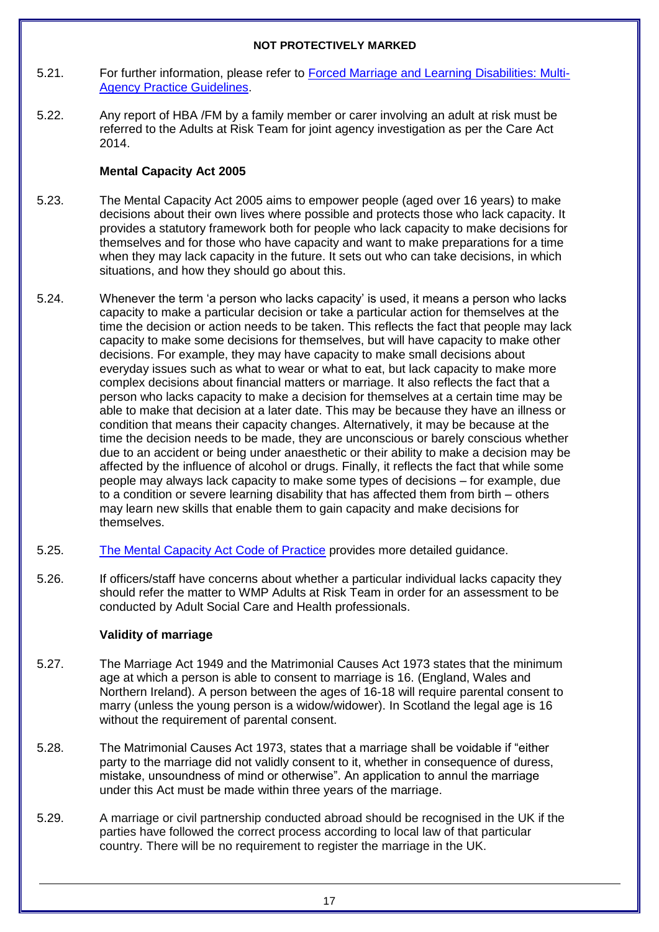- 5.21. For further information, please refer to [Forced Marriage and Learning Disabilities: Multi-](https://www.gov.uk/government/news/forced-marriage-and-learning-disability-new-guidelines-to-help-prevent-abuse)[Agency Practice Guidelines.](https://www.gov.uk/government/news/forced-marriage-and-learning-disability-new-guidelines-to-help-prevent-abuse)
- 5.22. Any report of HBA /FM by a family member or carer involving an adult at risk must be referred to the Adults at Risk Team for joint agency investigation as per the Care Act 2014.

# <span id="page-16-0"></span>**Mental Capacity Act 2005**

- 5.23. The Mental Capacity Act 2005 aims to empower people (aged over 16 years) to make decisions about their own lives where possible and protects those who lack capacity. It provides a statutory framework both for people who lack capacity to make decisions for themselves and for those who have capacity and want to make preparations for a time when they may lack capacity in the future. It sets out who can take decisions, in which situations, and how they should go about this.
- 5.24. Whenever the term 'a person who lacks capacity' is used, it means a person who lacks capacity to make a particular decision or take a particular action for themselves at the time the decision or action needs to be taken. This reflects the fact that people may lack capacity to make some decisions for themselves, but will have capacity to make other decisions. For example, they may have capacity to make small decisions about everyday issues such as what to wear or what to eat, but lack capacity to make more complex decisions about financial matters or marriage. It also reflects the fact that a person who lacks capacity to make a decision for themselves at a certain time may be able to make that decision at a later date. This may be because they have an illness or condition that means their capacity changes. Alternatively, it may be because at the time the decision needs to be made, they are unconscious or barely conscious whether due to an accident or being under anaesthetic or their ability to make a decision may be affected by the influence of alcohol or drugs. Finally, it reflects the fact that while some people may always lack capacity to make some types of decisions – for example, due to a condition or severe learning disability that has affected them from birth – others may learn new skills that enable them to gain capacity and make decisions for themselves.
- 5.25. [The Mental Capacity Act Code of Practice](https://www.gov.uk/government/uploads/system/uploads/attachment_data/file/497253/Mental-capacity-act-code-of-practice.pdf) provides more detailed guidance.
- 5.26. If officers/staff have concerns about whether a particular individual lacks capacity they should refer the matter to WMP Adults at Risk Team in order for an assessment to be conducted by Adult Social Care and Health professionals.

# <span id="page-16-1"></span>**Validity of marriage**

- 5.27. The Marriage Act 1949 and the Matrimonial Causes Act 1973 states that the minimum age at which a person is able to consent to marriage is 16. (England, Wales and Northern Ireland). A person between the ages of 16-18 will require parental consent to marry (unless the young person is a widow/widower). In Scotland the legal age is 16 without the requirement of parental consent.
- 5.28. The Matrimonial Causes Act 1973, states that a marriage shall be voidable if "either party to the marriage did not validly consent to it, whether in consequence of duress, mistake, unsoundness of mind or otherwise". An application to annul the marriage under this Act must be made within three years of the marriage.
- 5.29. A marriage or civil partnership conducted abroad should be recognised in the UK if the parties have followed the correct process according to local law of that particular country. There will be no requirement to register the marriage in the UK.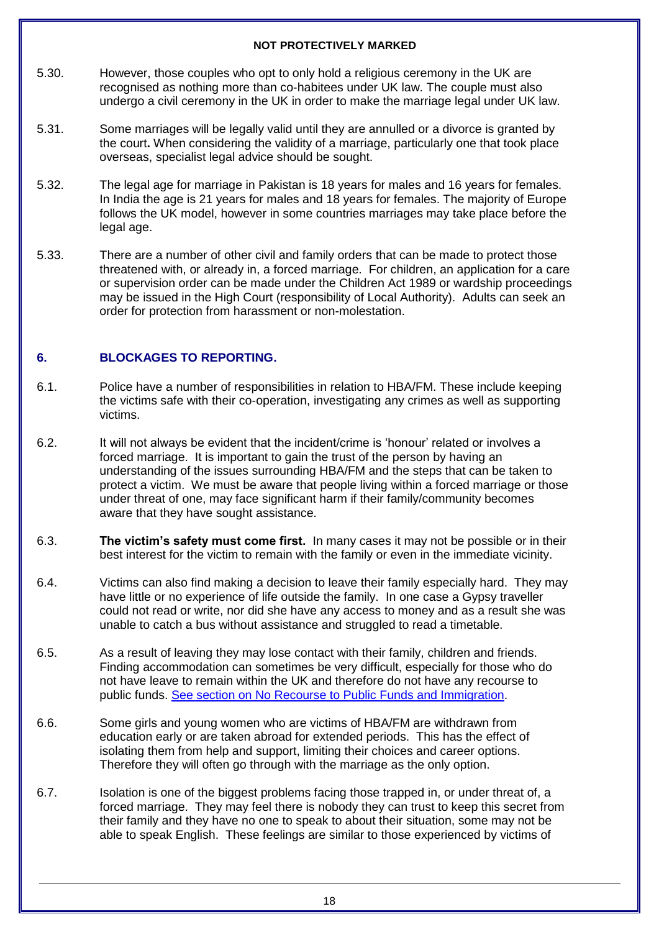- 5.30. However, those couples who opt to only hold a religious ceremony in the UK are recognised as nothing more than co-habitees under UK law. The couple must also undergo a civil ceremony in the UK in order to make the marriage legal under UK law.
- 5.31. Some marriages will be legally valid until they are annulled or a divorce is granted by the court**.** When considering the validity of a marriage, particularly one that took place overseas, specialist legal advice should be sought.
- 5.32. The legal age for marriage in Pakistan is 18 years for males and 16 years for females. In India the age is 21 years for males and 18 years for females. The majority of Europe follows the UK model, however in some countries marriages may take place before the legal age.
- 5.33. There are a number of other civil and family orders that can be made to protect those threatened with, or already in, a forced marriage. For children, an application for a care or supervision order can be made under the Children Act 1989 or wardship proceedings may be issued in the High Court (responsibility of Local Authority). Adults can seek an order for protection from harassment or non-molestation.

# <span id="page-17-0"></span>**6. BLOCKAGES TO REPORTING.**

- 6.1. Police have a number of responsibilities in relation to HBA/FM. These include keeping the victims safe with their co-operation, investigating any crimes as well as supporting victims.
- 6.2. It will not always be evident that the incident/crime is 'honour' related or involves a forced marriage. It is important to gain the trust of the person by having an understanding of the issues surrounding HBA/FM and the steps that can be taken to protect a victim. We must be aware that people living within a forced marriage or those under threat of one, may face significant harm if their family/community becomes aware that they have sought assistance.
- 6.3. **The victim's safety must come first.** In many cases it may not be possible or in their best interest for the victim to remain with the family or even in the immediate vicinity.
- 6.4. Victims can also find making a decision to leave their family especially hard. They may have little or no experience of life outside the family. In one case a Gypsy traveller could not read or write, nor did she have any access to money and as a result she was unable to catch a bus without assistance and struggled to read a timetable.
- 6.5. As a result of leaving they may lose contact with their family, children and friends. Finding accommodation can sometimes be very difficult, especially for those who do not have leave to remain within the UK and therefore do not have any recourse to public funds. [See section on No Recourse to Public Funds and Immigration.](#page-35-0)
- 6.6. Some girls and young women who are victims of HBA/FM are withdrawn from education early or are taken abroad for extended periods. This has the effect of isolating them from help and support, limiting their choices and career options. Therefore they will often go through with the marriage as the only option.
- 6.7. Isolation is one of the biggest problems facing those trapped in, or under threat of, a forced marriage. They may feel there is nobody they can trust to keep this secret from their family and they have no one to speak to about their situation, some may not be able to speak English. These feelings are similar to those experienced by victims of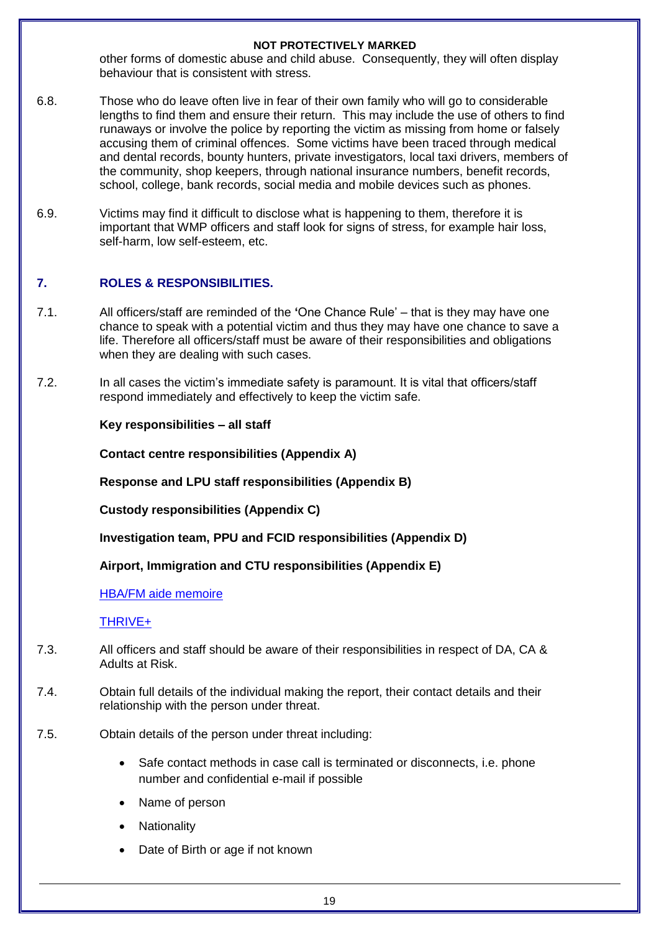other forms of domestic abuse and child abuse. Consequently, they will often display behaviour that is consistent with stress.

- 6.8. Those who do leave often live in fear of their own family who will go to considerable lengths to find them and ensure their return. This may include the use of others to find runaways or involve the police by reporting the victim as missing from home or falsely accusing them of criminal offences. Some victims have been traced through medical and dental records, bounty hunters, private investigators, local taxi drivers, members of the community, shop keepers, through national insurance numbers, benefit records, school, college, bank records, social media and mobile devices such as phones.
- 6.9. Victims may find it difficult to disclose what is happening to them, therefore it is important that WMP officers and staff look for signs of stress, for example hair loss, self-harm, low self-esteem, etc.

# <span id="page-18-0"></span>**7. ROLES & RESPONSIBILITIES.**

- 7.1. All officers/staff are reminded of the **'**One Chance Rule' that is they may have one chance to speak with a potential victim and thus they may have one chance to save a life. Therefore all officers/staff must be aware of their responsibilities and obligations when they are dealing with such cases.
- 7.2. In all cases the victim's immediate safety is paramount. It is vital that officers/staff respond immediately and effectively to keep the victim safe.

# <span id="page-18-1"></span>**Key responsibilities – all staff**

**Contact centre responsibilities (Appendix A)**

**Response and LPU staff responsibilities (Appendix B)**

**Custody responsibilities (Appendix C)**

**Investigation team, PPU and FCID responsibilities (Appendix D)**

**Airport, Immigration and CTU responsibilities (Appendix E)**

# [HBA/FM aide memoire](http://intranet2/content/publicprotection/New_Intranet_Docs_2014/FM_HBV_Aide_memoire.pdf)

# [THRIVE+](http://wmp2020.west-midlands.police.uk/risk-framework/)

- 7.3. All officers and staff should be aware of their responsibilities in respect of DA, CA & Adults at Risk.
- 7.4. Obtain full details of the individual making the report, their contact details and their relationship with the person under threat.
- 7.5. Obtain details of the person under threat including:
	- Safe contact methods in case call is terminated or disconnects, i.e. phone number and confidential e-mail if possible
	- Name of person
	- **Nationality**
	- Date of Birth or age if not known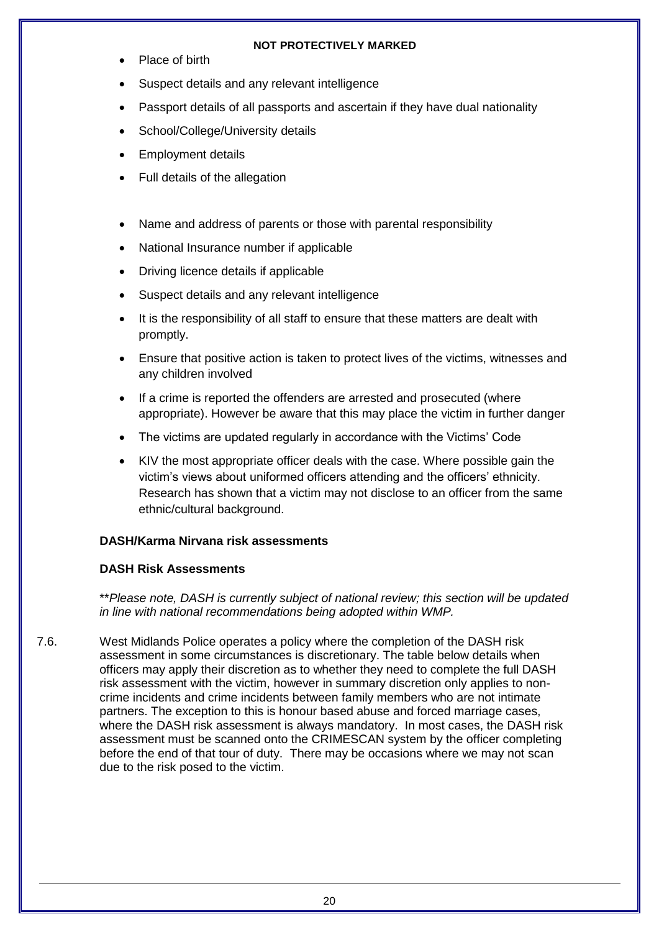- Place of birth
- Suspect details and any relevant intelligence
- Passport details of all passports and ascertain if they have dual nationality
- School/College/University details
- Employment details
- Full details of the allegation
- Name and address of parents or those with parental responsibility
- National Insurance number if applicable
- Driving licence details if applicable
- Suspect details and any relevant intelligence
- It is the responsibility of all staff to ensure that these matters are dealt with promptly.
- Ensure that positive action is taken to protect lives of the victims, witnesses and any children involved
- If a crime is reported the offenders are arrested and prosecuted (where appropriate). However be aware that this may place the victim in further danger
- The victims are updated regularly in accordance with the Victims' Code
- KIV the most appropriate officer deals with the case. Where possible gain the victim's views about uniformed officers attending and the officers' ethnicity. Research has shown that a victim may not disclose to an officer from the same ethnic/cultural background.

# **DASH/Karma Nirvana risk assessments**

# <span id="page-19-0"></span>**DASH Risk Assessments**

\*\**Please note, DASH is currently subject of national review; this section will be updated in line with national recommendations being adopted within WMP.* 

7.6. West Midlands Police operates a policy where the completion of the DASH risk assessment in some circumstances is discretionary. The table below details when officers may apply their discretion as to whether they need to complete the full DASH risk assessment with the victim, however in summary discretion only applies to noncrime incidents and crime incidents between family members who are not intimate partners. The exception to this is honour based abuse and forced marriage cases, where the DASH risk assessment is always mandatory. In most cases, the DASH risk assessment must be scanned onto the CRIMESCAN system by the officer completing before the end of that tour of duty. There may be occasions where we may not scan due to the risk posed to the victim.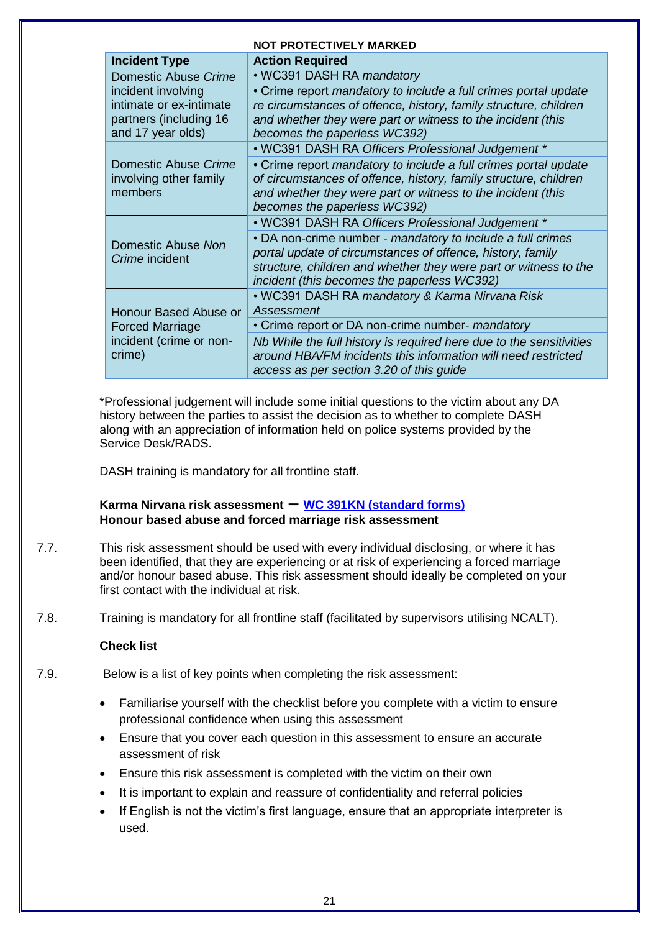| <b>NOT PROTECTIVELY MARKED</b>                                                               |                                                                                                                                                                                                                                             |  |
|----------------------------------------------------------------------------------------------|---------------------------------------------------------------------------------------------------------------------------------------------------------------------------------------------------------------------------------------------|--|
| <b>Incident Type</b>                                                                         | <b>Action Required</b>                                                                                                                                                                                                                      |  |
| Domestic Abuse Crime                                                                         | • WC391 DASH RA mandatory                                                                                                                                                                                                                   |  |
| incident involving<br>intimate or ex-intimate<br>partners (including 16<br>and 17 year olds) | • Crime report mandatory to include a full crimes portal update<br>re circumstances of offence, history, family structure, children<br>and whether they were part or witness to the incident (this<br>becomes the paperless WC392)          |  |
|                                                                                              | • WC391 DASH RA Officers Professional Judgement *                                                                                                                                                                                           |  |
| Domestic Abuse Crime<br>involving other family<br>members                                    | • Crime report mandatory to include a full crimes portal update<br>of circumstances of offence, history, family structure, children<br>and whether they were part or witness to the incident (this<br>becomes the paperless WC392)          |  |
|                                                                                              | • WC391 DASH RA Officers Professional Judgement *                                                                                                                                                                                           |  |
| Domestic Abuse Non<br>Crime incident                                                         | • DA non-crime number - mandatory to include a full crimes<br>portal update of circumstances of offence, history, family<br>structure, children and whether they were part or witness to the<br>incident (this becomes the paperless WC392) |  |
| Honour Based Abuse or                                                                        | • WC391 DASH RA mandatory & Karma Nirvana Risk<br>Assessment                                                                                                                                                                                |  |
| <b>Forced Marriage</b><br>incident (crime or non-<br>crime)                                  | • Crime report or DA non-crime number- mandatory                                                                                                                                                                                            |  |
|                                                                                              | Nb While the full history is required here due to the sensitivities<br>around HBA/FM incidents this information will need restricted<br>access as per section 3.20 of this guide                                                            |  |

\*Professional judgement will include some initial questions to the victim about any DA history between the parties to assist the decision as to whether to complete DASH along with an appreciation of information held on police systems provided by the Service Desk/RADS.

DASH training is mandatory for all frontline staff.

# <span id="page-20-0"></span>**Karma Nirvana risk assessment – [WC 391KN \(standard forms\)](http://apps/standardforms/files/WC391KN.PDF) Honour based abuse and forced marriage risk assessment**

7.7. This risk assessment should be used with every individual disclosing, or where it has been identified, that they are experiencing or at risk of experiencing a forced marriage and/or honour based abuse. This risk assessment should ideally be completed on your first contact with the individual at risk.

7.8. Training is mandatory for all frontline staff (facilitated by supervisors utilising NCALT).

# **Check list**

- 7.9. Below is a list of key points when completing the risk assessment:
	- Familiarise yourself with the checklist before you complete with a victim to ensure professional confidence when using this assessment
	- Ensure that you cover each question in this assessment to ensure an accurate assessment of risk
	- Ensure this risk assessment is completed with the victim on their own
	- It is important to explain and reassure of confidentiality and referral policies
	- If English is not the victim's first language, ensure that an appropriate interpreter is used.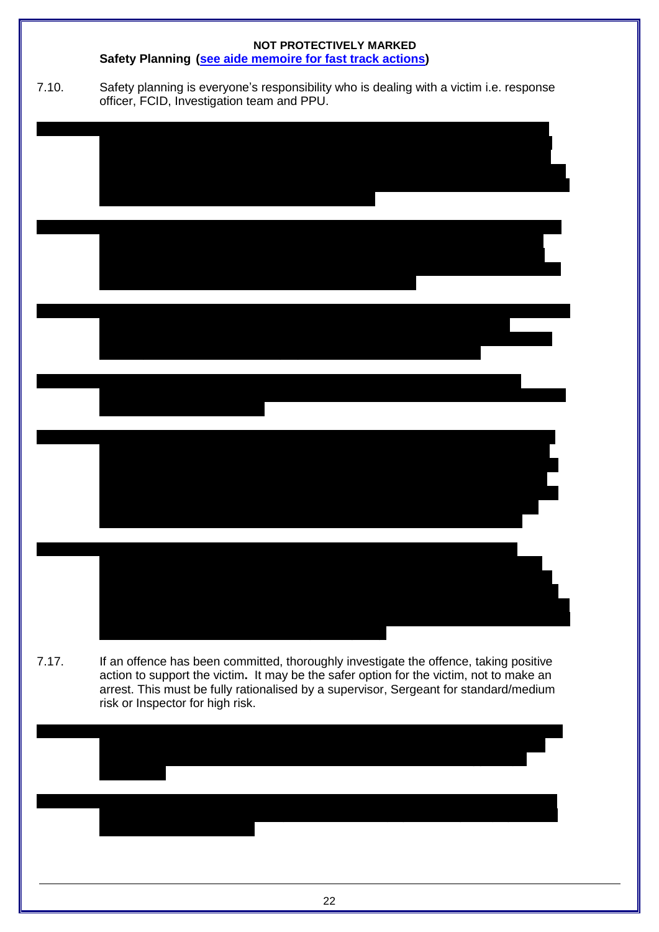<span id="page-21-0"></span>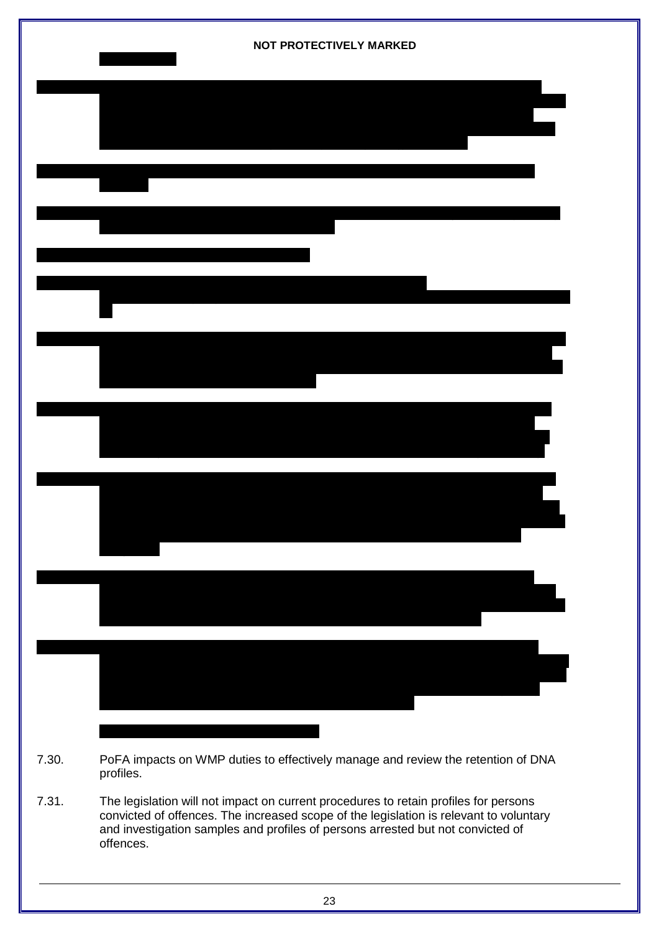<span id="page-22-0"></span>

|       | <b>NOT PROTECTIVELY MARKED</b>                                                                                                                                                                                                                                                 |
|-------|--------------------------------------------------------------------------------------------------------------------------------------------------------------------------------------------------------------------------------------------------------------------------------|
|       |                                                                                                                                                                                                                                                                                |
|       |                                                                                                                                                                                                                                                                                |
|       |                                                                                                                                                                                                                                                                                |
|       |                                                                                                                                                                                                                                                                                |
|       |                                                                                                                                                                                                                                                                                |
|       |                                                                                                                                                                                                                                                                                |
|       |                                                                                                                                                                                                                                                                                |
|       |                                                                                                                                                                                                                                                                                |
|       |                                                                                                                                                                                                                                                                                |
|       |                                                                                                                                                                                                                                                                                |
| 7.30. | PoFA impacts on WMP duties to effectively manage and review the retention of DNA<br>profiles.                                                                                                                                                                                  |
| 7.31. | The legislation will not impact on current procedures to retain profiles for persons<br>convicted of offences. The increased scope of the legislation is relevant to voluntary<br>and investigation samples and profiles of persons arrested but not convicted of<br>offences. |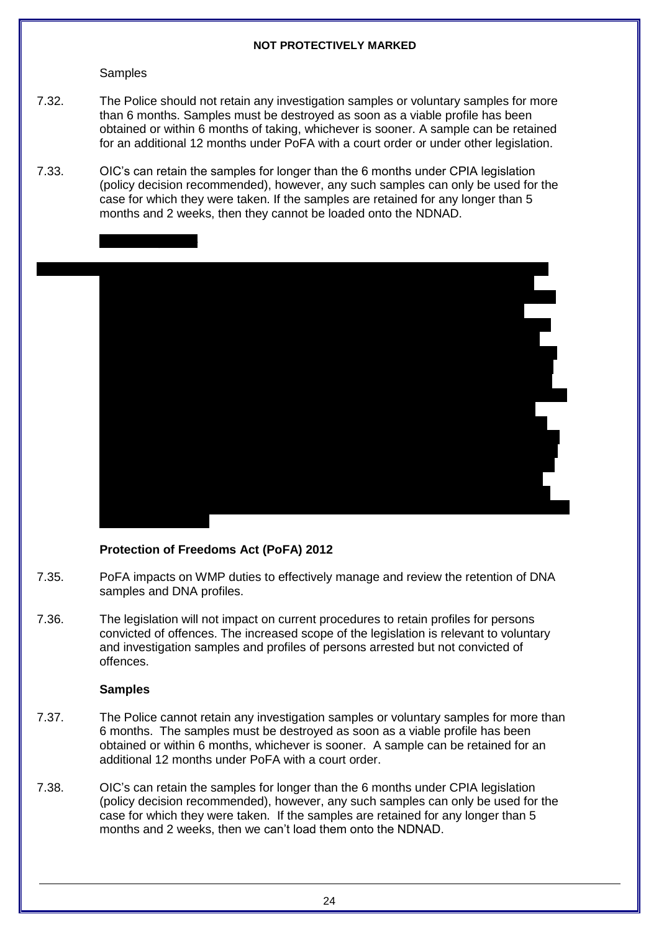## Samples

- 7.32. The Police should not retain any investigation samples or voluntary samples for more than 6 months. Samples must be destroyed as soon as a viable profile has been obtained or within 6 months of taking, whichever is sooner. A sample can be retained for an additional 12 months under PoFA with a court order or under other legislation.
- 7.33. OIC's can retain the samples for longer than the 6 months under CPIA legislation (policy decision recommended), however, any such samples can only be used for the case for which they were taken. If the samples are retained for any longer than 5 months and 2 weeks, then they cannot be loaded onto the NDNAD.



# <span id="page-23-0"></span>**Protection of Freedoms Act (PoFA) 2012**

- 7.35. PoFA impacts on WMP duties to effectively manage and review the retention of DNA samples and DNA profiles.
- 7.36. The legislation will not impact on current procedures to retain profiles for persons convicted of offences. The increased scope of the legislation is relevant to voluntary and investigation samples and profiles of persons arrested but not convicted of offences.

#### <span id="page-23-1"></span>**Samples**

- 7.37. The Police cannot retain any investigation samples or voluntary samples for more than 6 months. The samples must be destroyed as soon as a viable profile has been obtained or within 6 months, whichever is sooner. A sample can be retained for an additional 12 months under PoFA with a court order.
- 7.38. OIC's can retain the samples for longer than the 6 months under CPIA legislation (policy decision recommended), however, any such samples can only be used for the case for which they were taken. If the samples are retained for any longer than 5 months and 2 weeks, then we can't load them onto the NDNAD.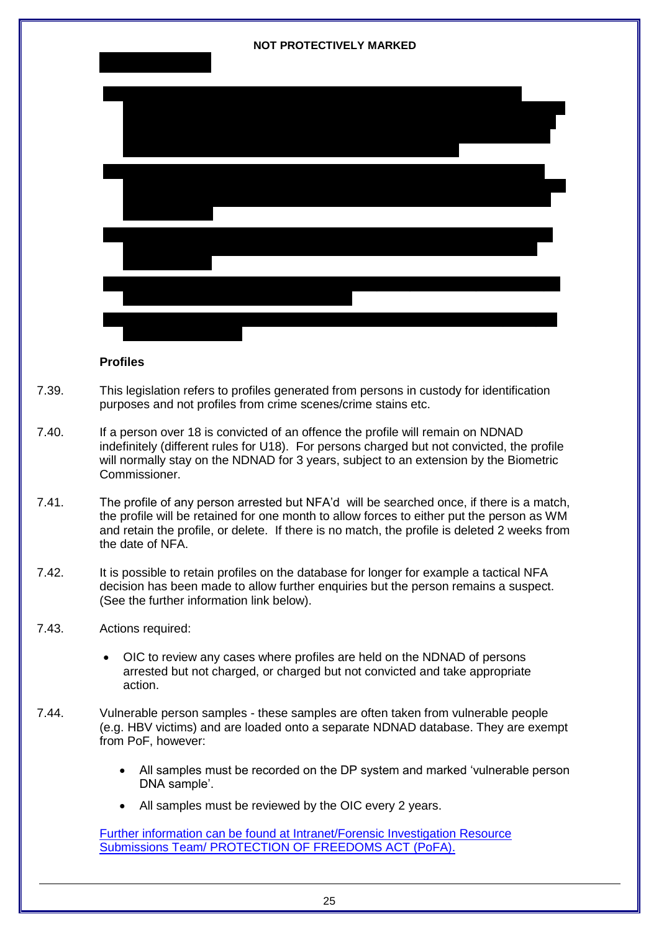<span id="page-24-1"></span><span id="page-24-0"></span>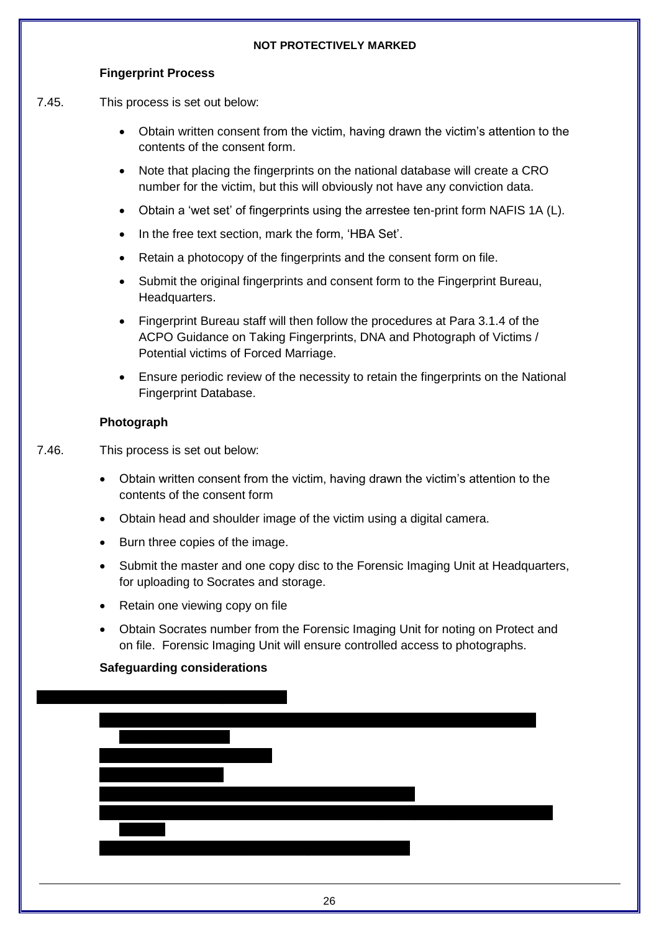# <span id="page-25-0"></span>**Fingerprint Process**

- 7.45. This process is set out below:
	- Obtain written consent from the victim, having drawn the victim's attention to the contents of the consent form.
	- Note that placing the fingerprints on the national database will create a CRO number for the victim, but this will obviously not have any conviction data.
	- Obtain a 'wet set' of fingerprints using the arrestee ten-print form NAFIS 1A (L).
	- In the free text section, mark the form, 'HBA Set'.
	- Retain a photocopy of the fingerprints and the consent form on file.
	- Submit the original fingerprints and consent form to the Fingerprint Bureau, Headquarters.
	- Fingerprint Bureau staff will then follow the procedures at Para 3.1.4 of the ACPO Guidance on Taking Fingerprints, DNA and Photograph of Victims / Potential victims of Forced Marriage.
	- Ensure periodic review of the necessity to retain the fingerprints on the National Fingerprint Database.

# <span id="page-25-1"></span>**Photograph**

- 7.46. This process is set out below:
	- Obtain written consent from the victim, having drawn the victim's attention to the contents of the consent form
	- Obtain head and shoulder image of the victim using a digital camera.
	- Burn three copies of the image.
	- Submit the master and one copy disc to the Forensic Imaging Unit at Headquarters, for uploading to Socrates and storage.
	- Retain one viewing copy on file
	- Obtain Socrates number from the Forensic Imaging Unit for noting on Protect and on file. Forensic Imaging Unit will ensure controlled access to photographs.

# <span id="page-25-2"></span>**Safeguarding considerations**

|  | $\Omega$ |  |
|--|----------|--|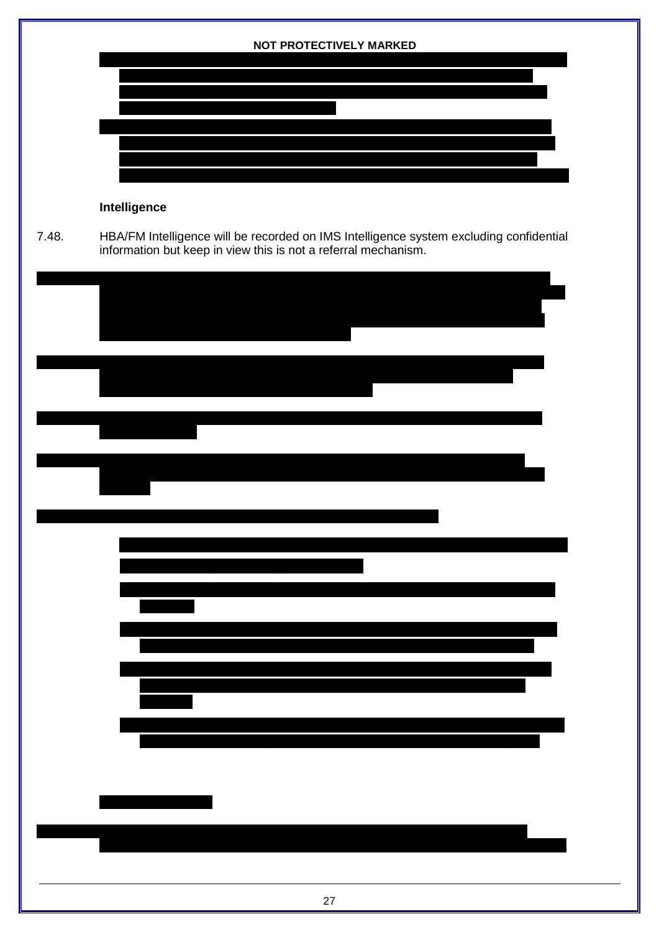<span id="page-26-1"></span><span id="page-26-0"></span>

|       | NOT PROTECTIVELY MARKED                                                                                |
|-------|--------------------------------------------------------------------------------------------------------|
|       |                                                                                                        |
|       |                                                                                                        |
|       |                                                                                                        |
|       |                                                                                                        |
| 7.48. | Intelligence<br>HBA/FM Intelligence will be recorded on IMS Intelligence system excluding confidential |
|       | information but keep in view this is not a referral mechanism.                                         |
|       |                                                                                                        |
|       |                                                                                                        |
|       |                                                                                                        |
|       |                                                                                                        |
|       |                                                                                                        |
|       |                                                                                                        |
|       |                                                                                                        |
|       |                                                                                                        |
|       |                                                                                                        |
|       |                                                                                                        |
|       |                                                                                                        |
|       |                                                                                                        |
|       |                                                                                                        |
|       |                                                                                                        |
|       |                                                                                                        |
|       |                                                                                                        |
|       |                                                                                                        |
|       | 27                                                                                                     |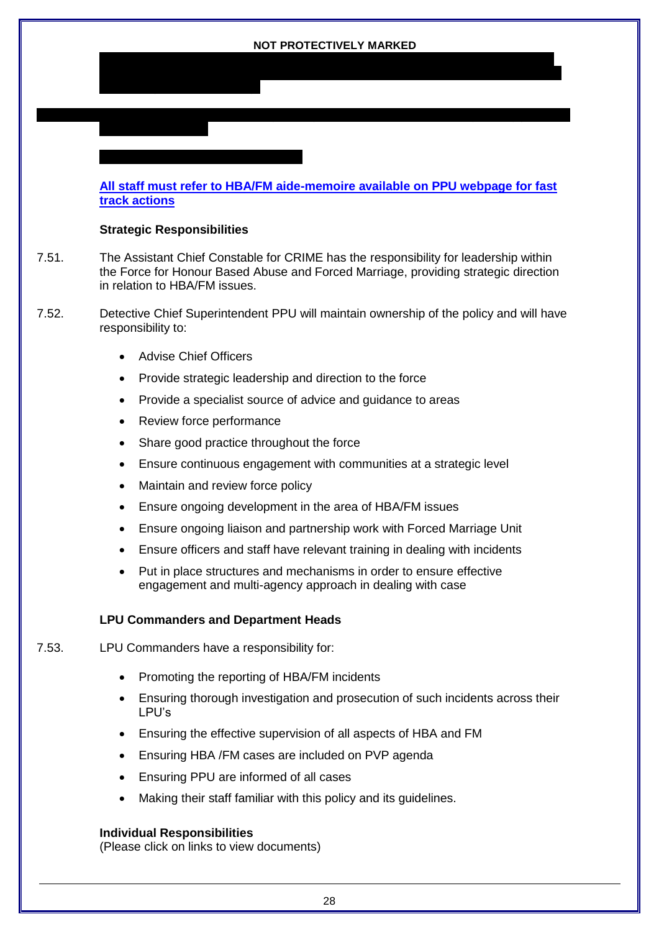<span id="page-27-2"></span><span id="page-27-1"></span><span id="page-27-0"></span>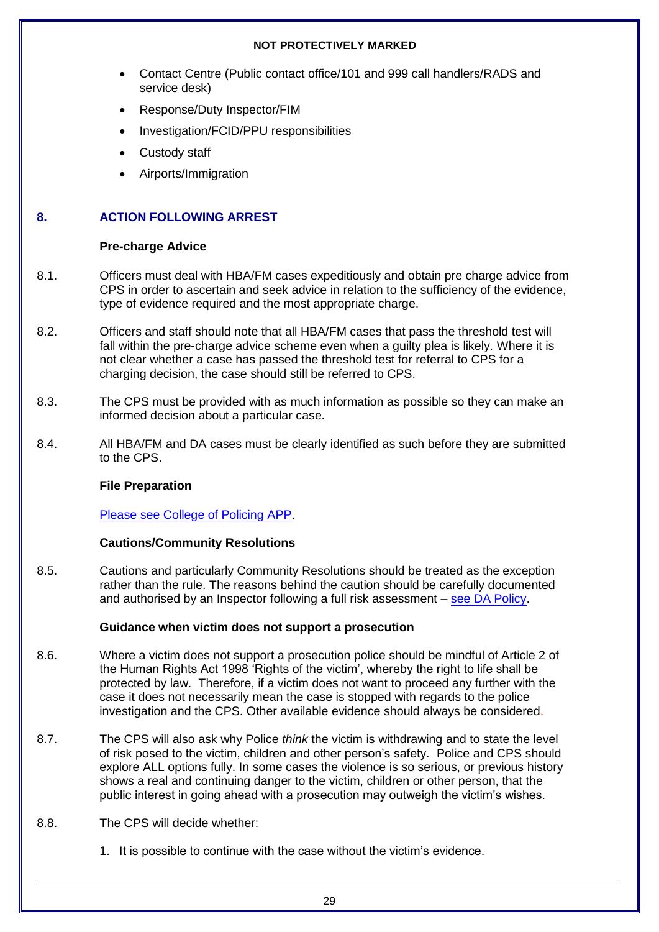- Contact Centre (Public contact office/101 and 999 call handlers/RADS and service desk)
- Response/Duty Inspector/FIM
- Investigation/FCID/PPU responsibilities
- Custody staff
- Airports/Immigration

# <span id="page-28-0"></span>**8. ACTION FOLLOWING ARREST**

# <span id="page-28-1"></span>**Pre-charge Advice**

- 8.1. Officers must deal with HBA/FM cases expeditiously and obtain pre charge advice from CPS in order to ascertain and seek advice in relation to the sufficiency of the evidence, type of evidence required and the most appropriate charge.
- 8.2. Officers and staff should note that all HBA/FM cases that pass the threshold test will fall within the pre-charge advice scheme even when a guilty plea is likely. Where it is not clear whether a case has passed the threshold test for referral to CPS for a charging decision, the case should still be referred to CPS.
- 8.3. The CPS must be provided with as much information as possible so they can make an informed decision about a particular case.
- 8.4. All HBA/FM and DA cases must be clearly identified as such before they are submitted to the CPS.

# <span id="page-28-2"></span>**File Preparation**

# [Please see College of Policing APP.](https://www.app.college.police.uk/app-content/prosecution-and-case-management/charging-and-case-preparation/?s=file+preparation)

# <span id="page-28-3"></span>**Cautions/Community Resolutions**

8.5. Cautions and particularly Community Resolutions should be treated as the exception rather than the rule. The reasons behind the caution should be carefully documented and authorised by an Inspector following a full risk assessment – [see DA Policy.](http://intranet2/policy_portal/policy_library/domestic_abuse.aspx)

# <span id="page-28-4"></span>**Guidance when victim does not support a prosecution**

- 8.6. Where a victim does not support a prosecution police should be mindful of Article 2 of the Human Rights Act 1998 'Rights of the victim', whereby the right to life shall be protected by law. Therefore, if a victim does not want to proceed any further with the case it does not necessarily mean the case is stopped with regards to the police investigation and the CPS. Other available evidence should always be considered.
- 8.7. The CPS will also ask why Police *think* the victim is withdrawing and to state the level of risk posed to the victim, children and other person's safety. Police and CPS should explore ALL options fully. In some cases the violence is so serious, or previous history shows a real and continuing danger to the victim, children or other person, that the public interest in going ahead with a prosecution may outweigh the victim's wishes.
- 8.8. The CPS will decide whether:
	- 1. It is possible to continue with the case without the victim's evidence.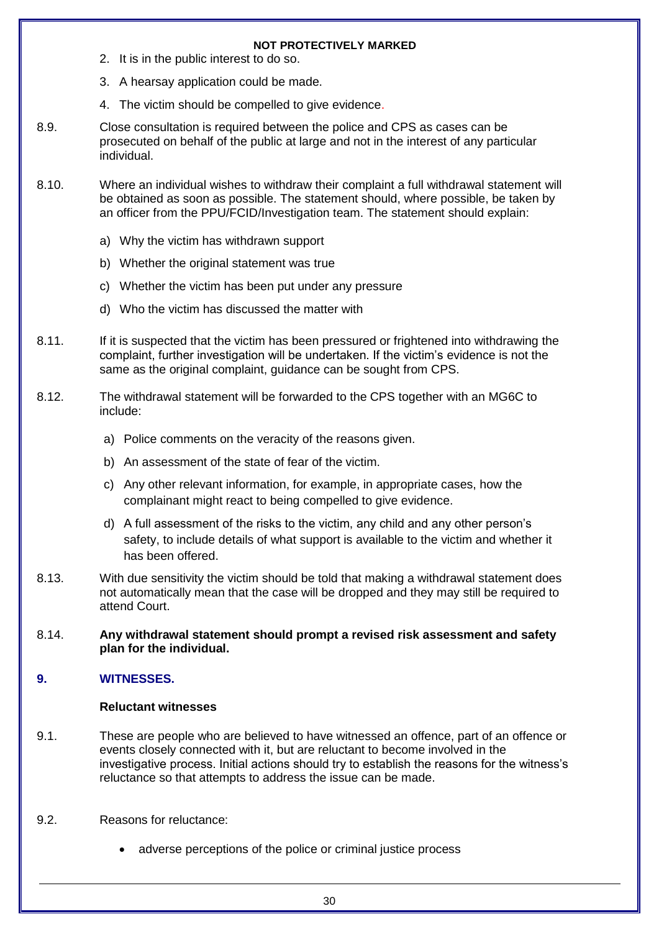- 2. It is in the public interest to do so.
- 3. A hearsay application could be made.
- 4. The victim should be compelled to give evidence.
- 8.9. Close consultation is required between the police and CPS as cases can be prosecuted on behalf of the public at large and not in the interest of any particular individual.
- 8.10. Where an individual wishes to withdraw their complaint a full withdrawal statement will be obtained as soon as possible. The statement should, where possible, be taken by an officer from the PPU/FCID/Investigation team. The statement should explain:
	- a) Why the victim has withdrawn support
	- b) Whether the original statement was true
	- c) Whether the victim has been put under any pressure
	- d) Who the victim has discussed the matter with
- 8.11. If it is suspected that the victim has been pressured or frightened into withdrawing the complaint, further investigation will be undertaken. If the victim's evidence is not the same as the original complaint, guidance can be sought from CPS.
- 8.12. The withdrawal statement will be forwarded to the CPS together with an MG6C to include:
	- a) Police comments on the veracity of the reasons given.
	- b) An assessment of the state of fear of the victim.
	- c) Any other relevant information, for example, in appropriate cases, how the complainant might react to being compelled to give evidence.
	- d) A full assessment of the risks to the victim, any child and any other person's safety, to include details of what support is available to the victim and whether it has been offered.
- 8.13. With due sensitivity the victim should be told that making a withdrawal statement does not automatically mean that the case will be dropped and they may still be required to attend Court.
- 8.14. **Any withdrawal statement should prompt a revised risk assessment and safety plan for the individual.**

# <span id="page-29-0"></span>**9. WITNESSES.**

#### <span id="page-29-1"></span>**Reluctant witnesses**

- 9.1. These are people who are believed to have witnessed an offence, part of an offence or events closely connected with it, but are reluctant to become involved in the investigative process. Initial actions should try to establish the reasons for the witness's reluctance so that attempts to address the issue can be made.
- 9.2. Reasons for reluctance:
	- adverse perceptions of the police or criminal justice process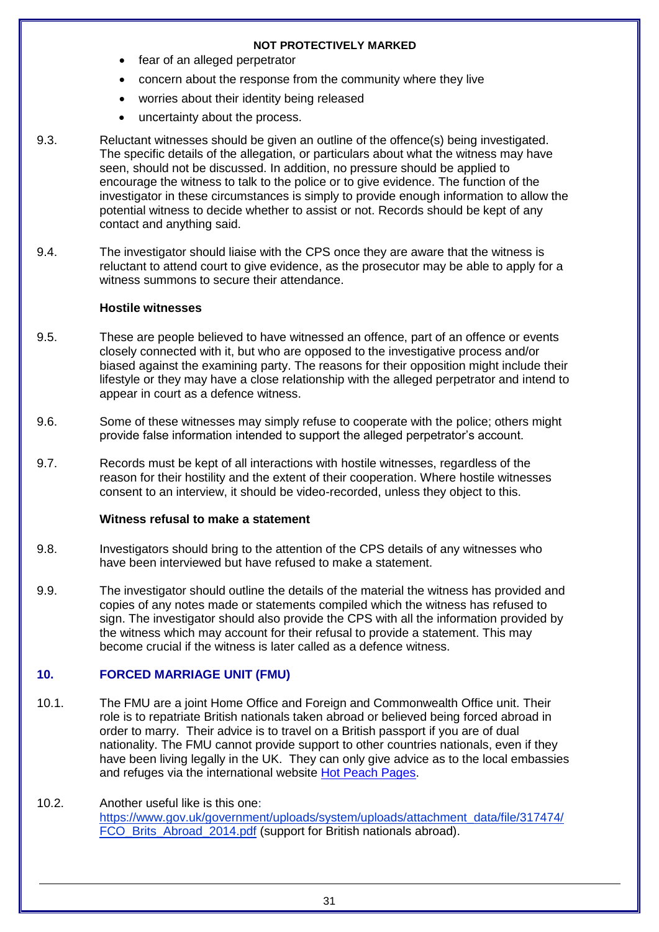- fear of an alleged perpetrator
- concern about the response from the community where they live
- worries about their identity being released
- uncertainty about the process.
- 9.3. Reluctant witnesses should be given an outline of the offence(s) being investigated. The specific details of the allegation, or particulars about what the witness may have seen, should not be discussed. In addition, no pressure should be applied to encourage the witness to talk to the police or to give evidence. The function of the investigator in these circumstances is simply to provide enough information to allow the potential witness to decide whether to assist or not. Records should be kept of any contact and anything said.
- 9.4. The investigator should liaise with the CPS once they are aware that the witness is reluctant to attend court to give evidence, as the prosecutor may be able to apply for a witness summons to secure their attendance.

# <span id="page-30-0"></span>**Hostile witnesses**

- 9.5. These are people believed to have witnessed an offence, part of an offence or events closely connected with it, but who are opposed to the investigative process and/or biased against the examining party. The reasons for their opposition might include their lifestyle or they may have a close relationship with the alleged perpetrator and intend to appear in court as a defence witness.
- 9.6. Some of these witnesses may simply refuse to cooperate with the police; others might provide false information intended to support the alleged perpetrator's account.
- 9.7. Records must be kept of all interactions with hostile witnesses, regardless of the reason for their hostility and the extent of their cooperation. Where hostile witnesses consent to an interview, it should be video-recorded, unless they object to this.

# <span id="page-30-1"></span>**Witness refusal to make a statement**

- 9.8. Investigators should bring to the attention of the CPS details of any witnesses who have been interviewed but have refused to make a statement.
- 9.9. The investigator should outline the details of the material the witness has provided and copies of any notes made or statements compiled which the witness has refused to sign. The investigator should also provide the CPS with all the information provided by the witness which may account for their refusal to provide a statement. This may become crucial if the witness is later called as a defence witness.

# <span id="page-30-2"></span>**10. FORCED MARRIAGE UNIT (FMU)**

- 10.1. The FMU are a joint Home Office and Foreign and Commonwealth Office unit. Their role is to repatriate British nationals taken abroad or believed being forced abroad in order to marry. Their advice is to travel on a British passport if you are of dual nationality. The FMU cannot provide support to other countries nationals, even if they have been living legally in the UK. They can only give advice as to the local embassies and refuges via the international website [Hot Peach Pages.](http://www.hotpeachpages.net/)
- 10.2. Another useful like is this one: [https://www.gov.uk/government/uploads/system/uploads/attachment\\_data/file/317474/](https://www.gov.uk/government/uploads/system/uploads/attachment_data/file/317474/FCO_Brits_Abroad_2014.pdf) [FCO\\_Brits\\_Abroad\\_2014.pdf](https://www.gov.uk/government/uploads/system/uploads/attachment_data/file/317474/FCO_Brits_Abroad_2014.pdf) (support for British nationals abroad).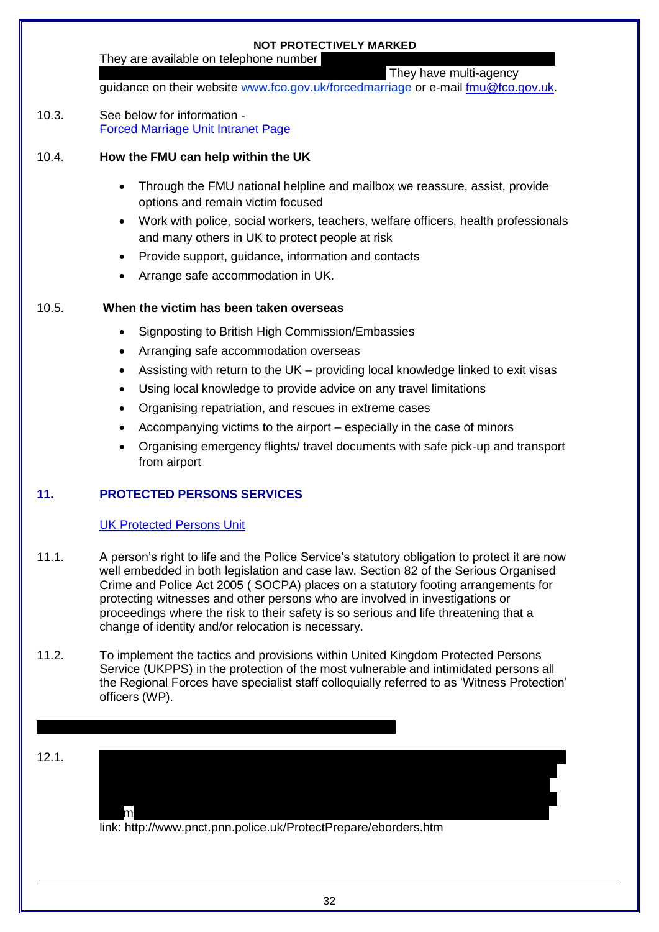They are available on telephone number

#### They have multi-agency

guidance on their website www.fco.gov.uk/forcedmarriage or e-mail [fmu@fco.gov.uk.](mailto:fmu@fco.gov.uk)

## 10.3. See below for information - [Forced Marriage Unit Intranet Page](http://intranet2/hq_departments/public_protection/domestic_abuse1/forced_marriage__hbv/forced_marriage_unit.aspx)

## 10.4. **How the FMU can help within the UK**

- Through the FMU national helpline and mailbox we reassure, assist, provide options and remain victim focused
- Work with police, social workers, teachers, welfare officers, health professionals and many others in UK to protect people at risk
- Provide support, quidance, information and contacts
- Arrange safe accommodation in UK.

## 10.5. **When the victim has been taken overseas**

- Signposting to British High Commission/Embassies
- Arranging safe accommodation overseas
- Assisting with return to the UK providing local knowledge linked to exit visas
- Using local knowledge to provide advice on any travel limitations
- Organising repatriation, and rescues in extreme cases
- Accompanying victims to the airport especially in the case of minors
- Organising emergency flights/ travel documents with safe pick-up and transport from airport

# <span id="page-31-0"></span>**11. PROTECTED PERSONS SERVICES**

#### [UK Protected Persons Unit](http://intranet2/hq_departments/intelligence/intelligence_archive/covert_operations/uk_protected)

- 11.1. A person's right to life and the Police Service's statutory obligation to protect it are now well embedded in both legislation and case law. Section 82 of the Serious Organised Crime and Police Act 2005 ( SOCPA) places on a statutory footing arrangements for protecting witnesses and other persons who are involved in investigations or proceedings where the risk to their safety is so serious and life threatening that a change of identity and/or relocation is necessary.
- 11.2. To implement the tactics and provisions within United Kingdom Protected Persons Service (UKPPS) in the protection of the most vulnerable and intimidated persons all the Regional Forces have specialist staff colloquially referred to as 'Witness Protection' officers (WP).
- <span id="page-31-1"></span> $12.1.$

UK or about to be taken from the UK, consideration should be given to contacting the National Borders Targeting Centre (NBTC) to request the individual be added to the Police Intelligence Watch List or be checked against the Movements Database. More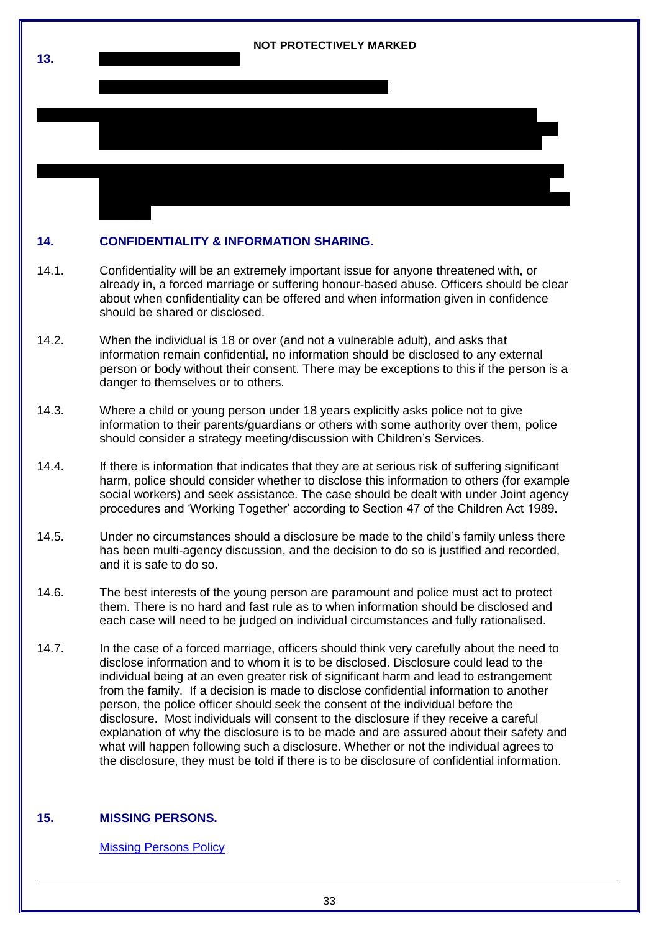<span id="page-32-2"></span><span id="page-32-1"></span><span id="page-32-0"></span>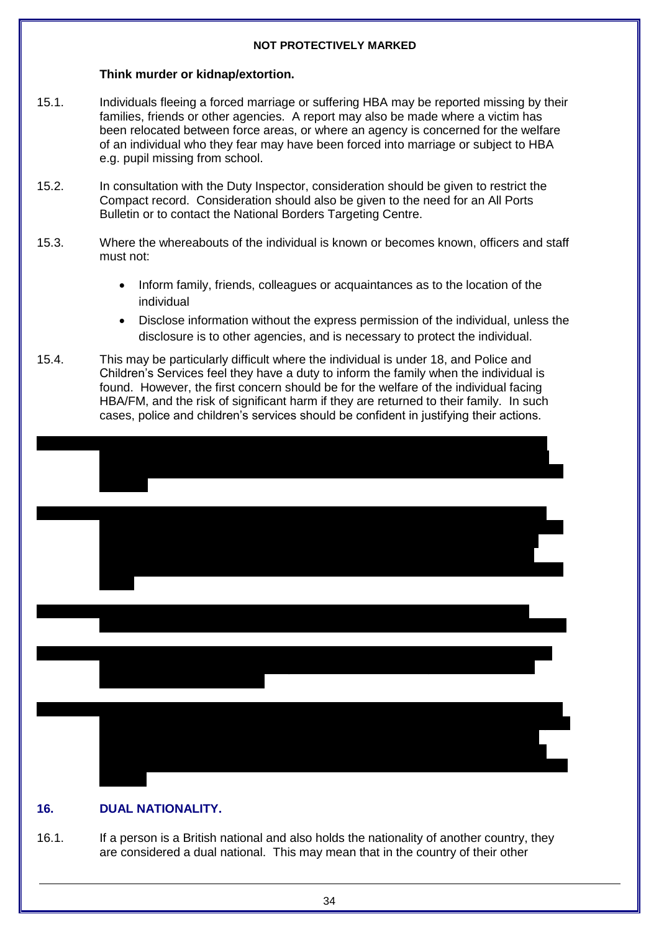# **Think murder or kidnap/extortion.**

- 15.1. Individuals fleeing a forced marriage or suffering HBA may be reported missing by their families, friends or other agencies. A report may also be made where a victim has been relocated between force areas, or where an agency is concerned for the welfare of an individual who they fear may have been forced into marriage or subject to HBA e.g. pupil missing from school.
- 15.2. In consultation with the Duty Inspector, consideration should be given to restrict the Compact record. Consideration should also be given to the need for an All Ports Bulletin or to contact the National Borders Targeting Centre.
- 15.3. Where the whereabouts of the individual is known or becomes known, officers and staff must not:
	- Inform family, friends, colleagues or acquaintances as to the location of the individual
	- Disclose information without the express permission of the individual, unless the disclosure is to other agencies, and is necessary to protect the individual.
- 15.4. This may be particularly difficult where the individual is under 18, and Police and Children's Services feel they have a duty to inform the family when the individual is found. However, the first concern should be for the welfare of the individual facing HBA/FM, and the risk of significant harm if they are returned to their family. In such cases, police and children's services should be confident in justifying their actions.



# <span id="page-33-0"></span>**16. DUAL NATIONALITY.**

16.1. If a person is a British national and also holds the nationality of another country, they are considered a dual national. This may mean that in the country of their other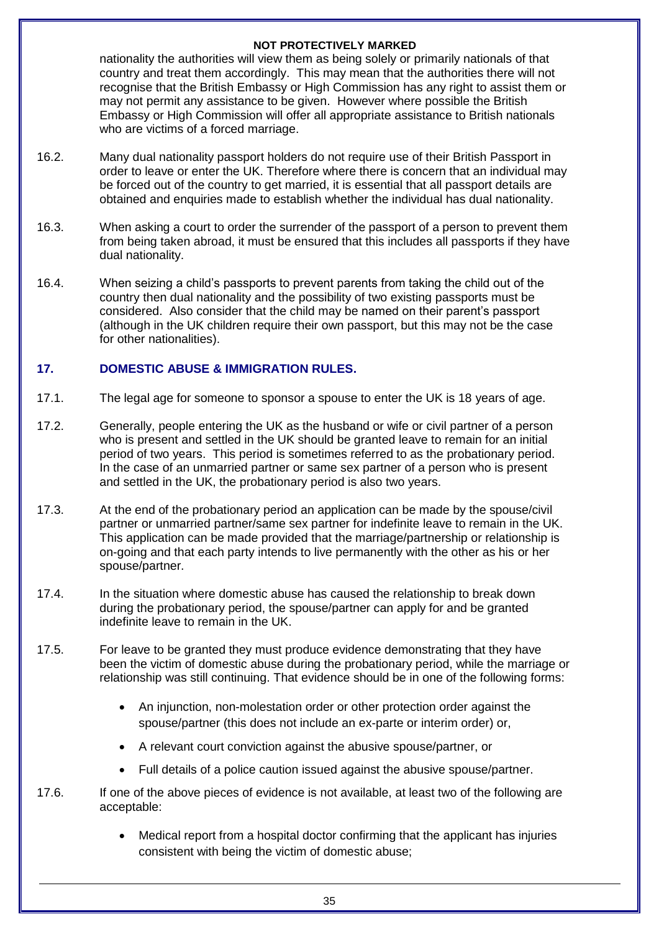nationality the authorities will view them as being solely or primarily nationals of that country and treat them accordingly. This may mean that the authorities there will not recognise that the British Embassy or High Commission has any right to assist them or may not permit any assistance to be given. However where possible the British Embassy or High Commission will offer all appropriate assistance to British nationals who are victims of a forced marriage.

- 16.2. Many dual nationality passport holders do not require use of their British Passport in order to leave or enter the UK. Therefore where there is concern that an individual may be forced out of the country to get married, it is essential that all passport details are obtained and enquiries made to establish whether the individual has dual nationality.
- 16.3. When asking a court to order the surrender of the passport of a person to prevent them from being taken abroad, it must be ensured that this includes all passports if they have dual nationality.
- 16.4. When seizing a child's passports to prevent parents from taking the child out of the country then dual nationality and the possibility of two existing passports must be considered. Also consider that the child may be named on their parent's passport (although in the UK children require their own passport, but this may not be the case for other nationalities).

# <span id="page-34-0"></span>**17. DOMESTIC ABUSE & IMMIGRATION RULES.**

- 17.1. The legal age for someone to sponsor a spouse to enter the UK is 18 years of age.
- 17.2. Generally, people entering the UK as the husband or wife or civil partner of a person who is present and settled in the UK should be granted leave to remain for an initial period of two years. This period is sometimes referred to as the probationary period. In the case of an unmarried partner or same sex partner of a person who is present and settled in the UK, the probationary period is also two years.
- 17.3. At the end of the probationary period an application can be made by the spouse/civil partner or unmarried partner/same sex partner for indefinite leave to remain in the UK. This application can be made provided that the marriage/partnership or relationship is on-going and that each party intends to live permanently with the other as his or her spouse/partner.
- 17.4. In the situation where domestic abuse has caused the relationship to break down during the probationary period, the spouse/partner can apply for and be granted indefinite leave to remain in the UK.
- 17.5. For leave to be granted they must produce evidence demonstrating that they have been the victim of domestic abuse during the probationary period, while the marriage or relationship was still continuing. That evidence should be in one of the following forms:
	- An injunction, non-molestation order or other protection order against the spouse/partner (this does not include an ex-parte or interim order) or,
	- A relevant court conviction against the abusive spouse/partner, or
	- Full details of a police caution issued against the abusive spouse/partner.
- 17.6. If one of the above pieces of evidence is not available, at least two of the following are acceptable:
	- Medical report from a hospital doctor confirming that the applicant has injuries consistent with being the victim of domestic abuse;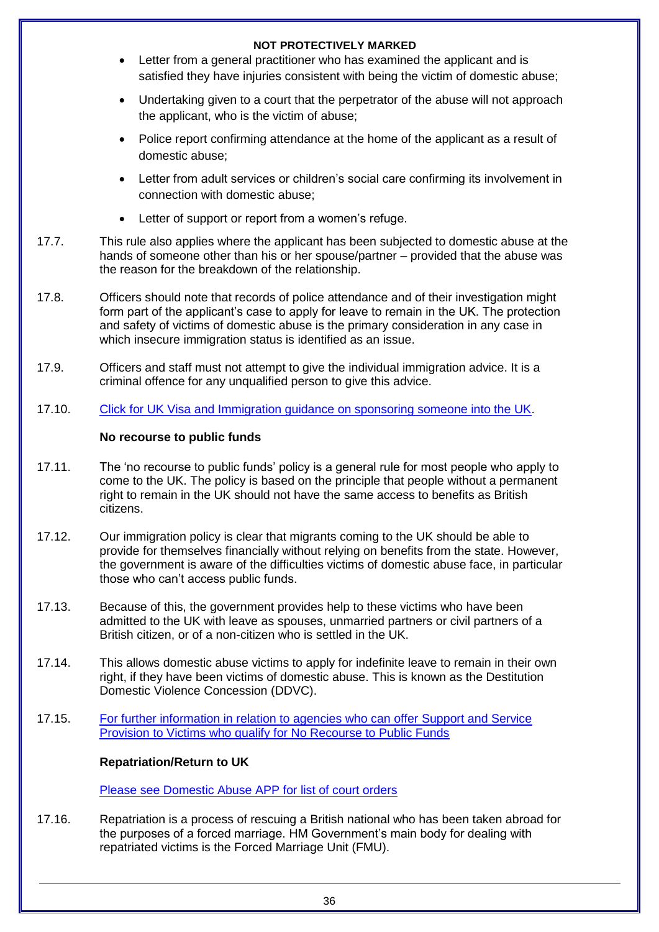- Letter from a general practitioner who has examined the applicant and is satisfied they have injuries consistent with being the victim of domestic abuse;
- Undertaking given to a court that the perpetrator of the abuse will not approach the applicant, who is the victim of abuse;
- Police report confirming attendance at the home of the applicant as a result of domestic abuse;
- Letter from adult services or children's social care confirming its involvement in connection with domestic abuse;
- Letter of support or report from a women's refuge.
- 17.7. This rule also applies where the applicant has been subjected to domestic abuse at the hands of someone other than his or her spouse/partner – provided that the abuse was the reason for the breakdown of the relationship.
- 17.8. Officers should note that records of police attendance and of their investigation might form part of the applicant's case to apply for leave to remain in the UK. The protection and safety of victims of domestic abuse is the primary consideration in any case in which insecure immigration status is identified as an issue.
- 17.9. Officers and staff must not attempt to give the individual immigration advice. It is a criminal offence for any unqualified person to give this advice.
- 17.10. Click [for UK Visa and Immigration guidance on sponsoring someone into the UK.](file://///wmpad/home/users/Parkinson_56408/My%20Documents/1.1.%09https:/www.gov.uk/government/publications/spouses-set03/spouses-set03)

# <span id="page-35-0"></span>**No recourse to public funds**

- 17.11. The 'no recourse to public funds' policy is a general rule for most people who apply to come to the UK. The policy is based on the principle that people without a permanent right to remain in the UK should not have the same access to benefits as British citizens.
- 17.12. Our immigration policy is clear that migrants coming to the UK should be able to provide for themselves financially without relying on benefits from the state. However, the government is aware of the difficulties victims of domestic abuse face, in particular those who can't access public funds.
- 17.13. Because of this, the government provides help to these victims who have been admitted to the UK with leave as spouses, unmarried partners or civil partners of a British citizen, or of a non-citizen who is settled in the UK.
- 17.14. This allows domestic abuse victims to apply for indefinite leave to remain in their own right, if they have been victims of domestic abuse. This is known as the Destitution Domestic Violence Concession (DDVC).
- 17.15. For further information in relation to agencies who can offer Support and Service [Provision to Victims who qualify for No Recourse to Public Funds](http://www.ukba.homeoffice.gov.uk/visas-immigration/while-in-uk/domesticviolence/#header1)

# <span id="page-35-1"></span>**Repatriation/Return to UK**

[Please see Domestic Abuse APP for list of court orders](https://www.app.college.police.uk/app-content/major-investigation-and-public-protection/domestic-abuse/?s=domestic+abuse)

17.16. Repatriation is a process of rescuing a British national who has been taken abroad for the purposes of a forced marriage. HM Government's main body for dealing with repatriated victims is the Forced Marriage Unit (FMU).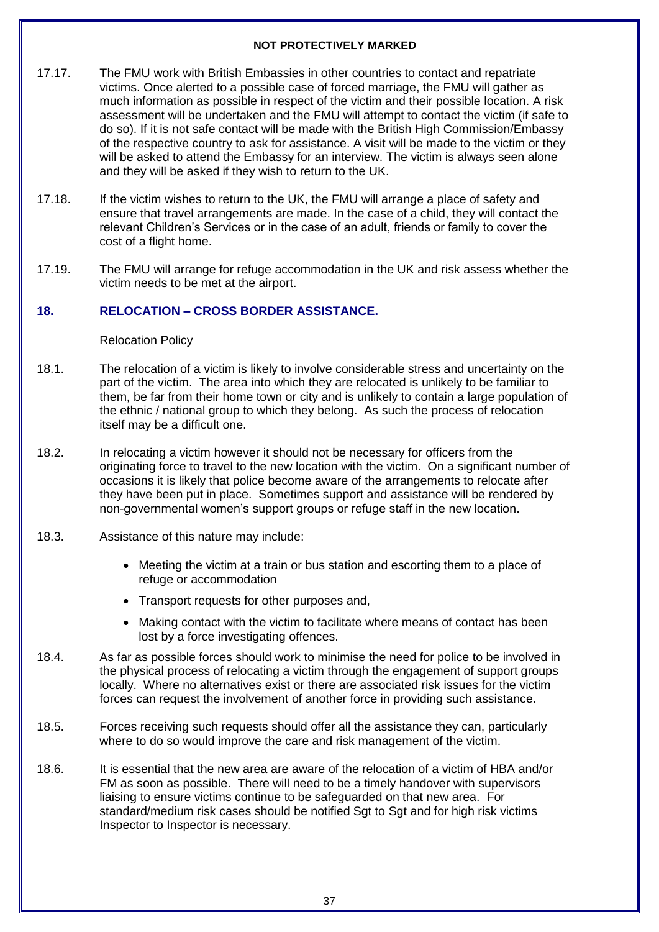- 17.17. The FMU work with British Embassies in other countries to contact and repatriate victims. Once alerted to a possible case of forced marriage, the FMU will gather as much information as possible in respect of the victim and their possible location. A risk assessment will be undertaken and the FMU will attempt to contact the victim (if safe to do so). If it is not safe contact will be made with the British High Commission/Embassy of the respective country to ask for assistance. A visit will be made to the victim or they will be asked to attend the Embassy for an interview. The victim is always seen alone and they will be asked if they wish to return to the UK.
- 17.18. If the victim wishes to return to the UK, the FMU will arrange a place of safety and ensure that travel arrangements are made. In the case of a child, they will contact the relevant Children's Services or in the case of an adult, friends or family to cover the cost of a flight home.
- 17.19. The FMU will arrange for refuge accommodation in the UK and risk assess whether the victim needs to be met at the airport.

# <span id="page-36-0"></span>**18. RELOCATION – CROSS BORDER ASSISTANCE.**

## Relocation Policy

- 18.1. The relocation of a victim is likely to involve considerable stress and uncertainty on the part of the victim. The area into which they are relocated is unlikely to be familiar to them, be far from their home town or city and is unlikely to contain a large population of the ethnic / national group to which they belong. As such the process of relocation itself may be a difficult one.
- 18.2. In relocating a victim however it should not be necessary for officers from the originating force to travel to the new location with the victim. On a significant number of occasions it is likely that police become aware of the arrangements to relocate after they have been put in place. Sometimes support and assistance will be rendered by non-governmental women's support groups or refuge staff in the new location.
- 18.3. Assistance of this nature may include:
	- Meeting the victim at a train or bus station and escorting them to a place of refuge or accommodation
	- Transport requests for other purposes and,
	- Making contact with the victim to facilitate where means of contact has been lost by a force investigating offences.
- 18.4. As far as possible forces should work to minimise the need for police to be involved in the physical process of relocating a victim through the engagement of support groups locally. Where no alternatives exist or there are associated risk issues for the victim forces can request the involvement of another force in providing such assistance.
- 18.5. Forces receiving such requests should offer all the assistance they can, particularly where to do so would improve the care and risk management of the victim.
- 18.6. It is essential that the new area are aware of the relocation of a victim of HBA and/or FM as soon as possible. There will need to be a timely handover with supervisors liaising to ensure victims continue to be safeguarded on that new area. For standard/medium risk cases should be notified Sqt to Sqt and for high risk victims Inspector to Inspector is necessary.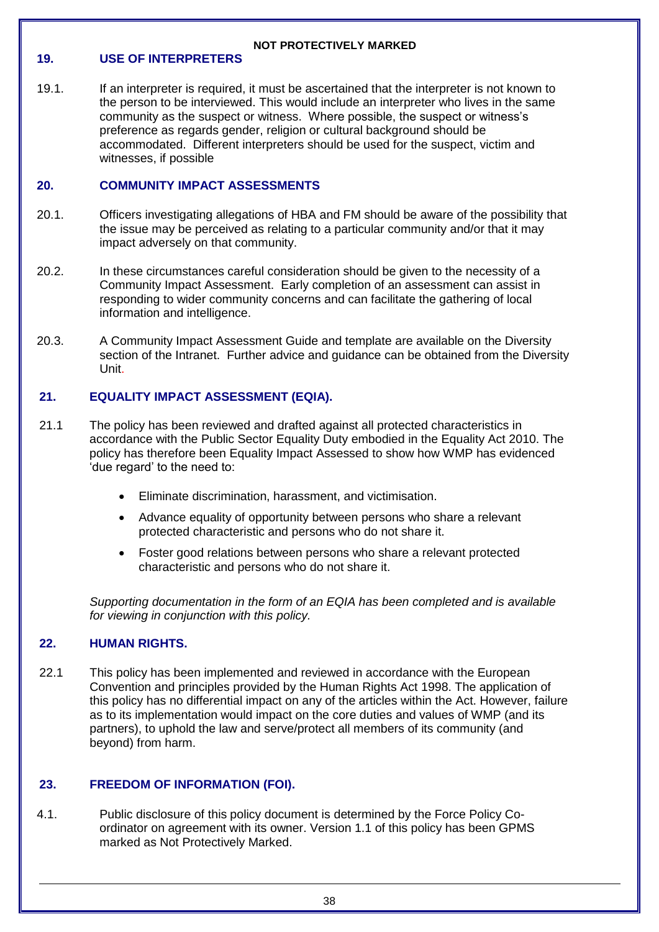# <span id="page-37-0"></span>**19. USE OF INTERPRETERS**

19.1. If an interpreter is required, it must be ascertained that the interpreter is not known to the person to be interviewed. This would include an interpreter who lives in the same community as the suspect or witness. Where possible, the suspect or witness's preference as regards gender, religion or cultural background should be accommodated. Different interpreters should be used for the suspect, victim and witnesses, if possible

# **20. COMMUNITY IMPACT ASSESSMENTS**

- 20.1. Officers investigating allegations of HBA and FM should be aware of the possibility that the issue may be perceived as relating to a particular community and/or that it may impact adversely on that community.
- 20.2. In these circumstances careful consideration should be given to the necessity of a Community Impact Assessment. Early completion of an assessment can assist in responding to wider community concerns and can facilitate the gathering of local information and intelligence.
- 20.3. A Community Impact Assessment Guide and template are available on the Diversity section of the Intranet. Further advice and guidance can be obtained from the Diversity Unit.

# <span id="page-37-1"></span>**21. EQUALITY IMPACT ASSESSMENT (EQIA).**

- 21.1 The policy has been reviewed and drafted against all protected characteristics in accordance with the Public Sector Equality Duty embodied in the Equality Act 2010. The policy has therefore been Equality Impact Assessed to show how WMP has evidenced 'due regard' to the need to:
	- Eliminate discrimination, harassment, and victimisation.
	- Advance equality of opportunity between persons who share a relevant protected characteristic and persons who do not share it.
	- Foster good relations between persons who share a relevant protected characteristic and persons who do not share it.

*Supporting documentation in the form of an EQIA has been completed and is available for viewing in conjunction with this policy.*

# <span id="page-37-2"></span>**22. HUMAN RIGHTS.**

22.1 This policy has been implemented and reviewed in accordance with the European Convention and principles provided by the Human Rights Act 1998. The application of this policy has no differential impact on any of the articles within the Act. However, failure as to its implementation would impact on the core duties and values of WMP (and its partners), to uphold the law and serve/protect all members of its community (and beyond) from harm.

# <span id="page-37-3"></span>**23. FREEDOM OF INFORMATION (FOI).**

4.1. Public disclosure of this policy document is determined by the Force Policy Coordinator on agreement with its owner. Version 1.1 of this policy has been GPMS marked as Not Protectively Marked.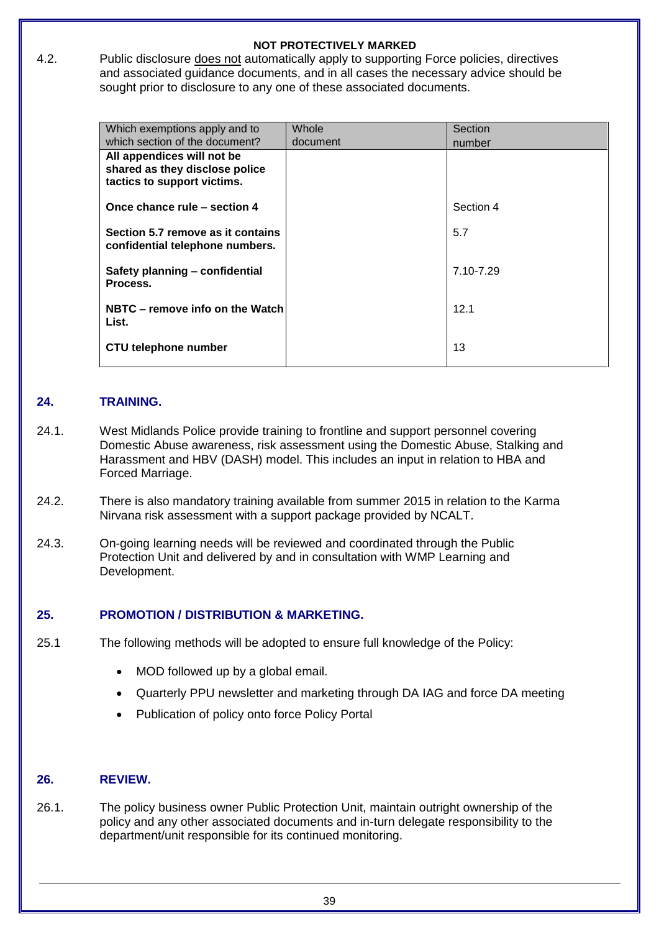|      | <b>NOT PROTECTIVELY MARKED</b>                                                          |
|------|-----------------------------------------------------------------------------------------|
| 4.2. | Public disclosure does not automatically apply to supporting Force policies, directives |
|      | and associated guidance documents, and in all cases the necessary advice should be      |
|      | sought prior to disclosure to any one of these associated documents.                    |

| Which exemptions apply and to<br>which section of the document?                             | Whole<br>document | Section<br>number |
|---------------------------------------------------------------------------------------------|-------------------|-------------------|
| All appendices will not be<br>shared as they disclose police<br>tactics to support victims. |                   |                   |
| Once chance rule – section 4                                                                |                   | Section 4         |
| Section 5.7 remove as it contains<br>confidential telephone numbers.                        |                   | 5.7               |
| Safety planning - confidential<br>Process.                                                  |                   | 7.10-7.29         |
| NBTC – remove info on the Watch<br>List.                                                    |                   | 12.1              |
| <b>CTU telephone number</b>                                                                 |                   | 13                |

# <span id="page-38-0"></span>**24. TRAINING.**

- 24.1. West Midlands Police provide training to frontline and support personnel covering Domestic Abuse awareness, risk assessment using the Domestic Abuse, Stalking and Harassment and HBV (DASH) model. This includes an input in relation to HBA and Forced Marriage.
- 24.2. There is also mandatory training available from summer 2015 in relation to the Karma Nirvana risk assessment with a support package provided by NCALT.
- 24.3. On-going learning needs will be reviewed and coordinated through the Public Protection Unit and delivered by and in consultation with WMP Learning and Development.

# <span id="page-38-1"></span>**25. PROMOTION / DISTRIBUTION & MARKETING.**

- 25.1 The following methods will be adopted to ensure full knowledge of the Policy:
	- MOD followed up by a global email.
	- Quarterly PPU newsletter and marketing through DA IAG and force DA meeting
	- Publication of policy onto force Policy Portal

#### <span id="page-38-2"></span>**26. REVIEW.**

26.1. The policy business owner Public Protection Unit, maintain outright ownership of the policy and any other associated documents and in-turn delegate responsibility to the department/unit responsible for its continued monitoring.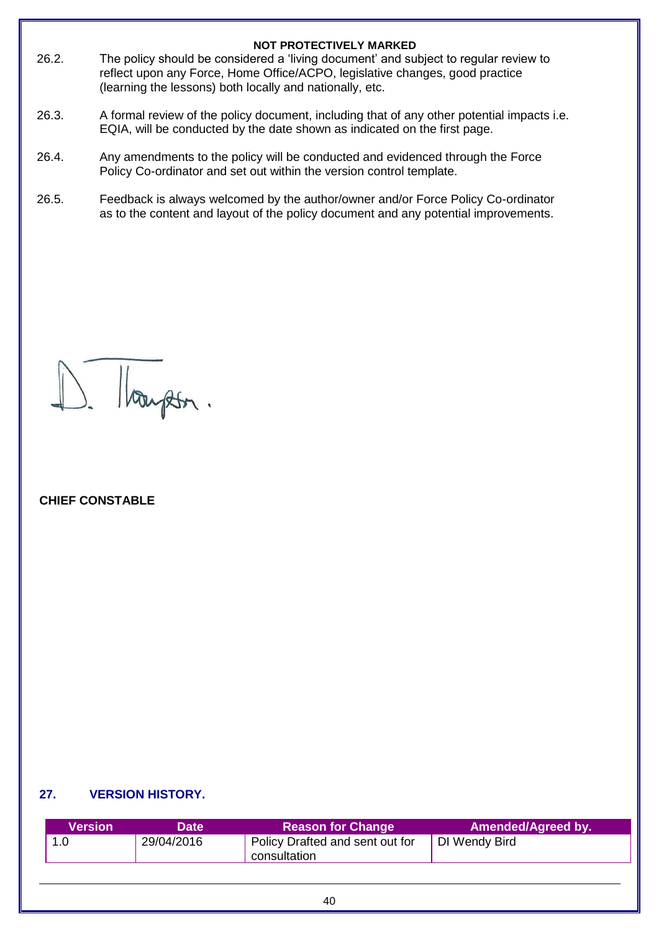- **NOT PROTECTIVELY MARKED** 26.2. The policy should be considered a 'living document' and subject to regular review to reflect upon any Force, Home Office/ACPO, legislative changes, good practice (learning the lessons) both locally and nationally, etc.
- 26.3. A formal review of the policy document, including that of any other potential impacts i.e. EQIA, will be conducted by the date shown as indicated on the first page.
- 26.4. Any amendments to the policy will be conducted and evidenced through the Force Policy Co-ordinator and set out within the version control template.
- 26.5. Feedback is always welcomed by the author/owner and/or Force Policy Co-ordinator as to the content and layout of the policy document and any potential improvements.

Housen.

# **CHIEF CONSTABLE**

# <span id="page-39-0"></span>**27. VERSION HISTORY.**

| <b>Version</b> | <b>Date</b> | <b>Reason for Change</b>                        | <b>Amended/Agreed by.</b> |
|----------------|-------------|-------------------------------------------------|---------------------------|
| 1.0            | 29/04/2016  | Policy Drafted and sent out for<br>consultation | DI Wendy Bird             |
|                |             |                                                 |                           |
| 40             |             |                                                 |                           |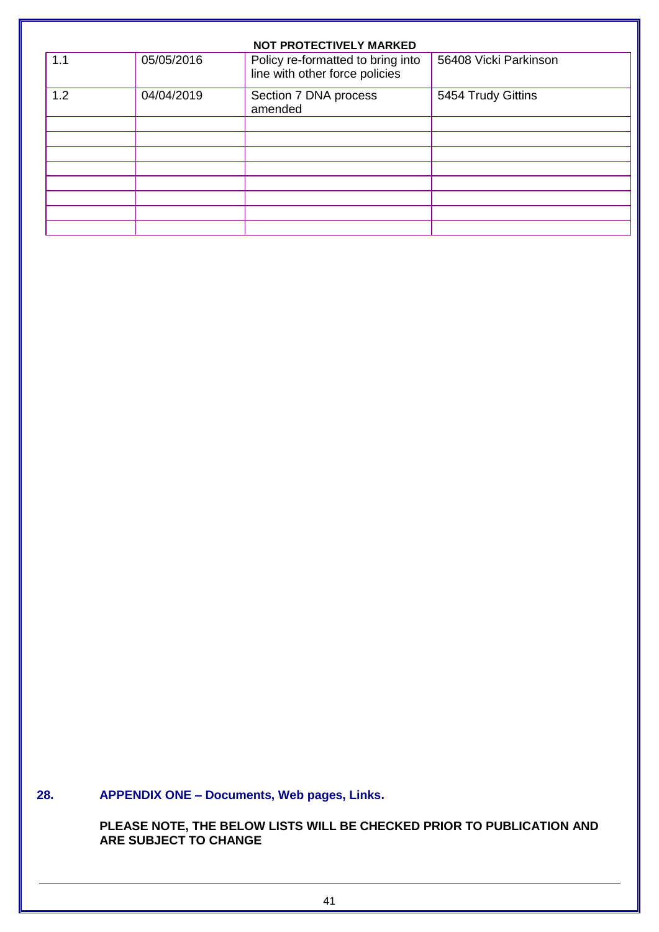<span id="page-40-0"></span>

|     |            | <b>NOT PROTECTIVELY MARKED</b>                                      |                       |
|-----|------------|---------------------------------------------------------------------|-----------------------|
| 1.1 | 05/05/2016 | Policy re-formatted to bring into<br>line with other force policies | 56408 Vicki Parkinson |
| 1.2 | 04/04/2019 | Section 7 DNA process<br>amended                                    | 5454 Trudy Gittins    |
|     |            |                                                                     |                       |
|     |            |                                                                     |                       |
|     |            |                                                                     |                       |
|     |            |                                                                     |                       |
|     |            |                                                                     |                       |

# **28. APPENDIX ONE – Documents, Web pages, Links.**

**PLEASE NOTE, THE BELOW LISTS WILL BE CHECKED PRIOR TO PUBLICATION AND ARE SUBJECT TO CHANGE**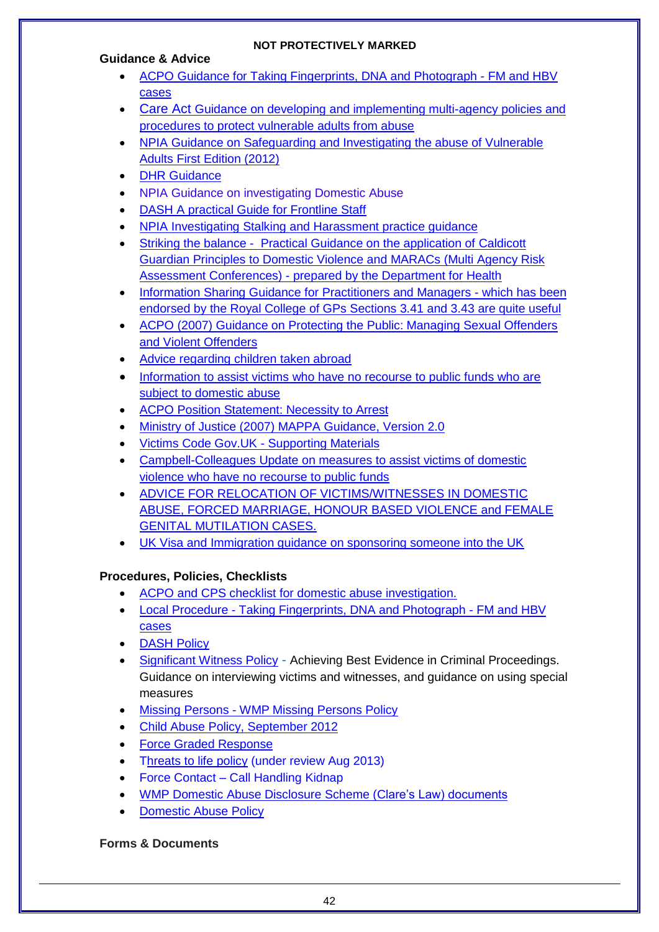# **Guidance & Advice**

- [ACPO Guidance for Taking Fingerprints, DNA and Photograph -](http://intranet2/docs/%20Fingerprints%20DNA%20Photos%20of%20Victims%20of%20Forced%20Marriage%20Handling%20Procedures.doc) FM and HBV [cases](http://intranet2/docs/%20Fingerprints%20DNA%20Photos%20of%20Victims%20of%20Forced%20Marriage%20Handling%20Procedures.doc)
- Care Act [Guidance on developing and implementing multi-agency policies and](http://www.legislation.gov.uk/ukpga/2014/23/contents/enacted)  [procedures to protect vulnerable adults from abuse](http://www.legislation.gov.uk/ukpga/2014/23/contents/enacted)
- [NPIA Guidance on Safeguarding and Investigating the abuse of Vulnerable](http://intranet2/content/publicprotection/Vulnerable_Adult_Abuse/Safeguarding_Vulnerable_Adults_(2012).pdf)  [Adults First Edition \(2012\)](http://intranet2/content/publicprotection/Vulnerable_Adult_Abuse/Safeguarding_Vulnerable_Adults_(2012).pdf)
- **[DHR Guidance](http://intranet2/pdf/March%202010%20Domestic%20Homicide%20Review%20Interim%20Guidance2.pdf)**
- NPIA Guidance on investigating Domestic Abuse
- [DASH A practical Guide for Frontline Staff](http://intranet2/content/publicprotection/Domestic_Abuse/RIADAI-01_A5_Crime_manual.pdf)
- [NPIA Investigating Stalking and Harassment practice guidance](http://intranet2/content/publicprotection/A-Z/Investigating_Harrassment_2005.pdf)
- Striking the balance [Practical Guidance on the application of](http://www.caada.org.uk/marac/Caldicott%20guidance%20-%20Striking%20the%20Balance.pdf) Caldicott [Guardian Principles to Domestic Violence and](http://www.caada.org.uk/marac/Caldicott%20guidance%20-%20Striking%20the%20Balance.pdf) MARACs (Multi Agency Risk Assessment Conferences) - [prepared by the Department for Health](http://www.caada.org.uk/marac/Caldicott%20guidance%20-%20Striking%20the%20Balance.pdf)
- [Information Sharing Guidance for](http://webarchive.nationalarchives.gov.uk/20130401151715/https:/www.education.gov.uk/publications/eOrderingDownload/00807-2008BKT-EN-March09.pdf) Practitioners and Managers which has been [endorsed by the Royal College of GPs Sections 3.41 and 3.43](http://webarchive.nationalarchives.gov.uk/20130401151715/https:/www.education.gov.uk/publications/eOrderingDownload/00807-2008BKT-EN-March09.pdf) are quite useful
- [ACPO \(2007\) Guidance on Protecting the Public: Managing Sexual Offenders](http://intranet2/content/publicprotection/Sex_Offender_Management/NPIA_GUIDANCE_V_2.pdf)  [and Violent Offenders](http://intranet2/content/publicprotection/Sex_Offender_Management/NPIA_GUIDANCE_V_2.pdf)
- [Advice regarding children taken abroad](http://intranet2/content/publicprotection/New_Intranet_Docs_2014/AA_MINORS_west_midlands_police_-_5_nov_2014.ppt)
- [Information to assist victims who have no recourse to public funds who are](http://www.ukba.homeoffice.gov.uk/visas-immigration/while-in-uk/domesticviolence/#header1)  [subject to domestic abuse](http://www.ukba.homeoffice.gov.uk/visas-immigration/while-in-uk/domesticviolence/#header1)
- [ACPO Position Statement: Necessity to Arrest](http://intranet2/pdf/ACPO%20Position%20Statement%20Necessity%20to%20Arrest%20v2.pdf)
- [Ministry of Justice \(2007\) MAPPA Guidance, Version 2.0](http://www.justice.gov.uk/search?collection=moj-matrix-dev-web&form=simple&profile=_default&query=MAPPA+guidance+2012)
- [Victims Code Gov.UK -](https://www.gov.uk/government/publications/the-code-of-practice-for-victims-of-crime) Supporting Materials
- [Campbell-Colleagues Update on measures to assist victims of domestic](http://intranet2/pdf/2009-11-10%20Campbell-Collegues%20Update%20on%20measures%20to%20assist%20victims%20of%20domestic%20violence%20who%20have%20no%20recourse%20to%20public%20funds.pdf)  [violence who have no recourse to public funds](http://intranet2/pdf/2009-11-10%20Campbell-Collegues%20Update%20on%20measures%20to%20assist%20victims%20of%20domestic%20violence%20who%20have%20no%20recourse%20to%20public%20funds.pdf)
- [ADVICE FOR RELOCATION OF VICTIMS/WITNESSES IN DOMESTIC](http://intranet2/content/publicprotection/New_Intranet_Docs_2014/Relocation_of_domestic_abuse_victims_March_2015_(4).pdf)  [ABUSE, FORCED MARRIAGE, HONOUR BASED VIOLENCE and FEMALE](http://intranet2/content/publicprotection/New_Intranet_Docs_2014/Relocation_of_domestic_abuse_victims_March_2015_(4).pdf)  [GENITAL MUTILATION CASES.](http://intranet2/content/publicprotection/New_Intranet_Docs_2014/Relocation_of_domestic_abuse_victims_March_2015_(4).pdf)
- [UK Visa and Immigration guidance on sponsoring someone into the UK](file://///wmpad/home/users/Parkinson_56408/My%20Documents/1.1.%09https:/www.gov.uk/government/publications/spouses-set03/spouses-set03)

# **Procedures, Policies, Checklists**

- [ACPO and CPS checklist for domestic abuse investigation.](http://apps/standardforms/files/MG00.DOT)
- Local Procedure [Taking Fingerprints, DNA and Photograph -](http://intranet2/hq_departments/public_protection/domestic_abuse1/forced_marriage__hbv/dna_fingerprints_photographs.aspx) FM and HBV [cases](http://intranet2/hq_departments/public_protection/domestic_abuse1/forced_marriage__hbv/dna_fingerprints_photographs.aspx)
- [DASH Policy](http://intranet2/content/publicprotection/Domestic_Abuse/40591_Layout_1.pdf)
- [Significant Witness Policy](http://intranet2/content/B_LDRC/Investigative/Interviewing/ABE_2011.pdf) Achieving Best Evidence in Criminal Proceedings. Guidance on interviewing victims and witnesses, and guidance on using special measures
- Missing Persons [WMP Missing Persons Policy](http://intranet2/docs/Missing%20Persons%20Policy.doc)
- [Child Abuse Policy, September 2012](http://intranet2/content/publicprotection/A-Z/Child_Abuse_Policy,_September_2012.pdf)
- [Force Graded Response](http://intranet2/policy_portal/force_graded_response.aspx)
- [Threats to life policy](http://intranet2/content/B_CorpServ/Support_Services/07-2008.pdf) (under review Aug 2013)
- Force Contact Call Handling Kidnap
- [WMP Domestic Abuse Disclosure Scheme \(Clare's Law\) documents](http://intranet2/hq_departments/public_protection/a_to_z_of_useful_documents.aspx#D)
- **[Domestic Abuse Policy](http://intranet2/policy_portal/policy_library/domestic_abuse.aspx)**

# **Forms & Documents**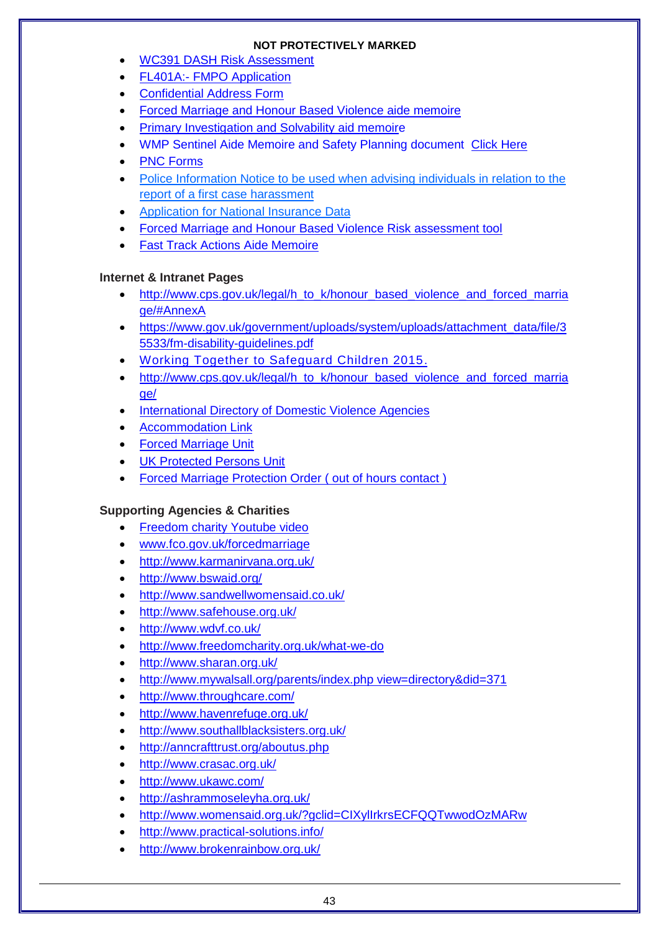- [WC391 DASH Risk Assessment](http://apps/standardforms/files/WC391%20DASH%20RA.PDF)
- FL401A:- [FMPO Application](http://intranet2/pdf/FL401%20A%20FORCED%20MARRIAGE%20FORM.pdf)
- [Confidential Address Form](http://intranet2/pdf/c8-confidential%20address1.pdf)
- [Forced Marriage and Honour Based Violence aide memoire](http://intranet2/content/publicprotection/New_Intranet_Docs_2014/FM_HBV_Aide_memoire.pdf)
- [Primary Investigation and Solvability aid memoire](http://intranet2/PDF/A5%20Primary%20Investigation%20Aide%20Memoire1.pdf)
- WMP Sentinel Aide Memoire and Safety Planning document [Click Here](http://intranet2/content/publicprotection/New_Intranet_Docs_2014/FMHBV-2014_aide_memoire_Layout_1.pdf)
- [PNC Forms](http://intranet2/hq_departments/information_services/information_management/police_national_computer/pnc_forms.aspx)
- [Police Information Notice to be used when advising individuals in relation to the](http://intranet2/content/publicprotection/A-Z/PIN_-_Harassment_Notice.doc)  [report of a first case harassment](http://intranet2/content/publicprotection/A-Z/PIN_-_Harassment_Notice.doc)
- [Application for National Insurance Data](http://intranet2/docs/Application%20for%20making%20National%20Insurance%20Data.doc)
- [Forced Marriage and Honour Based Violence Risk assessment tool](http://intranet2/content/publicprotection/New_Intranet_Docs_2014/KN_Risk_Assessment_West_Midlands_December_2014.docx)
- **[Fast Track Actions Aide Memoire](http://intranet2/content/publicprotection/New_Intranet_Docs_2014/FMHBV-2014_aide_memoire_Layout_1.pdf)**

# **Internet & Intranet Pages**

- [http://www.cps.gov.uk/legal/h\\_to\\_k/honour\\_based\\_violence\\_and\\_forced\\_marria](http://www.cps.gov.uk/legal/h_to_k/honour_based_violence_and_forced_marriage/#AnnexA) [ge/#AnnexA](http://www.cps.gov.uk/legal/h_to_k/honour_based_violence_and_forced_marriage/#AnnexA)
- [https://www.gov.uk/government/uploads/system/uploads/attachment\\_data/file/3](https://www.gov.uk/government/uploads/system/uploads/attachment_data/file/35533/fm-disability-guidelines.pdf) [5533/fm-disability-guidelines.pdf](https://www.gov.uk/government/uploads/system/uploads/attachment_data/file/35533/fm-disability-guidelines.pdf)
- [Working Together to Safeguard Children 2015.](https://www.gov.uk/government/uploads/system/uploads/attachment_data/file/417632/Working_Together_to_Safeguard_Children.pdf)
- [http://www.cps.gov.uk/legal/h\\_to\\_k/honour\\_based\\_violence\\_and\\_forced\\_marria](http://www.cps.gov.uk/legal/h_to_k/honour_based_violence_and_forced_marriage/) [ge/](http://www.cps.gov.uk/legal/h_to_k/honour_based_violence_and_forced_marriage/)
- [International Directory of Domestic Violence Agencies](http://www.hotpeachpages.net/)
- Accommodation Link
- [Forced Marriage Unit](http://intranet2/hq_departments/public_protection/domestic_abuse1/forced_marriage__hbv/forced_marriage_unit.aspx)
- [UK Protected Persons Unit](http://intranet2/hq_departments/intelligence/intelligence_archive/covert_operations/uk_protected)
- [Forced Marriage Protection Order \( out of hours contact \)](http://intranet2/docs/Urgent%20Court%20Business%20Scheme%20Poster%201..doc)

# **Supporting Agencies & Charities**

- [Freedom charity](http://www.youtube.com/watch?v=_RWfbmGq4e0) Youtube video
- [www.fco.gov.uk/forcedmarriage](http://www.fco.gov.uk/forcedmarriage)
- <http://www.karmanirvana.org.uk/>
- <http://www.bswaid.org/>
- <http://www.sandwellwomensaid.co.uk/>
- <http://www.safehouse.org.uk/>
- <http://www.wdvf.co.uk/>
- <http://www.freedomcharity.org.uk/what-we-do>
- <http://www.sharan.org.uk/>
- [http://www.mywalsall.org/parents/index.php view=directory&did=371](http://www.mywalsall.org/parents/index.php%20view=directory&did=371)
- <http://www.throughcare.com/>
- <http://www.havenrefuge.org.uk/>
- <http://www.southallblacksisters.org.uk/>
- <http://anncrafttrust.org/aboutus.php>
- <http://www.crasac.org.uk/>
- <http://www.ukawc.com/>
- <http://ashrammoseleyha.org.uk/>
- <http://www.womensaid.org.uk/?gclid=CIXylIrkrsECFQQTwwodOzMARw>
- <http://www.practical-solutions.info/>
- <http://www.brokenrainbow.org.uk/>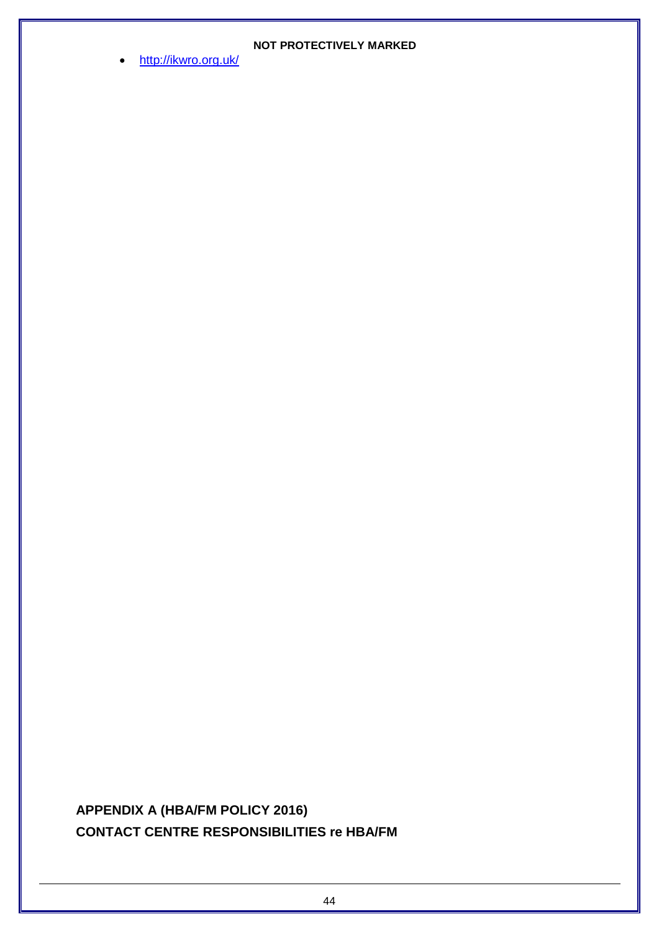• <http://ikwro.org.uk/>

**APPENDIX A (HBA/FM POLICY 2016) CONTACT CENTRE RESPONSIBILITIES re HBA/FM**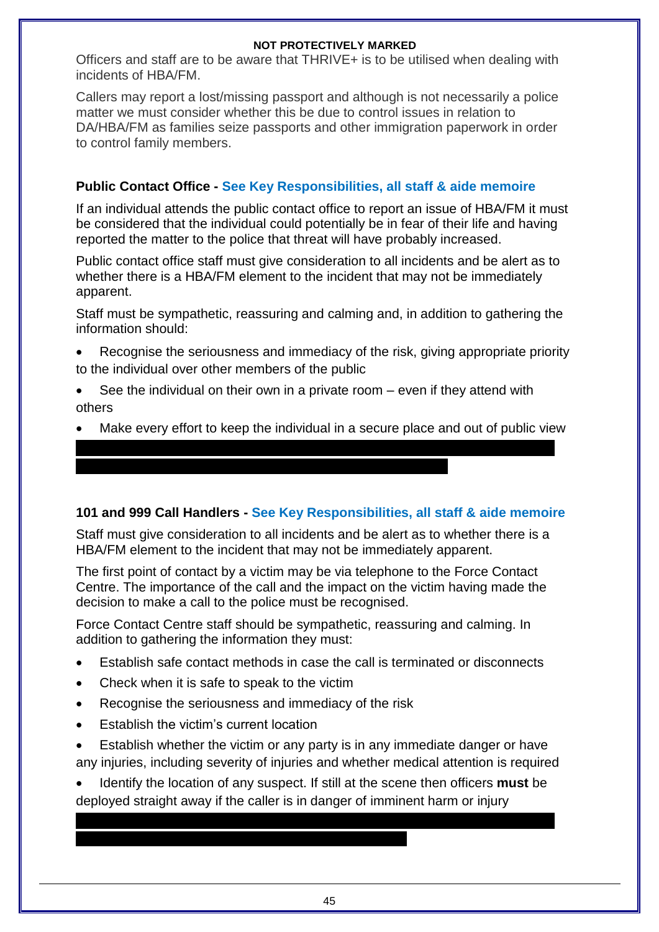Officers and staff are to be aware that THRIVE+ is to be utilised when dealing with incidents of HBA/FM.

Callers may report a lost/missing passport and although is not necessarily a police matter we must consider whether this be due to control issues in relation to DA/HBA/FM as families seize passports and other immigration paperwork in order to control family members.

# **Public Contact Office - See Key Responsibilities, all staff & aide memoire**

If an individual attends the public contact office to report an issue of HBA/FM it must be considered that the individual could potentially be in fear of their life and having reported the matter to the police that threat will have probably increased.

Public contact office staff must give consideration to all incidents and be alert as to whether there is a HBA/FM element to the incident that may not be immediately apparent.

Staff must be sympathetic, reassuring and calming and, in addition to gathering the information should:

- Recognise the seriousness and immediacy of the risk, giving appropriate priority to the individual over other members of the public
- See the individual on their own in a private room  $-$  even if they attend with others
- Make every effort to keep the individual in a secure place and out of public view

• Create an OASIS log for the attention of the Duty Inspector, and ensure log is

# **101 and 999 Call Handlers - See Key Responsibilities, all staff & aide memoire**

Staff must give consideration to all incidents and be alert as to whether there is a HBA/FM element to the incident that may not be immediately apparent.

The first point of contact by a victim may be via telephone to the Force Contact Centre. The importance of the call and the impact on the victim having made the decision to make a call to the police must be recognised.

Force Contact Centre staff should be sympathetic, reassuring and calming. In addition to gathering the information they must:

- Establish safe contact methods in case the call is terminated or disconnects
- Check when it is safe to speak to the victim
- Recognise the seriousness and immediacy of the risk
- Establish the victim's current location
- Establish whether the victim or any party is in any immediate danger or have any injuries, including severity of injuries and whether medical attention is required

• Identify the location of any suspect. If still at the scene then officers **must** be deployed straight away if the caller is in danger of imminent harm or injury

• Create an OASIS log for the attention of the Duty Inspector, and ensure log is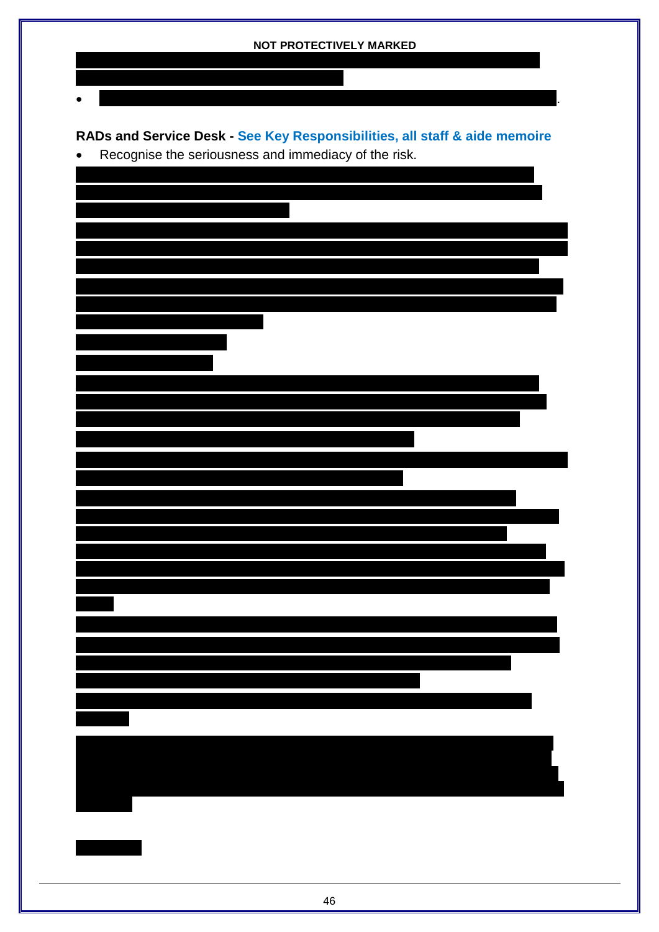| NOT PROTECTIVELY MARKED                                                    |
|----------------------------------------------------------------------------|
|                                                                            |
|                                                                            |
|                                                                            |
| RADs and Service Desk - See Key Responsibilities, all staff & aide memoire |
| Recognise the seriousness and immediacy of the risk.                       |
|                                                                            |
|                                                                            |
|                                                                            |
|                                                                            |
|                                                                            |
|                                                                            |
|                                                                            |
|                                                                            |
|                                                                            |
|                                                                            |
|                                                                            |
|                                                                            |
|                                                                            |
|                                                                            |
|                                                                            |
|                                                                            |
|                                                                            |
|                                                                            |
|                                                                            |
|                                                                            |
|                                                                            |
|                                                                            |
|                                                                            |
|                                                                            |
|                                                                            |
|                                                                            |
|                                                                            |
|                                                                            |
|                                                                            |
|                                                                            |
|                                                                            |
|                                                                            |
|                                                                            |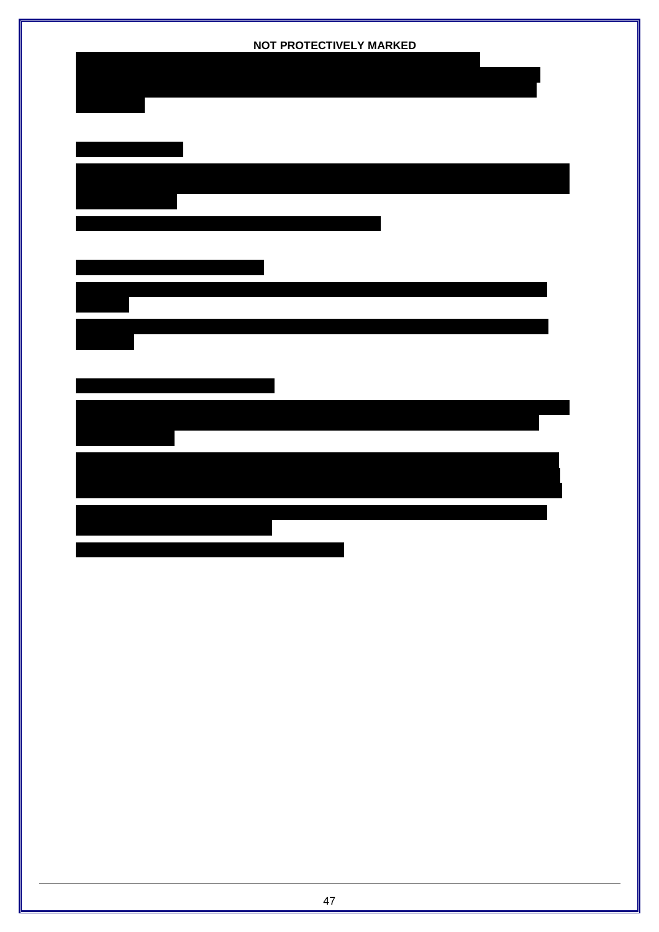| NOT PROTECTIVELY MARKED |
|-------------------------|
|                         |
|                         |
|                         |
|                         |
|                         |
|                         |
|                         |
|                         |
|                         |
|                         |
|                         |
|                         |
|                         |
|                         |
|                         |
|                         |
|                         |
|                         |
|                         |
| $47\,$                  |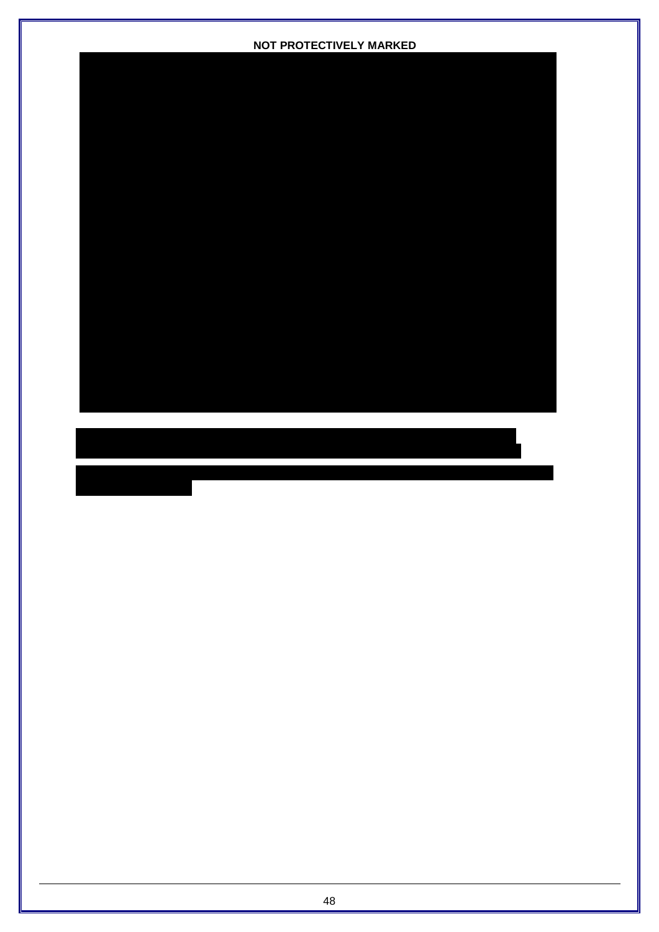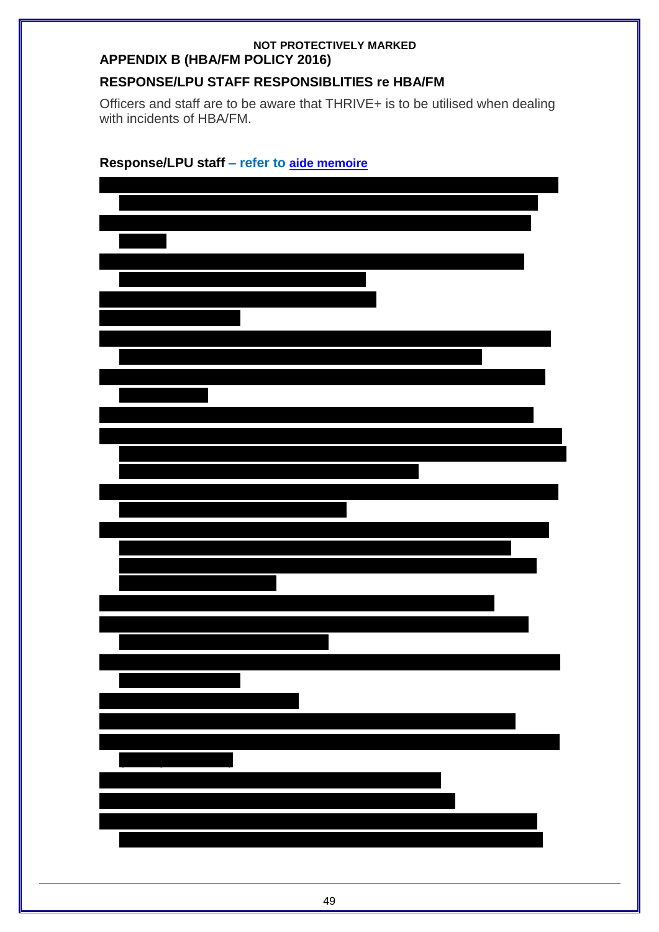# **NOT PROTECTIVELY MARKED APPENDIX B (HBA/FM POLICY 2016)**

# **RESPONSE/LPU STAFF RESPONSIBLITIES re HBA/FM**

Officers and staff are to be aware that THRIVE+ is to be utilised when dealing with incidents of HBA/FM.

# • Follow the guidelines for **Key Responsibilities, all staff. Remember that**  • Immediate safety of the victim and any children must be the overriding • Establish if there has been any criminal offences and submit relevant • Where allegations of rape or serious sexual assault are made, ensure the • Complete thorough intelligence checks, including PND, record results on • Crimes Portal should be restricted (Chief Inspector's Authority) and a paper record kept, include all checks made and document THRIVE+. Out of hours • DASH (WC 391 DASH) & Karma Nirvana (WC 391 KN) risk assessment to • The KN RA also acts as an evidence gathering tool and can assist during section 32/18 searches as it guides you to seize documentation for flights/ceremony venues/photographs of the wedding as well as a good • Where individual is under 18 consider Police Protection powers under • Inform PPU (DA Team for adults, Adults at Risk Team for vulnerable adults  $\sim$  SIG warning markers, also consider whether required for other third parties  $\sim$ • Ensure all safeguarding opportunities are maximised, out of PPU hours

# **Response/LPU staff – refer to [aide memoire](http://intranet2/content/publicprotection/New_Intranet_Docs_2014/FMHBV-2014_aide_memoire_Layout_1.pdf)**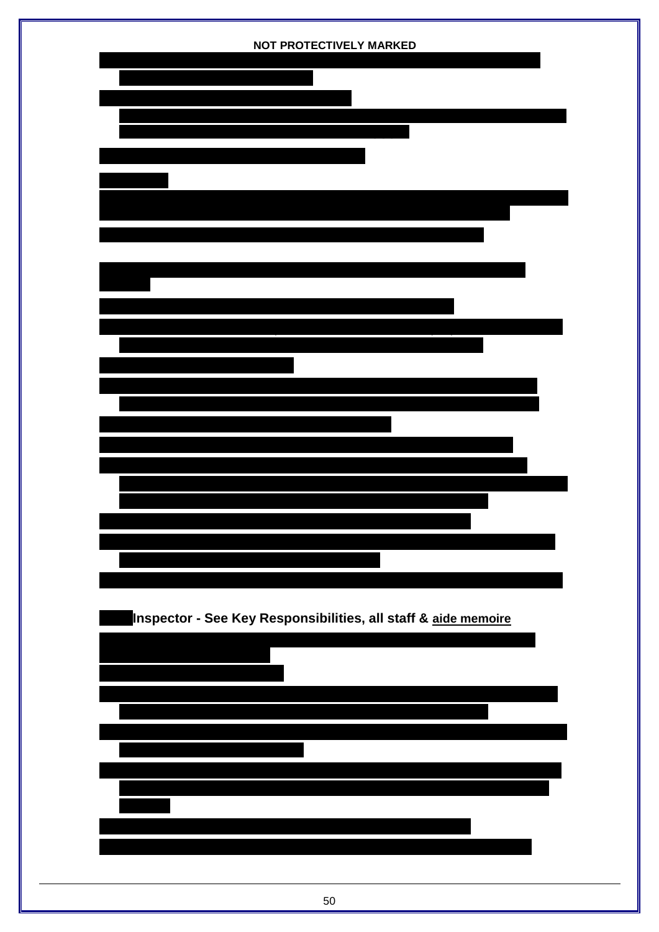| NOT PROTECTIVELY MARKED                                        |  |
|----------------------------------------------------------------|--|
|                                                                |  |
|                                                                |  |
|                                                                |  |
|                                                                |  |
|                                                                |  |
|                                                                |  |
|                                                                |  |
|                                                                |  |
|                                                                |  |
|                                                                |  |
|                                                                |  |
|                                                                |  |
|                                                                |  |
|                                                                |  |
|                                                                |  |
|                                                                |  |
|                                                                |  |
| Inspector - See Key Responsibilities, all staff & aide memoire |  |
|                                                                |  |
|                                                                |  |
|                                                                |  |
|                                                                |  |
|                                                                |  |
|                                                                |  |
|                                                                |  |
|                                                                |  |
|                                                                |  |
| 50                                                             |  |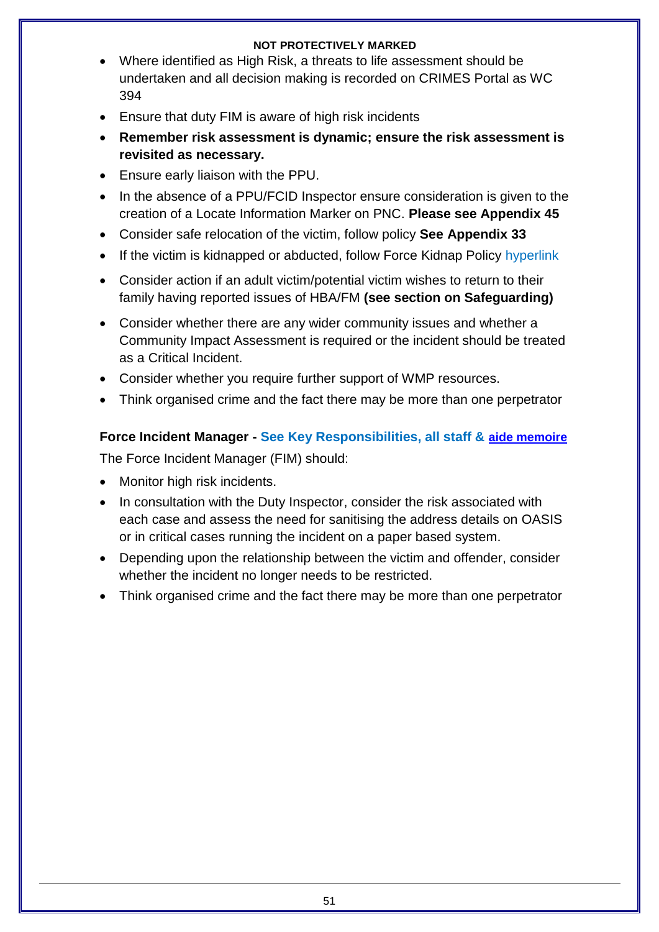- Where identified as High Risk, a threats to life assessment should be undertaken and all decision making is recorded on CRIMES Portal as WC 394
- Ensure that duty FIM is aware of high risk incidents
- **Remember risk assessment is dynamic; ensure the risk assessment is revisited as necessary.**
- Ensure early liaison with the PPU.
- In the absence of a PPU/FCID Inspector ensure consideration is given to the creation of a Locate Information Marker on PNC. **Please see Appendix 45**
- Consider safe relocation of the victim, follow policy **See Appendix 33**
- If the victim is kidnapped or abducted, follow Force Kidnap Policy hyperlink
- Consider action if an adult victim/potential victim wishes to return to their family having reported issues of HBA/FM **(see section on Safeguarding)**
- Consider whether there are any wider community issues and whether a Community Impact Assessment is required or the incident should be treated as a Critical Incident.
- Consider whether you require further support of WMP resources.
- Think organised crime and the fact there may be more than one perpetrator

# **Force Incident Manager - See Key Responsibilities, all staff & [aide memoire](http://intranet2/content/publicprotection/New_Intranet_Docs_2014/FMHBV-2014_aide_memoire_Layout_1.pdf)**

The Force Incident Manager (FIM) should:

- Monitor high risk incidents.
- In consultation with the Duty Inspector, consider the risk associated with each case and assess the need for sanitising the address details on OASIS or in critical cases running the incident on a paper based system.
- Depending upon the relationship between the victim and offender, consider whether the incident no longer needs to be restricted.
- Think organised crime and the fact there may be more than one perpetrator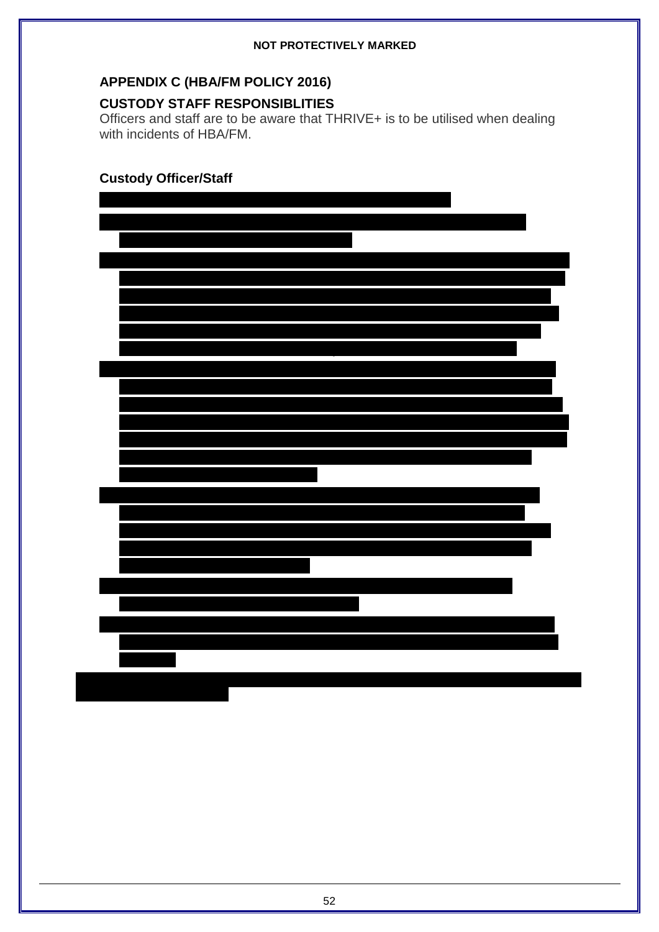# **APPENDIX C (HBA/FM POLICY 2016)**

# **CUSTODY STAFF RESPONSIBLITIES**

Officers and staff are to be aware that THRIVE+ is to be utilised when dealing with incidents of HBA/FM.

# **Custody Officer/Staff**

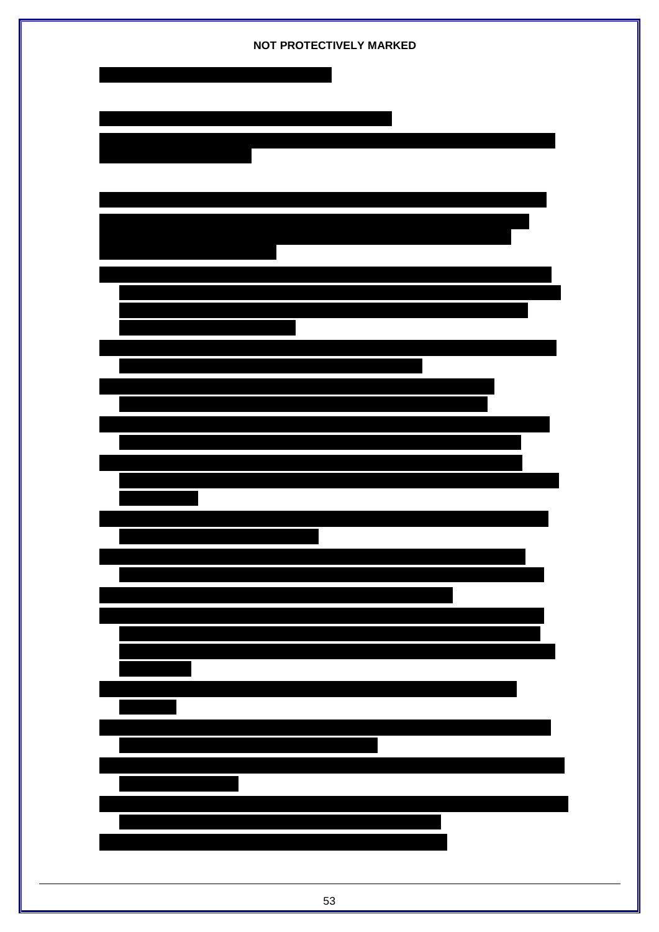| NOT PROTECTIVELY MARKED |
|-------------------------|
|                         |
|                         |
|                         |
|                         |
|                         |
|                         |
|                         |
|                         |
|                         |
|                         |
|                         |
|                         |
|                         |
|                         |
|                         |
|                         |
|                         |
|                         |
|                         |
|                         |
| 53                      |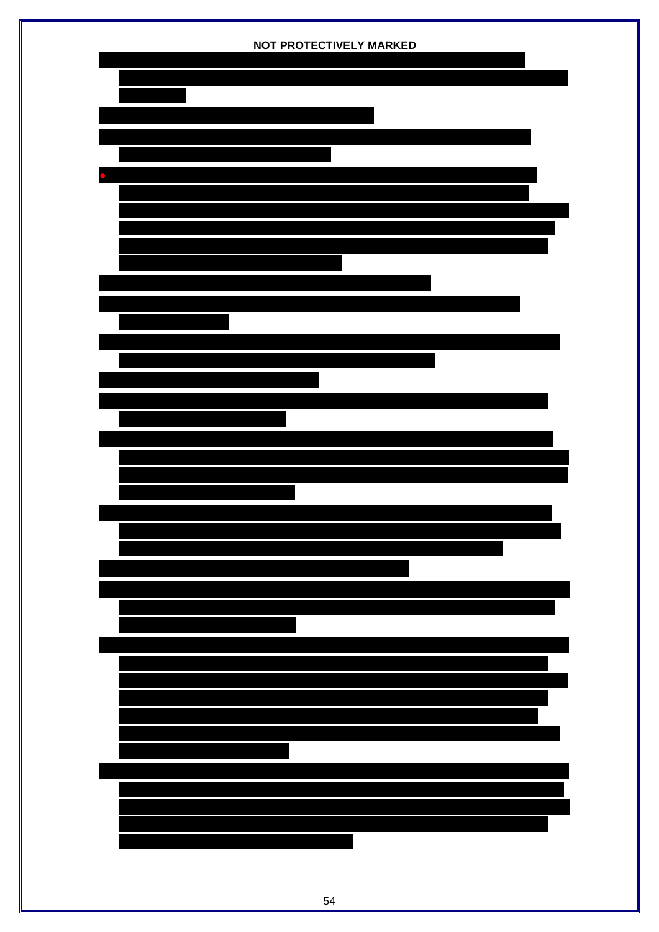| NOT PROTECTIVELY MARKED |  |
|-------------------------|--|
|                         |  |
|                         |  |
|                         |  |
|                         |  |
|                         |  |
|                         |  |
|                         |  |
|                         |  |
|                         |  |
|                         |  |
|                         |  |
|                         |  |
|                         |  |
|                         |  |
|                         |  |
|                         |  |
|                         |  |
|                         |  |
|                         |  |
|                         |  |
|                         |  |
|                         |  |
| 54                      |  |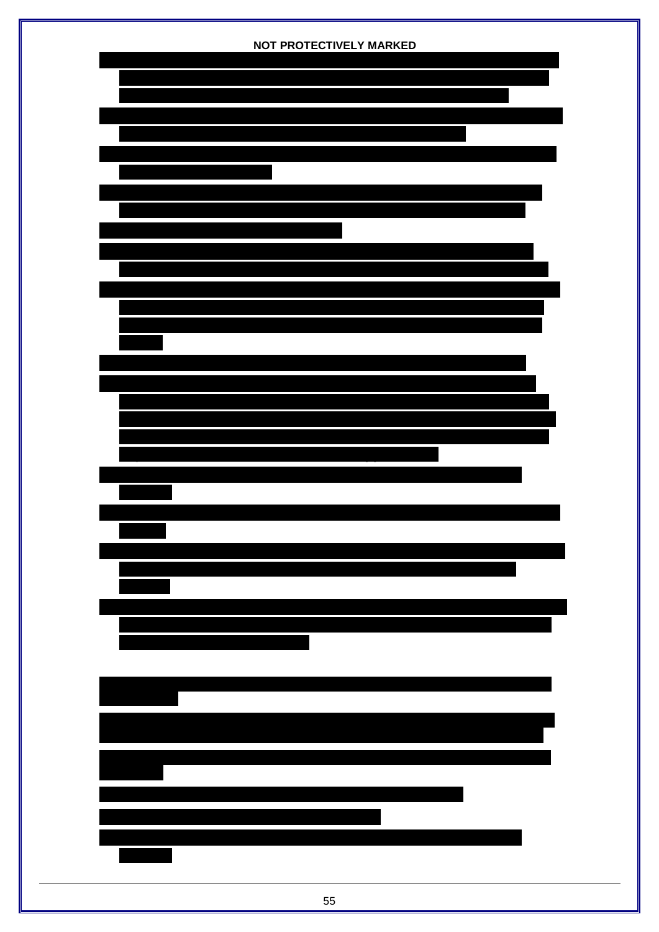| NOT PROTECTIVELY MARKED |  |
|-------------------------|--|
|                         |  |
|                         |  |
|                         |  |
|                         |  |
|                         |  |
|                         |  |
|                         |  |
|                         |  |
|                         |  |
|                         |  |
|                         |  |
|                         |  |
|                         |  |
|                         |  |
|                         |  |
|                         |  |
|                         |  |
|                         |  |
|                         |  |
|                         |  |
|                         |  |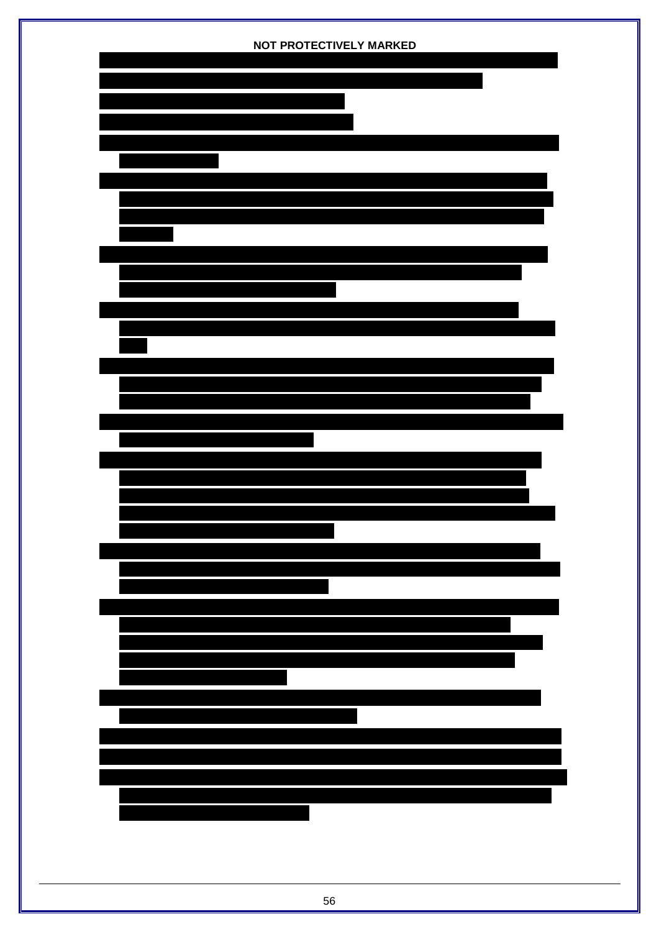| NOT PROTECTIVELY MARKED |  |
|-------------------------|--|
|                         |  |
|                         |  |
|                         |  |
|                         |  |
|                         |  |
|                         |  |
|                         |  |
|                         |  |
|                         |  |
|                         |  |
|                         |  |
|                         |  |
|                         |  |
|                         |  |
|                         |  |
|                         |  |
|                         |  |
|                         |  |
|                         |  |
|                         |  |
|                         |  |
| 56                      |  |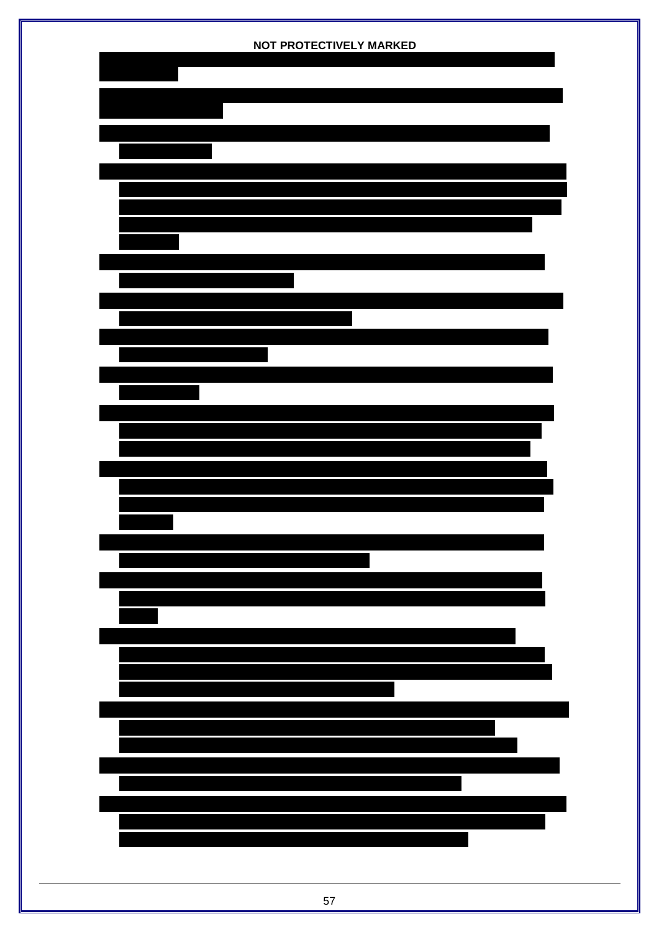| NOT PROTECTIVELY MARKED |  |
|-------------------------|--|
|                         |  |
|                         |  |
|                         |  |
|                         |  |
|                         |  |
|                         |  |
|                         |  |
|                         |  |
|                         |  |
|                         |  |
|                         |  |
|                         |  |
|                         |  |
|                         |  |
|                         |  |
|                         |  |
|                         |  |
|                         |  |
|                         |  |
|                         |  |
| 57                      |  |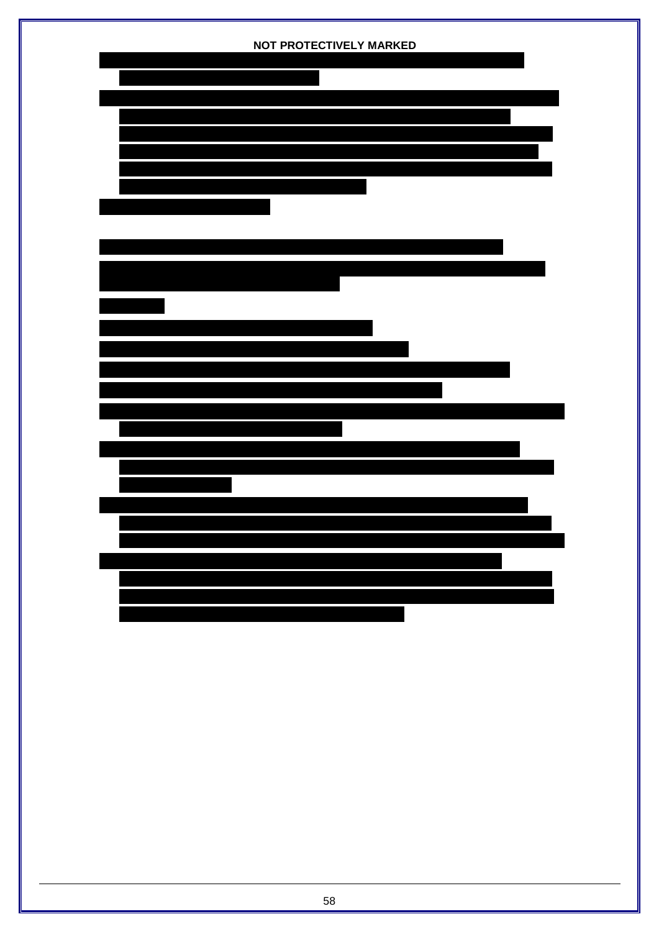| NOT PROTECTIVELY MARKED |  |
|-------------------------|--|
|                         |  |
|                         |  |
|                         |  |
|                         |  |
|                         |  |
|                         |  |
|                         |  |
|                         |  |
|                         |  |
|                         |  |
|                         |  |
|                         |  |
|                         |  |
|                         |  |
|                         |  |
|                         |  |
|                         |  |
|                         |  |
|                         |  |
|                         |  |
|                         |  |
|                         |  |
|                         |  |
|                         |  |
|                         |  |
|                         |  |
|                         |  |
|                         |  |
|                         |  |
|                         |  |
|                         |  |
|                         |  |
|                         |  |
|                         |  |
|                         |  |
|                         |  |
|                         |  |
|                         |  |
|                         |  |
|                         |  |
|                         |  |
|                         |  |
|                         |  |
| EΩ                      |  |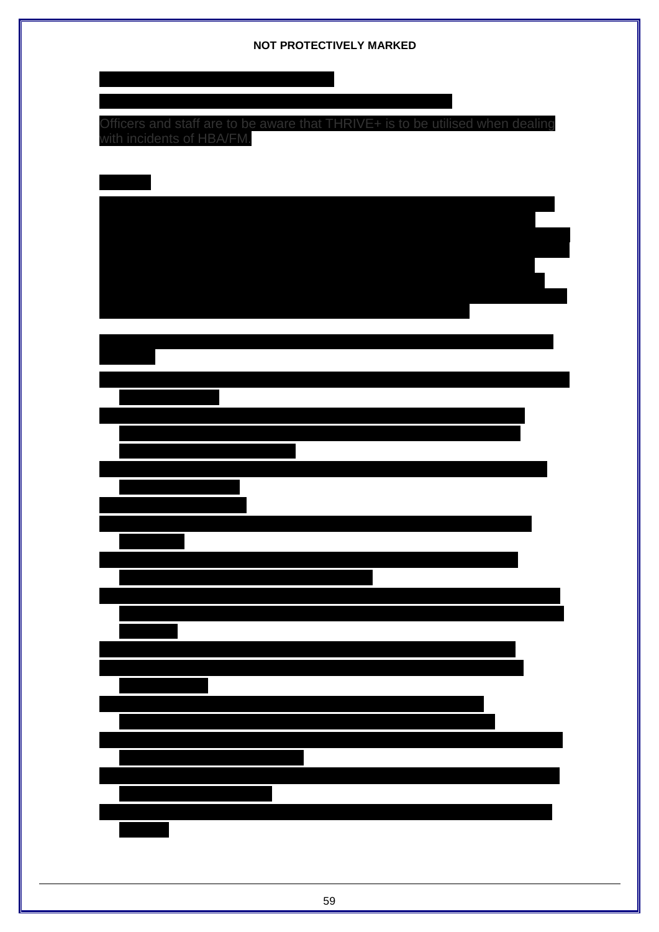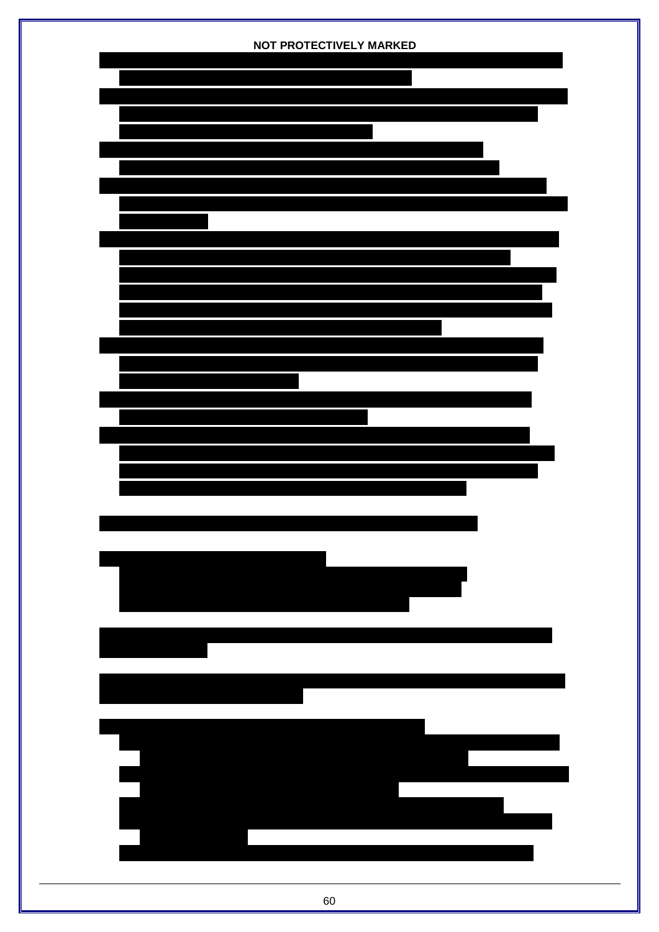